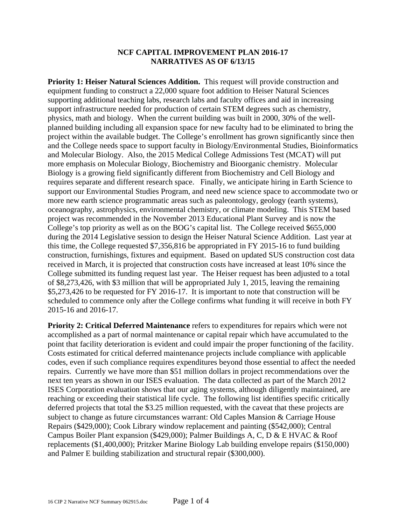## **NCF CAPITAL IMPROVEMENT PLAN 2016-17 NARRATIVES AS OF 6/13/15**

**Priority 1: Heiser Natural Sciences Addition.** This request will provide construction and equipment funding to construct a 22,000 square foot addition to Heiser Natural Sciences supporting additional teaching labs, research labs and faculty offices and aid in increasing support infrastructure needed for production of certain STEM degrees such as chemistry, physics, math and biology. When the current building was built in 2000, 30% of the wellplanned building including all expansion space for new faculty had to be eliminated to bring the project within the available budget. The College's enrollment has grown significantly since then and the College needs space to support faculty in Biology/Environmental Studies, Bioinformatics and Molecular Biology. Also, the 2015 Medical College Admissions Test (MCAT) will put more emphasis on Molecular Biology, Biochemistry and Bioorganic chemistry. Molecular Biology is a growing field significantly different from Biochemistry and Cell Biology and requires separate and different research space. Finally, we anticipate hiring in Earth Science to support our Environmental Studies Program, and need new science space to accommodate two or more new earth science programmatic areas such as paleontology, geology (earth systems), oceanography, astrophysics, environmental chemistry, or climate modeling. This STEM based project was recommended in the November 2013 Educational Plant Survey and is now the College's top priority as well as on the BOG's capital list. The College received \$655,000 during the 2014 Legislative session to design the Heiser Natural Science Addition. Last year at this time, the College requested \$7,356,816 be appropriated in FY 2015-16 to fund building construction, furnishings, fixtures and equipment. Based on updated SUS construction cost data received in March, it is projected that construction costs have increased at least 10% since the College submitted its funding request last year. The Heiser request has been adjusted to a total of \$8,273,426, with \$3 million that will be appropriated July 1, 2015, leaving the remaining \$5,273,426 to be requested for FY 2016-17. It is important to note that construction will be scheduled to commence only after the College confirms what funding it will receive in both FY 2015-16 and 2016-17.

**Priority 2: Critical Deferred Maintenance** refers to expenditures for repairs which were not accomplished as a part of normal maintenance or capital repair which have accumulated to the point that facility deterioration is evident and could impair the proper functioning of the facility. Costs estimated for critical deferred maintenance projects include compliance with applicable codes, even if such compliance requires expenditures beyond those essential to affect the needed repairs. Currently we have more than \$51 million dollars in project recommendations over the next ten years as shown in our ISES evaluation. The data collected as part of the March 2012 ISES Corporation evaluation shows that our aging systems, although diligently maintained, are reaching or exceeding their statistical life cycle. The following list identifies specific critically deferred projects that total the \$3.25 million requested, with the caveat that these projects are subject to change as future circumstances warrant: Old Caples Mansion & Carriage House Repairs (\$429,000); Cook Library window replacement and painting (\$542,000); Central Campus Boiler Plant expansion (\$429,000); Palmer Buildings A, C, D & E HVAC & Roof replacements (\$1,400,000); Pritzker Marine Biology Lab building envelope repairs (\$150,000) and Palmer E building stabilization and structural repair (\$300,000).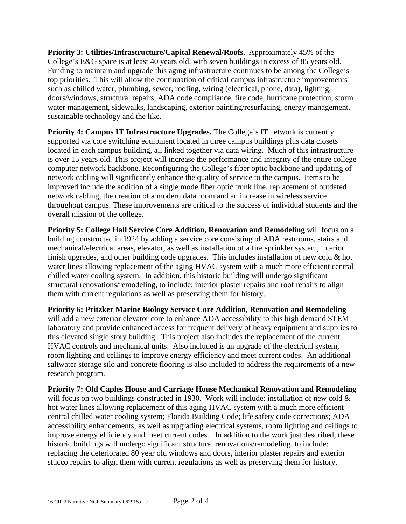**Priority 3: Utilities/Infrastructure/Capital Renewal/Roofs**. Approximately 45% of the College's E&G space is at least 40 years old, with seven buildings in excess of 85 years old. Funding to maintain and upgrade this aging infrastructure continues to be among the College's top priorities. This will allow the continuation of critical campus infrastructure improvements such as chilled water, plumbing, sewer, roofing, wiring (electrical, phone, data), lighting, doors/windows, structural repairs, ADA code compliance, fire code, hurricane protection, storm water management, sidewalks, landscaping, exterior painting/resurfacing, energy management, sustainable technology and the like.

**Priority 4: Campus IT Infrastructure Upgrades.** The College's IT network is currently supported via core switching equipment located in three campus buildings plus data closets located in each campus building, all linked together via data wiring. Much of this infrastructure is over 15 years old. This project will increase the performance and integrity of the entire college computer network backbone. Reconfiguring the College's fiber optic backbone and updating of network cabling will significantly enhance the quality of service to the campus. Items to be improved include the addition of a single mode fiber optic trunk line, replacement of outdated network cabling, the creation of a modern data room and an increase in wireless service throughout campus. These improvements are critical to the success of individual students and the overall mission of the college.

**Priority 5: College Hall Service Core Addition, Renovation and Remodeling** will focus on a building constructed in 1924 by adding a service core consisting of ADA restrooms, stairs and mechanical/electrical areas, elevator, as well as installation of a fire sprinkler system, interior finish upgrades, and other building code upgrades. This includes installation of new cold  $\&$  hot water lines allowing replacement of the aging HVAC system with a much more efficient central chilled water cooling system. In addition, this historic building will undergo significant structural renovations/remodeling, to include: interior plaster repairs and roof repairs to align them with current regulations as well as preserving them for history.

**Priority 6: Pritzker Marine Biology Service Core Addition, Renovation and Remodeling**  will add a new exterior elevator core to enhance ADA accessibility to this high demand STEM laboratory and provide enhanced access for frequent delivery of heavy equipment and supplies to this elevated single story building. This project also includes the replacement of the current HVAC controls and mechanical units. Also included is an upgrade of the electrical system, room lighting and ceilings to improve energy efficiency and meet current codes. An additional saltwater storage silo and concrete flooring is also included to address the requirements of a new research program.

**Priority 7: Old Caples House and Carriage House Mechanical Renovation and Remodeling** will focus on two buildings constructed in 1930. Work will include: installation of new cold  $\&$ hot water lines allowing replacement of this aging HVAC system with a much more efficient central chilled water cooling system; Florida Building Code; life safety code corrections; ADA accessibility enhancements; as well as upgrading electrical systems, room lighting and ceilings to improve energy efficiency and meet current codes. In addition to the work just described, these historic buildings will undergo significant structural renovations/remodeling, to include: replacing the deteriorated 80 year old windows and doors, interior plaster repairs and exterior stucco repairs to align them with current regulations as well as preserving them for history.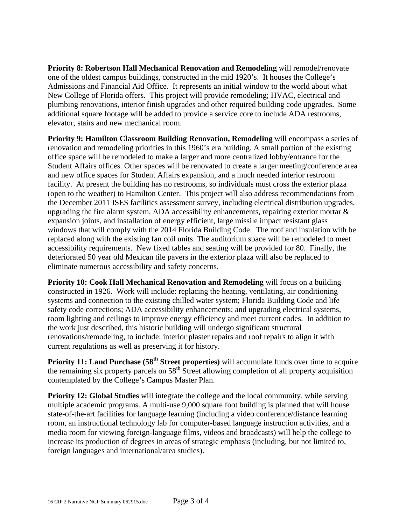**Priority 8: Robertson Hall Mechanical Renovation and Remodeling** will remodel/renovate one of the oldest campus buildings, constructed in the mid 1920's. It houses the College's Admissions and Financial Aid Office. It represents an initial window to the world about what New College of Florida offers. This project will provide remodeling; HVAC, electrical and plumbing renovations, interior finish upgrades and other required building code upgrades. Some additional square footage will be added to provide a service core to include ADA restrooms, elevator, stairs and new mechanical room.

**Priority 9: Hamilton Classroom Building Renovation, Remodeling** will encompass a series of renovation and remodeling priorities in this 1960's era building. A small portion of the existing office space will be remodeled to make a larger and more centralized lobby/entrance for the Student Affairs offices. Other spaces will be renovated to create a larger meeting/conference area and new office spaces for Student Affairs expansion, and a much needed interior restroom facility. At present the building has no restrooms, so individuals must cross the exterior plaza (open to the weather) to Hamilton Center. This project will also address recommendations from the December 2011 ISES facilities assessment survey, including electrical distribution upgrades, upgrading the fire alarm system, ADA accessibility enhancements, repairing exterior mortar  $\&$ expansion joints, and installation of energy efficient, large missile impact resistant glass windows that will comply with the 2014 Florida Building Code. The roof and insulation with be replaced along with the existing fan coil units. The auditorium space will be remodeled to meet accessibility requirements. New fixed tables and seating will be provided for 80. Finally, the deteriorated 50 year old Mexican tile pavers in the exterior plaza will also be replaced to eliminate numerous accessibility and safety concerns.

**Priority 10: Cook Hall Mechanical Renovation and Remodeling** will focus on a building constructed in 1926. Work will include: replacing the heating, ventilating, air conditioning systems and connection to the existing chilled water system; Florida Building Code and life safety code corrections; ADA accessibility enhancements; and upgrading electrical systems, room lighting and ceilings to improve energy efficiency and meet current codes. In addition to the work just described, this historic building will undergo significant structural renovations/remodeling, to include: interior plaster repairs and roof repairs to align it with current regulations as well as preserving it for history.

**Priority 11: Land Purchase (58<sup>th</sup> Street properties)** will accumulate funds over time to acquire the remaining six property parcels on  $58<sup>th</sup>$  Street allowing completion of all property acquisition contemplated by the College's Campus Master Plan.

**Priority 12: Global Studies** will integrate the college and the local community, while serving multiple academic programs. A multi-use 9,000 square foot building is planned that will house state-of-the-art facilities for language learning (including a video conference/distance learning room, an instructional technology lab for computer-based language instruction activities, and a media room for viewing foreign-language films, videos and broadcasts) will help the college to increase its production of degrees in areas of strategic emphasis (including, but not limited to, foreign languages and international/area studies).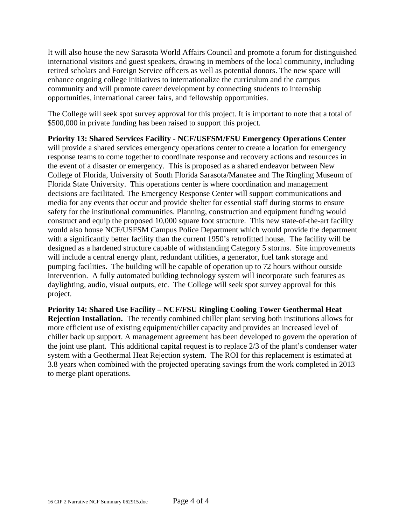It will also house the new Sarasota World Affairs Council and promote a forum for distinguished international visitors and guest speakers, drawing in members of the local community, including retired scholars and Foreign Service officers as well as potential donors. The new space will enhance ongoing college initiatives to internationalize the curriculum and the campus community and will promote career development by connecting students to internship opportunities, international career fairs, and fellowship opportunities.

The College will seek spot survey approval for this project. It is important to note that a total of \$500,000 in private funding has been raised to support this project.

**Priority 13: Shared Services Facility - NCF/USFSM/FSU Emergency Operations Center**  will provide a shared services emergency operations center to create a location for emergency response teams to come together to coordinate response and recovery actions and resources in the event of a disaster or emergency. This is proposed as a shared endeavor between New College of Florida, University of South Florida Sarasota/Manatee and The Ringling Museum of Florida State University. This operations center is where coordination and management decisions are facilitated. The Emergency Response Center will support communications and media for any events that occur and provide shelter for essential staff during storms to ensure safety for the institutional communities. Planning, construction and equipment funding would construct and equip the proposed 10,000 square foot structure. This new state-of-the-art facility would also house NCF/USFSM Campus Police Department which would provide the department with a significantly better facility than the current 1950's retrofitted house. The facility will be designed as a hardened structure capable of withstanding Category 5 storms. Site improvements will include a central energy plant, redundant utilities, a generator, fuel tank storage and pumping facilities. The building will be capable of operation up to 72 hours without outside intervention. A fully automated building technology system will incorporate such features as daylighting, audio, visual outputs, etc. The College will seek spot survey approval for this project.

**Priority 14: Shared Use Facility – NCF/FSU Ringling Cooling Tower Geothermal Heat Rejection Installation.** The recently combined chiller plant serving both institutions allows for more efficient use of existing equipment/chiller capacity and provides an increased level of chiller back up support. A management agreement has been developed to govern the operation of the joint use plant. This additional capital request is to replace 2/3 of the plant's condenser water system with a Geothermal Heat Rejection system. The ROI for this replacement is estimated at 3.8 years when combined with the projected operating savings from the work completed in 2013 to merge plant operations.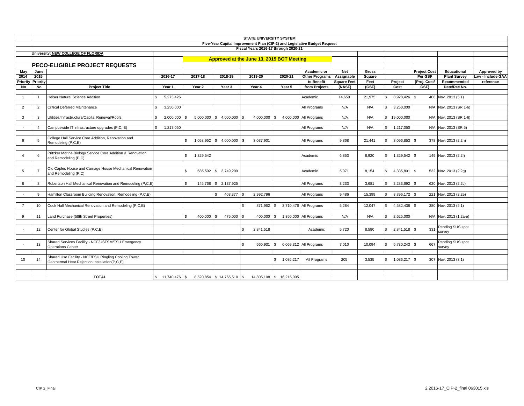|                |                |                                                             |                      |                           |                                           |               | <b>STATE UNIVERSITY SYSTEM</b>       |                 | Five-Year Capital Improvement Plan (CIP-2) and Legislative Budget Request |                    |        |              |                     |                     |                        |                   |
|----------------|----------------|-------------------------------------------------------------|----------------------|---------------------------|-------------------------------------------|---------------|--------------------------------------|-----------------|---------------------------------------------------------------------------|--------------------|--------|--------------|---------------------|---------------------|------------------------|-------------------|
|                |                |                                                             |                      |                           |                                           |               | Fiscal Years 2016-17 through 2020-21 |                 |                                                                           |                    |        |              |                     |                     |                        |                   |
|                |                | University: NEW COLLEGE OF FLORIDA                          |                      |                           |                                           |               |                                      |                 |                                                                           |                    |        |              |                     |                     |                        |                   |
|                |                |                                                             |                      |                           | Approved at the June 13, 2015 BOT Meeting |               |                                      |                 |                                                                           |                    |        |              |                     |                     |                        |                   |
|                |                | <b>PECO-ELIGIBLE PROJECT REQUESTS</b>                       |                      |                           |                                           |               |                                      |                 |                                                                           |                    |        |              |                     |                     |                        |                   |
|                |                |                                                             |                      |                           |                                           |               |                                      |                 |                                                                           |                    |        |              |                     |                     |                        |                   |
| May            | June           |                                                             |                      |                           |                                           |               |                                      |                 | Academic or                                                               | <b>Net</b>         | Gross  |              |                     | <b>Project Cost</b> | Educational            | Approved by       |
| 2014           | 2015           |                                                             | 2016-17              | 2017-18                   | 2018-19                                   |               | 2019-20                              | 2020-21         | <b>Other Programs</b>                                                     | Assignable         | Square |              |                     | Per GSF             | <b>Plant Survey</b>    | Law - Include GAA |
| Priority       | Priority       |                                                             |                      |                           |                                           |               |                                      |                 | to Benefit                                                                | <b>Square Feet</b> | Feet   |              | Project             | (Proj. Cost/        | Recommended            | reference         |
| No             | <b>No</b>      | <b>Project Title</b>                                        | Year 1               | Year 2                    | Year 3                                    |               | Year 4                               | Year 5          | from Projects                                                             | (NASF)             | (GSF)  |              | Cost                | GSF)                | Date/Rec No.           |                   |
| 1              | $\overline{1}$ | Heiser Natural Science Addition                             | 5,273,426<br>\$.     |                           |                                           |               |                                      |                 | Academic                                                                  | 14,650             | 21,975 | \$           | 8,928,426 \$        |                     | 406 Nov. 2013 (5.1)    |                   |
|                |                |                                                             |                      |                           |                                           |               |                                      |                 |                                                                           |                    |        |              |                     |                     |                        |                   |
| $\overline{2}$ | 2              | <b>Critical Deferred Maintenance</b>                        | 3,250,000<br>\$.     |                           |                                           |               |                                      |                 | All Programs                                                              | N/A                | N/A    | s.           | 3,250,000           |                     | N/A Nov. 2013 (SR 1-6) |                   |
|                |                |                                                             |                      |                           |                                           |               |                                      |                 |                                                                           |                    |        |              |                     |                     |                        |                   |
| $\mathbf{3}$   | 3              | Utilities/Infrastructure/Capital Renewal/Roofs              | 2.000.000<br>s.      |                           | $5,000,000$ \$ 4,000,000 \$               |               | $4,000,000$ \$                       |                 | 4,000,000 All Programs                                                    | N/A                | N/A    |              | \$19,000,000        |                     | N/A Nov. 2013 (SR 1-6) |                   |
|                |                |                                                             |                      |                           |                                           |               |                                      |                 |                                                                           |                    |        |              |                     |                     |                        |                   |
| $\sim$         | $\overline{4}$ | Campuswide IT infrastructure upgrades (P,C, E)              | 1,217,050<br>\$      |                           |                                           |               |                                      |                 | All Programs                                                              | N/A                | N/A    | $\mathbb{S}$ | 1,217,050           |                     | N/A Nov. 2013 (SR 5)   |                   |
|                |                |                                                             |                      |                           |                                           |               |                                      |                 |                                                                           |                    |        |              |                     |                     |                        |                   |
|                |                | College Hall Service Core Addition, Renovation and          |                      |                           |                                           | - \$          |                                      |                 |                                                                           |                    |        |              |                     |                     |                        |                   |
| 6              | 5              | Remodeling (P,C,E)                                          |                      | \$                        | $1,058,952$ \$ 4,000,000                  |               | 3,037,901                            |                 | All Programs                                                              | 9,868              | 21,441 |              | $$8,096,853$ \ \ \$ |                     | 378 Nov. 2013 (2.2h)   |                   |
|                |                |                                                             |                      |                           |                                           |               |                                      |                 |                                                                           |                    |        |              |                     |                     |                        |                   |
| $\overline{4}$ | 6              | Pritzker Marine Biology Service Core Addition & Renovation  |                      | $\mathbb{S}$<br>1,329,542 |                                           |               |                                      |                 | Academic                                                                  | 6,853              | 8,920  |              |                     |                     | 149 Nov. 2013 (2.2f)   |                   |
|                |                | and Remodeling (P,C)                                        |                      |                           |                                           |               |                                      |                 |                                                                           |                    |        |              |                     |                     |                        |                   |
|                |                |                                                             |                      |                           |                                           |               |                                      |                 |                                                                           |                    |        |              |                     |                     |                        |                   |
| 5              | $\overline{7}$ | Old Caples House and Carriage House Mechanical Renovation   |                      | \$                        | 586,592 \$ 3,749,209                      |               |                                      |                 | Academic                                                                  | 5.071              | 8.154  | $\mathbb{S}$ | $4,335,801$ \$      |                     | 532 Nov. 2013 (2.2g)   |                   |
|                |                | and Remodeling (P,C)                                        |                      |                           |                                           |               |                                      |                 |                                                                           |                    |        |              |                     |                     |                        |                   |
| 8              | 8              | Robertson Hall Mechanical Renovation and Remodeling (P,C,E) |                      |                           | 145,768 \$ 2,137,925                      |               |                                      |                 | All Programs                                                              | 3,233              | 3,681  | \$           | $2,283,692$ \$      |                     | 620 Nov. 2013 (2.2c)   |                   |
|                |                |                                                             |                      |                           |                                           |               |                                      |                 |                                                                           |                    |        |              |                     |                     |                        |                   |
| $\sim$         | 9              | Hamilton Classroom Building Renovation, Remodeling (P,C,E)  |                      |                           | 403,377<br>$\mathbb{S}$                   | -S            | 2.992.796                            |                 | All Programs                                                              | 9.486              | 15,399 | S.           | 3,396,172 \$        |                     | 221 Nov. 2013 (2.2e)   |                   |
|                |                |                                                             |                      |                           |                                           |               |                                      |                 |                                                                           |                    |        |              |                     |                     |                        |                   |
|                |                |                                                             |                      |                           |                                           | $\mathbf{s}$  | 871,962 \$                           |                 | 3,710,476 All Programs                                                    |                    |        | $\mathbb{S}$ | 4,582,438 \$        |                     | 380 Nov. 2013 (2.1)    |                   |
| $\overline{7}$ | 10             | Cook Hall Mechanical Renovation and Remodeling (P,C,E)      |                      |                           |                                           |               |                                      |                 |                                                                           | 5,284              | 12,047 |              |                     |                     |                        |                   |
| 9              | 11             | Land Purchase (58th Street Properties)                      |                      | 400.000 \$<br>\$.         | 475,000 \$                                |               | $400,000$ \$                         |                 | 1,350,000 All Programs                                                    | N/A                | N/A    | $\mathbb{S}$ | 2,625,000           |                     | N/A Nov. 2013 (1.2a-e) |                   |
|                |                |                                                             |                      |                           |                                           |               |                                      |                 |                                                                           |                    |        |              |                     |                     |                        |                   |
|                |                |                                                             |                      |                           |                                           |               |                                      |                 |                                                                           |                    |        |              |                     |                     | Pending SUS spot       |                   |
|                | 12             | Center for Global Studies (P,C,E)                           |                      |                           |                                           | $\mathbf{s}$  | 2,841,518                            |                 | Academic                                                                  | 5.720              | 8.580  |              |                     | 331                 | survev                 |                   |
|                |                |                                                             |                      |                           |                                           |               |                                      |                 |                                                                           |                    |        |              |                     |                     |                        |                   |
|                |                | Shared Services Facility - NCF/USFSM/FSU Emergency          |                      |                           |                                           |               |                                      |                 |                                                                           |                    |        |              |                     |                     | Pending SUS spot       |                   |
|                | 13             | <b>Operations Center</b>                                    |                      |                           |                                           | $\mathcal{S}$ | 660,931 \$                           |                 | 6,069,312 All Programs                                                    | 7,010              | 10,094 | $\mathbb{S}$ | $6,730,243$ \$      | 667                 | survey                 |                   |
|                |                |                                                             |                      |                           |                                           |               |                                      |                 |                                                                           |                    |        |              |                     |                     |                        |                   |
| 10             | 14             | Shared Use Facility - NCF/FSU Ringling Cooling Tower        |                      |                           |                                           |               |                                      | \$<br>1,086,217 | All Programs                                                              | 205                | 3,535  |              |                     |                     | 307 Nov. 2013 (3.1)    |                   |
|                |                | Geothermal Heat Rejection Installation(P,C,E)               |                      |                           |                                           |               |                                      |                 |                                                                           |                    |        |              |                     |                     |                        |                   |
|                |                |                                                             |                      |                           |                                           |               |                                      |                 |                                                                           |                    |        |              |                     |                     |                        |                   |
|                |                |                                                             |                      |                           |                                           |               |                                      |                 |                                                                           |                    |        |              |                     |                     |                        |                   |
|                |                | <b>TOTAL</b>                                                | $$11,740,476$ \ \ \$ |                           | 8,520,854 \$14,765,510 \$                 |               | 14,805,108 \$ 16,216,005             |                 |                                                                           |                    |        |              |                     |                     |                        |                   |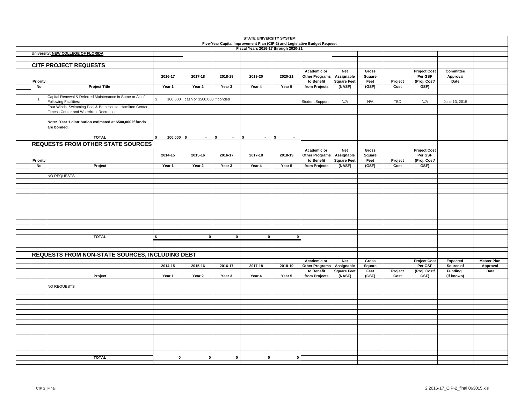|                                                           |                            |                             |              | <b>STATE UNIVERSITY SYSTEM</b>                                            |                      |                        |                    |        |         |                     |                |                    |
|-----------------------------------------------------------|----------------------------|-----------------------------|--------------|---------------------------------------------------------------------------|----------------------|------------------------|--------------------|--------|---------|---------------------|----------------|--------------------|
|                                                           |                            |                             |              | Five-Year Capital Improvement Plan (CIP-2) and Legislative Budget Request |                      |                        |                    |        |         |                     |                |                    |
|                                                           |                            |                             |              | Fiscal Years 2016-17 through 2020-21                                      |                      |                        |                    |        |         |                     |                |                    |
| University: NEW COLLEGE OF FLORIDA                        |                            |                             |              |                                                                           |                      |                        |                    |        |         |                     |                |                    |
|                                                           |                            |                             |              |                                                                           |                      |                        |                    |        |         |                     |                |                    |
| <b>CITF PROJECT REQUESTS</b>                              |                            |                             |              |                                                                           |                      |                        |                    |        |         |                     |                |                    |
|                                                           |                            |                             |              |                                                                           |                      | Academic or            | <b>Net</b>         | Gross  |         | <b>Project Cost</b> | Committee      |                    |
|                                                           | 2016-17                    | 2017-18                     | 2018-19      | 2019-20                                                                   | 2020-21              | Other Programs         | Assignable         | Square |         | Per GSF             | Approval       |                    |
| Priority                                                  |                            |                             |              |                                                                           |                      | to Benefit             | <b>Square Feet</b> | Feet   | Project | (Proj. Cost/        | Date           |                    |
| No<br><b>Project Title</b>                                | Year 1                     | Year 2                      | Year 3       | Year 4                                                                    | Year 5               | from Projects          | (NASF)             | (GSF)  | Cost    | GSF)                |                |                    |
|                                                           |                            |                             |              |                                                                           |                      |                        |                    |        |         |                     |                |                    |
| Capital Renewal & Deferred Maintenance in Some or All of  |                            |                             |              |                                                                           |                      |                        |                    |        |         |                     |                |                    |
| $\mathbf{1}$<br>Following Facilities:                     | \$<br>100,000              | cash or \$500,000 if bonded |              |                                                                           |                      | <b>Student Support</b> | N/A                | N/A    | TBD     | N/A                 | June 13, 2015  |                    |
| Four Winds, Swimming Pool & Bath House, Hamilton Center,  |                            |                             |              |                                                                           |                      |                        |                    |        |         |                     |                |                    |
| Fitness Center and Waterfront Recreation.                 |                            |                             |              |                                                                           |                      |                        |                    |        |         |                     |                |                    |
|                                                           |                            |                             |              |                                                                           |                      |                        |                    |        |         |                     |                |                    |
| Note: Year 1 distribution estimated at \$500,000 if funds |                            |                             |              |                                                                           |                      |                        |                    |        |         |                     |                |                    |
| are bonded.                                               |                            |                             |              |                                                                           |                      |                        |                    |        |         |                     |                |                    |
|                                                           |                            |                             |              |                                                                           |                      |                        |                    |        |         |                     |                |                    |
| <b>TOTAL</b>                                              | $100,000$ \$<br>$\sqrt{2}$ | $ \sqrt{s}$                 | $ \sqrt{5}$  | $\sim$                                                                    | $\sqrt{2}$<br>$\sim$ |                        |                    |        |         |                     |                |                    |
|                                                           |                            |                             |              |                                                                           |                      |                        |                    |        |         |                     |                |                    |
| <b>REQUESTS FROM OTHER STATE SOURCES</b>                  |                            |                             |              |                                                                           |                      |                        |                    |        |         |                     |                |                    |
|                                                           |                            |                             |              |                                                                           |                      | Academic or            | <b>Net</b>         | Gross  |         | <b>Project Cost</b> |                |                    |
|                                                           | 2014-15                    | 2015-16                     | 2016-17      | 2017-18                                                                   | 2018-19              | Other Programs         | Assignable         | Square |         | Per GSF             |                |                    |
| Priority                                                  |                            |                             |              |                                                                           |                      | to Benefit             | <b>Square Feet</b> | Feet   | Project | (Proj. Cost/        |                |                    |
| Project<br>No                                             | Year 1                     | Year 2                      | Year 3       | Year 4                                                                    | Year 5               | from Projects          | (NASF)             | (GSF)  | Cost    | GSF)                |                |                    |
|                                                           |                            |                             |              |                                                                           |                      |                        |                    |        |         |                     |                |                    |
| NO REQUESTS                                               |                            |                             |              |                                                                           |                      |                        |                    |        |         |                     |                |                    |
|                                                           |                            |                             |              |                                                                           |                      |                        |                    |        |         |                     |                |                    |
|                                                           |                            |                             |              |                                                                           |                      |                        |                    |        |         |                     |                |                    |
|                                                           |                            |                             |              |                                                                           |                      |                        |                    |        |         |                     |                |                    |
|                                                           |                            |                             |              |                                                                           |                      |                        |                    |        |         |                     |                |                    |
|                                                           |                            |                             |              |                                                                           |                      |                        |                    |        |         |                     |                |                    |
|                                                           |                            |                             |              |                                                                           |                      |                        |                    |        |         |                     |                |                    |
|                                                           |                            |                             |              |                                                                           |                      |                        |                    |        |         |                     |                |                    |
|                                                           |                            |                             |              |                                                                           |                      |                        |                    |        |         |                     |                |                    |
|                                                           |                            |                             |              |                                                                           |                      |                        |                    |        |         |                     |                |                    |
|                                                           |                            |                             |              |                                                                           |                      |                        |                    |        |         |                     |                |                    |
| <b>TOTAL</b>                                              | $\sim$                     | $\mathbf{0}$                | $\mathbf{0}$ | $\overline{\phantom{0}}$                                                  | $\mathbf{0}$         |                        |                    |        |         |                     |                |                    |
|                                                           | <b>\$</b>                  |                             |              |                                                                           |                      |                        |                    |        |         |                     |                |                    |
|                                                           |                            |                             |              |                                                                           |                      |                        |                    |        |         |                     |                |                    |
|                                                           |                            |                             |              |                                                                           |                      |                        |                    |        |         |                     |                |                    |
| <b>REQUESTS FROM NON-STATE SOURCES, INCLUDING DEBT</b>    |                            |                             |              |                                                                           |                      |                        |                    |        |         |                     |                |                    |
|                                                           |                            |                             |              |                                                                           |                      | Academic or            | Net                | Gross  |         | <b>Project Cost</b> | Expected       | <b>Master Plan</b> |
|                                                           | 2014-15                    | 2015-16                     | 2016-17      | 2017-18                                                                   | 2018-19              | <b>Other Programs</b>  | Assignable         | Square |         | Per GSF             | Source of      | Approval           |
|                                                           |                            |                             |              |                                                                           |                      | to Benefit             | <b>Square Feet</b> | Feet   | Project | (Proj. Cost/        | <b>Funding</b> | Date               |
| Project                                                   | Year 1                     | Year 2                      | Year 3       | Year 4                                                                    | Year 5               | from Projects          | (NASF)             | (GSF)  | Cost    | GSF)                | (if known)     |                    |
|                                                           |                            |                             |              |                                                                           |                      |                        |                    |        |         |                     |                |                    |
| NO REQUESTS                                               |                            |                             |              |                                                                           |                      |                        |                    |        |         |                     |                |                    |
|                                                           |                            |                             |              |                                                                           |                      |                        |                    |        |         |                     |                |                    |
|                                                           |                            |                             |              |                                                                           |                      |                        |                    |        |         |                     |                |                    |
|                                                           |                            |                             |              |                                                                           |                      |                        |                    |        |         |                     |                |                    |
|                                                           |                            |                             |              |                                                                           |                      |                        |                    |        |         |                     |                |                    |
|                                                           |                            |                             |              |                                                                           |                      |                        |                    |        |         |                     |                |                    |
|                                                           |                            |                             |              |                                                                           |                      |                        |                    |        |         |                     |                |                    |
|                                                           |                            |                             |              |                                                                           |                      |                        |                    |        |         |                     |                |                    |
|                                                           |                            |                             |              |                                                                           |                      |                        |                    |        |         |                     |                |                    |
|                                                           |                            |                             |              |                                                                           |                      |                        |                    |        |         |                     |                |                    |
|                                                           |                            |                             |              |                                                                           |                      |                        |                    |        |         |                     |                |                    |
|                                                           |                            |                             |              |                                                                           |                      |                        |                    |        |         |                     |                |                    |
|                                                           |                            |                             |              |                                                                           |                      |                        |                    |        |         |                     |                |                    |
|                                                           |                            |                             |              |                                                                           |                      |                        |                    |        |         |                     |                |                    |
| <b>TOTAL</b>                                              | 0                          | $\mathbf{0}$                | 0            | $\mathbf{0}$                                                              | $\mathbf{0}$         |                        |                    |        |         |                     |                |                    |
|                                                           |                            |                             |              |                                                                           |                      |                        |                    |        |         |                     |                |                    |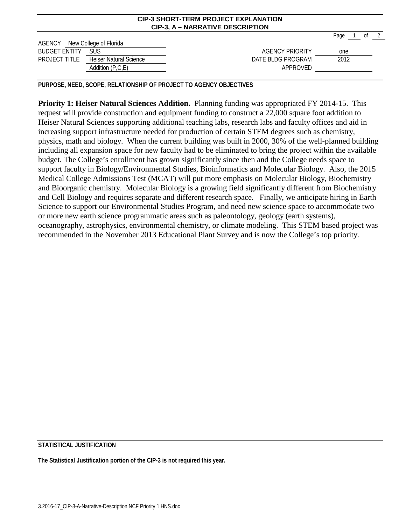|                               |                               | CIP-3, A – NARRATIVE DESCRIPTION |      |                   |  |
|-------------------------------|-------------------------------|----------------------------------|------|-------------------|--|
|                               |                               |                                  | Page | of $\overline{2}$ |  |
| AGENCY New College of Florida |                               |                                  |      |                   |  |
| <b>BUDGET ENTITY</b>          | <b>SUS</b>                    | AGENCY PRIORITY                  | one  |                   |  |
| PROJECT TITLE                 | <b>Heiser Natural Science</b> | DATE BLDG PROGRAM                | 2012 |                   |  |
|                               | Addition $(P, C, E)$          | APPROVED                         |      |                   |  |

**CIP-3 SHORT-TERM PROJECT EXPLANATION**

**PURPOSE, NEED, SCOPE, RELATIONSHIP OF PROJECT TO AGENCY OBJECTIVES**

**Priority 1: Heiser Natural Sciences Addition.** Planning funding was appropriated FY 2014-15. This request will provide construction and equipment funding to construct a 22,000 square foot addition to Heiser Natural Sciences supporting additional teaching labs, research labs and faculty offices and aid in increasing support infrastructure needed for production of certain STEM degrees such as chemistry, physics, math and biology. When the current building was built in 2000, 30% of the well-planned building including all expansion space for new faculty had to be eliminated to bring the project within the available budget. The College's enrollment has grown significantly since then and the College needs space to support faculty in Biology/Environmental Studies, Bioinformatics and Molecular Biology. Also, the 2015 Medical College Admissions Test (MCAT) will put more emphasis on Molecular Biology, Biochemistry and Bioorganic chemistry. Molecular Biology is a growing field significantly different from Biochemistry and Cell Biology and requires separate and different research space. Finally, we anticipate hiring in Earth Science to support our Environmental Studies Program, and need new science space to accommodate two or more new earth science programmatic areas such as paleontology, geology (earth systems), oceanography, astrophysics, environmental chemistry, or climate modeling. This STEM based project was recommended in the November 2013 Educational Plant Survey and is now the College's top priority.

## **STATISTICAL JUSTIFICATION**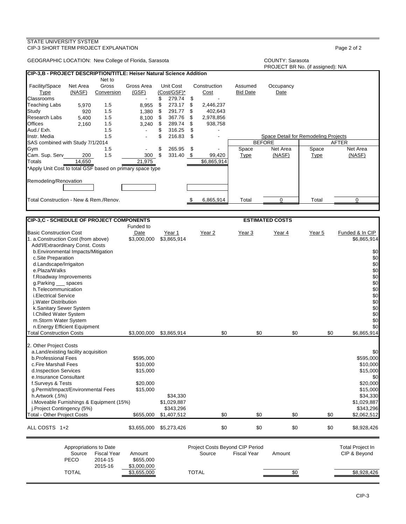## GEOGRAPHIC LOCATION: New College of Florida, Sarasota COUNTY: Sarasota COUNTY: Sarasota PROJECT BR No. (if assigned): N/A **CIP-3,B - PROJECT DESCRIPTION/TITLE: Heiser Natural Science Addition** Net to<br>Gross Facility/Space Net Area Gross Gross Area Unit Cost Construction Assumed Occupancy Type (NASF) Conversion (GSF) (Cost/GSF)\* Cost Bid Date Date Classrooms - \$ 279.74 \$ - Teaching Labs 5,970 1.5 8,955 \$ 273.17 \$ 2,446,237 Study 920 1.5 1,380 \$ 291.77 \$ 402,643 Research Labs 5,400 1.5 8,100 \$ 367.76 \$ 2,978,856<br>Offices 2,160 1.5 3,240 \$ 289.74 \$ 938,758 Offices 2,160 1.5 3,240 \$ 289.74 \$ 938,758 Aud./ Exh. 1.5 - \$ 316.25 \$ - Instr. Media 1.5 - \$ 216.83 \$ - Space Detail for Remodeling Projects SAS combined with Study 7/1/2014 BEFORE AFTER Gym 1.5 - \$ 265.95 \$ - Space Net Area Space Net Area Cam. Sup. Serv\_\_\_\_\_\_200\_\_\_\_1.5 \_\_\_\_\_\_\_\_300\_\_\$ 331.40 \_\$ 99,420 \_\_\_\_<u>Type \_\_\_\_\_\_\_(NASF)</u> \_\_\_\_\_\_\_<u>Type \_\_\_\_\_\_\_(NASF</u>) Totals 14,650 21,975 \$6,865,914 \*Apply Unit Cost to total GSF based on primary space type Remodeling/Renovation Total Construction - New & Rem./Renov.  $\text{S} = \frac{1}{6,865,914}$  Total  $\overline{0}$  Total  $\overline{0}$ **CIP-3,C - SCHEDULE OF PROJECT COMPONENTS ESTIMATED COSTS** Funded to<br>Date Basic Construction Cost Construction Cost Date Year 1 Year 2 Year 2 Year 3 Year 4 Year 5 Funded & In CIP<br>1. a.Construction Cost (from above) \$3,000,000 \$3,865,914 1. a.Construction Cost (from above) Add'l/Extraordinary Const. Costs b.Environmental Impacts/Mitigation \$0<br>
50 c.Site Preparation \$1 c.Site Preparation \$0 d.Landscape/Irrigaiton \$0<br>
e.Plaza/Walks \$0<br>
e.Plaza/Walks \$0 e.Plaza/Walks \$0

| f.Roadway Improvements<br>g.Parking ____ spaces<br>h.Telecommunication<br><i>i.Electrical Service</i><br>i. Water Distribution<br>k.Sanitary Sewer System<br>I.Chilled Water System<br>m.Storm Water System<br>n.Energy Efficient Equipment                                                                                                               |                                                                        |                                                     |                                           |                    |        |     | \$0<br>\$0<br>\$0<br>\$0<br>\$0<br>\$0<br>\$0<br>\$0<br>\$0                                                                    |
|-----------------------------------------------------------------------------------------------------------------------------------------------------------------------------------------------------------------------------------------------------------------------------------------------------------------------------------------------------------|------------------------------------------------------------------------|-----------------------------------------------------|-------------------------------------------|--------------------|--------|-----|--------------------------------------------------------------------------------------------------------------------------------|
| <b>Total Construction Costs</b>                                                                                                                                                                                                                                                                                                                           | \$3,000,000                                                            | \$3,865,914                                         | \$0                                       | \$0                | \$0    | \$0 | \$6,865,914                                                                                                                    |
| 2. Other Project Costs<br>a. Land/existing facility acquisition<br>b.Professional Fees<br>c.Fire Marshall Fees<br>d.Inspection Services<br>e.Insurance Consultant<br>f.Surveys & Tests<br>g.Permit/Impact/Environmental Fees<br>h.Artwork (.5%)<br>i. Moveable Furnishings & Equipment (15%)<br>j.Project Contingency (5%)<br>Total - Other Project Costs | \$595,000<br>\$10,000<br>\$15,000<br>\$20,000<br>\$15,000<br>\$655,000 | \$34,330<br>\$1,029,887<br>\$343,296<br>\$1,407,512 | \$0                                       | \$0                | \$0    | \$0 | \$0<br>\$595,000<br>\$10,000<br>\$15,000<br>\$0<br>\$20,000<br>\$15,000<br>\$34,330<br>\$1,029,887<br>\$343,296<br>\$2,062,512 |
| ALL COSTS 1+2                                                                                                                                                                                                                                                                                                                                             | \$3,655,000                                                            | \$5,273,426                                         | \$0                                       | \$0                | \$0    | \$0 | \$8,928,426                                                                                                                    |
| Appropriations to Date<br>Source<br><b>Fiscal Year</b><br>PECO<br>2014-15<br>2015-16                                                                                                                                                                                                                                                                      | Amount<br>\$655,000<br>\$3,000,000                                     |                                                     | Project Costs Beyond CIP Period<br>Source | <b>Fiscal Year</b> | Amount |     | <b>Total Project In</b><br>CIP & Beyond                                                                                        |
| <b>TOTAL</b>                                                                                                                                                                                                                                                                                                                                              | \$3.655.000                                                            |                                                     | <b>TOTAL</b>                              |                    | \$0    |     | \$8.928.426                                                                                                                    |

### STATE UNIVERSITY SYSTEM CIP-3 SHORT TERM PROJECT EXPLANATION Page 2 of 2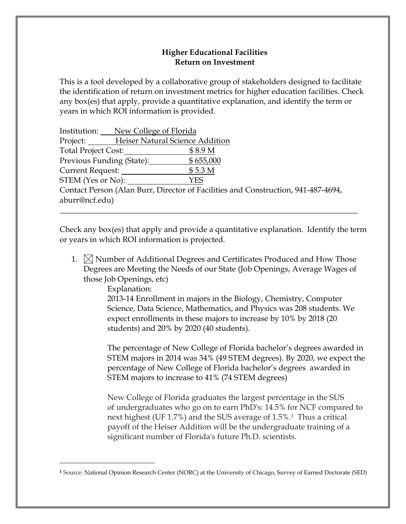# **Higher Educational Facilities Return on Investment**

This is a tool developed by a collaborative group of stakeholders designed to facilitate the identification of return on investment metrics for higher education facilities. Check any box(es) that apply, provide a quantitative explanation, and identify the term or years in which ROI information is provided.

| Institution: New College of Florida      |                                                                                   |
|------------------------------------------|-----------------------------------------------------------------------------------|
| Project: Heiser Natural Science Addition |                                                                                   |
| Total Project Cost:                      | \$8.9 <sub>M</sub>                                                                |
| Previous Funding (State):                | \$655,000                                                                         |
| Current Request:                         | \$5.3 M                                                                           |
| STEM (Yes or No):                        | <b>YES</b>                                                                        |
|                                          | Contact Person (Alan Burr, Director of Facilities and Construction, 941-487-4694, |
| aburr@ncf.edu)                           |                                                                                   |
|                                          |                                                                                   |

Check any box(es) that apply and provide a quantitative explanation. Identify the term or years in which ROI information is projected.

1.  $\boxtimes$  Number of Additional Degrees and Certificates Produced and How Those Degrees are Meeting the Needs of our State (Job Openings, Average Wages of those Job Openings, etc)

Explanation:

2013-14 Enrollment in majors in the Biology, Chemistry, Computer Science, Data Science, Mathematics, and Physics was 208 students. We expect enrollments in these majors to increase by 10% by 2018 (20 students) and 20% by 2020 (40 students).

The percentage of New College of Florida bachelor's degrees awarded in STEM majors in 2014 was 34% (49 STEM degrees). By 2020, we expect the percentage of New College of Florida bachelor's degrees awarded in STEM majors to increase to 41% (74 STEM degrees)

New College of Florida graduates the largest percentage in the SUS of undergraduates who go on to earn PhD's: 14.5% for NCF compared to next highest (UF 1.7%) and the SUS average of 1.5%.<sup>1</sup> Thus a critical payoff of the Heiser Addition will be the undergraduate training of a significant number of Florida's future Ph.D. scientists.

**<sup>1</sup>** Source: National Opinion Research Center (NORC) at the University of Chicago, Survey of Earned Doctorate (SED)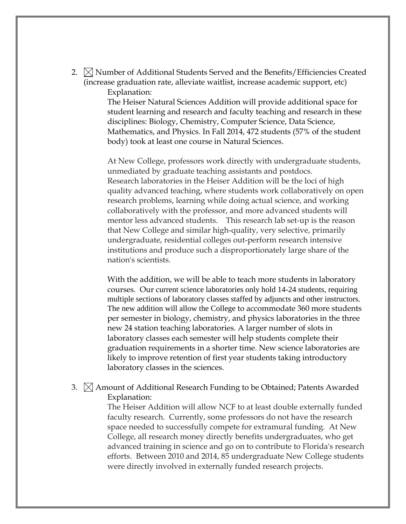2.  $\boxtimes$  Number of Additional Students Served and the Benefits/Efficiencies Created (increase graduation rate, alleviate waitlist, increase academic support, etc) Explanation:

> The Heiser Natural Sciences Addition will provide additional space for student learning and research and faculty teaching and research in these disciplines: Biology, Chemistry, Computer Science, Data Science, Mathematics, and Physics. In Fall 2014, 472 students (57% of the student body) took at least one course in Natural Sciences.

> At New College, professors work directly with undergraduate students, unmediated by graduate teaching assistants and postdocs. Research laboratories in the Heiser Addition will be the loci of high quality advanced teaching, where students work collaboratively on open research problems, learning while doing actual science, and working collaboratively with the professor, and more advanced students will mentor less advanced students. This research lab set-up is the reason that New College and similar high-quality, very selective, primarily undergraduate, residential colleges out-perform research intensive institutions and produce such a disproportionately large share of the nation's scientists.

> With the addition, we will be able to teach more students in laboratory courses. Our current science laboratories only hold 14-24 students, requiring multiple sections of laboratory classes staffed by adjuncts and other instructors. The new addition will allow the College to accommodate 360 more students per semester in biology, chemistry, and physics laboratories in the three new 24 station teaching laboratories. A larger number of slots in laboratory classes each semester will help students complete their graduation requirements in a shorter time. New science laboratories are likely to improve retention of first year students taking introductory laboratory classes in the sciences.

3.  $\boxtimes$  Amount of Additional Research Funding to be Obtained; Patents Awarded Explanation:

> The Heiser Addition will allow NCF to at least double externally funded faculty research. Currently, some professors do not have the research space needed to successfully compete for extramural funding. At New College, all research money directly benefits undergraduates, who get advanced training in science and go on to contribute to Florida's research efforts. Between 2010 and 2014, 85 undergraduate New College students were directly involved in externally funded research projects.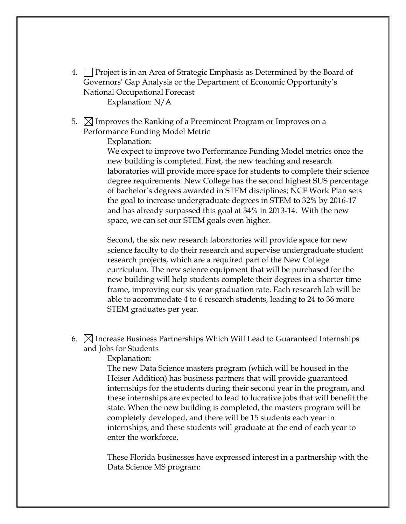- 4.  $\Box$  Project is in an Area of Strategic Emphasis as Determined by the Board of Governors' Gap Analysis or the Department of Economic Opportunity's National Occupational Forecast Explanation: N/A
- 5.  $\boxtimes$  Improves the Ranking of a Preeminent Program or Improves on a Performance Funding Model Metric

Explanation:

We expect to improve two Performance Funding Model metrics once the new building is completed. First, the new teaching and research laboratories will provide more space for students to complete their science degree requirements. New College has the second highest SUS percentage of bachelor's degrees awarded in STEM disciplines; NCF Work Plan sets the goal to increase undergraduate degrees in STEM to 32% by 2016-17 and has already surpassed this goal at 34% in 2013-14. With the new space, we can set our STEM goals even higher.

Second, the six new research laboratories will provide space for new science faculty to do their research and supervise undergraduate student research projects, which are a required part of the New College curriculum. The new science equipment that will be purchased for the new building will help students complete their degrees in a shorter time frame, improving our six year graduation rate. Each research lab will be able to accommodate 4 to 6 research students, leading to 24 to 36 more STEM graduates per year.

6.  $\bowtie$  Increase Business Partnerships Which Will Lead to Guaranteed Internships and Jobs for Students

## Explanation:

The new Data Science masters program (which will be housed in the Heiser Addition) has business partners that will provide guaranteed internships for the students during their second year in the program, and these internships are expected to lead to lucrative jobs that will benefit the state. When the new building is completed, the masters program will be completely developed, and there will be 15 students each year in internships, and these students will graduate at the end of each year to enter the workforce.

These Florida businesses have expressed interest in a partnership with the Data Science MS program: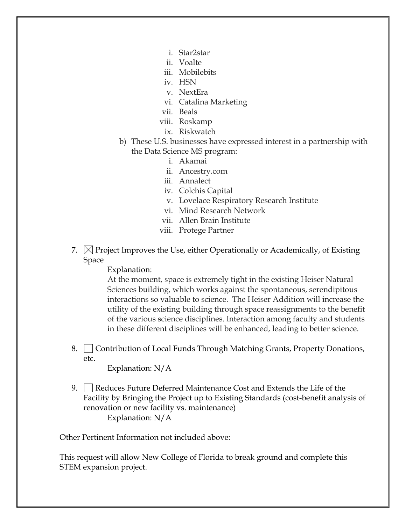- i. Star2star
- ii. Voalte
- iii. Mobilebits
- iv. HSN
- v. NextEra
- vi. Catalina Marketing
- vii. Beals
- viii. Roskamp
	- ix. Riskwatch
- b) These U.S. businesses have expressed interest in a partnership with the Data Science MS program:
	- i. Akamai
	- ii. Ancestry.com
	- iii. Annalect
	- iv. Colchis Capital
	- v. Lovelace Respiratory Research Institute
	- vi. Mind Research Network
	- vii. Allen Brain Institute
	- viii. Protege Partner
- 7.  $\boxtimes$  Project Improves the Use, either Operationally or Academically, of Existing Space

Explanation:

At the moment, space is extremely tight in the existing Heiser Natural Sciences building, which works against the spontaneous, serendipitous interactions so valuable to science. The Heiser Addition will increase the utility of the existing building through space reassignments to the benefit of the various science disciplines. Interaction among faculty and students in these different disciplines will be enhanced, leading to better science.

8. Contribution of Local Funds Through Matching Grants, Property Donations, etc.

Explanation: N/A

9. Reduces Future Deferred Maintenance Cost and Extends the Life of the Facility by Bringing the Project up to Existing Standards (cost-benefit analysis of renovation or new facility vs. maintenance) Explanation: N/A

Other Pertinent Information not included above:

This request will allow New College of Florida to break ground and complete this STEM expansion project.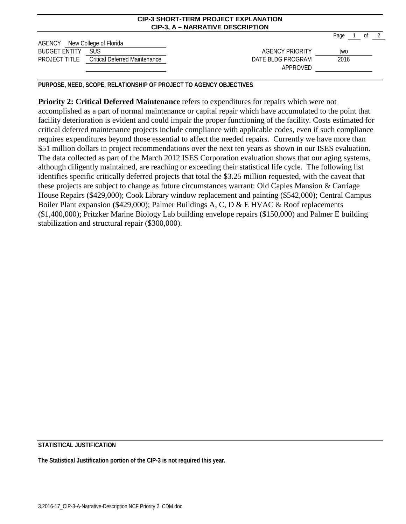|                               |                                                    | <u>UIL JUIURI LERII LIVULUI LAI LAIMIUN</u><br>CIP-3, A – NARRATIVE DESCRIPTION |      |        |
|-------------------------------|----------------------------------------------------|---------------------------------------------------------------------------------|------|--------|
| AGENCY New College of Florida |                                                    |                                                                                 | Page | of $2$ |
| <b>BUDGET ENTITY</b>          | SUS.                                               | AGENCY PRIORITY                                                                 | two  |        |
|                               | <b>PROJECT TITLE</b> Critical Deferred Maintenance | DATE BLDG PROGRAM<br>APPROVED                                                   | 2016 |        |

**CIP-3 SHORT-TERM PROJECT EXPLANATION**

**PURPOSE, NEED, SCOPE, RELATIONSHIP OF PROJECT TO AGENCY OBJECTIVES**

**Priority 2: Critical Deferred Maintenance** refers to expenditures for repairs which were not accomplished as a part of normal maintenance or capital repair which have accumulated to the point that facility deterioration is evident and could impair the proper functioning of the facility. Costs estimated for critical deferred maintenance projects include compliance with applicable codes, even if such compliance requires expenditures beyond those essential to affect the needed repairs. Currently we have more than \$51 million dollars in project recommendations over the next ten years as shown in our ISES evaluation. The data collected as part of the March 2012 ISES Corporation evaluation shows that our aging systems, although diligently maintained, are reaching or exceeding their statistical life cycle. The following list identifies specific critically deferred projects that total the \$3.25 million requested, with the caveat that these projects are subject to change as future circumstances warrant: Old Caples Mansion & Carriage House Repairs (\$429,000); Cook Library window replacement and painting (\$542,000); Central Campus Boiler Plant expansion (\$429,000); Palmer Buildings A, C, D & E HVAC & Roof replacements (\$1,400,000); Pritzker Marine Biology Lab building envelope repairs (\$150,000) and Palmer E building stabilization and structural repair (\$300,000).

## **STATISTICAL JUSTIFICATION**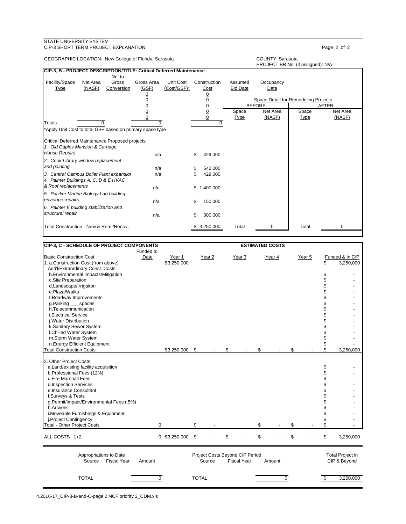### STATE UNIVERSITY SYSTEM CIP-3 SHORT TERM PROJECT EXPLANATION **Page 2** of 2

GEOGRAPHIC LOCATION: New College of Florida, Sarasota COUNTY: Sarasota

|                                                                     |          |            |                |             |    |                |                 | PROJECT BR No. (if assigned): N/A    |             |          |
|---------------------------------------------------------------------|----------|------------|----------------|-------------|----|----------------|-----------------|--------------------------------------|-------------|----------|
| CIP-3, B - PROJECT DESCRIPTION/TITLE: Critical Deferred Maintenance |          |            |                |             |    |                |                 |                                      |             |          |
|                                                                     |          | Net to     |                |             |    |                |                 |                                      |             |          |
| Facility/Space                                                      | Net Area | Gross      | Gross Area     | Unit Cost   |    | Construction   | Assumed         | Occupancy                            |             |          |
| Type                                                                | (NASF)   | Conversion | (GSF)          | (Cost/GSF)* |    | Cost           | <b>Bid Date</b> | Date                                 |             |          |
|                                                                     |          |            | <u>0</u>       |             |    | $\frac{0}{0}$  |                 |                                      |             |          |
|                                                                     |          |            | $\overline{0}$ |             |    |                |                 | Space Detail for Remodeling Projects |             |          |
|                                                                     |          |            | $\overline{0}$ |             |    |                |                 | <b>BEFORE</b>                        |             | AFTER    |
|                                                                     |          |            | $\overline{0}$ |             |    | $\overline{0}$ | Space           | Net Area                             | Space       | Net Area |
|                                                                     |          |            |                |             |    | 0              | <b>Type</b>     | (NASF)                               | <b>Type</b> | (NASF)   |
| <b>Totals</b>                                                       |          |            |                |             |    |                |                 |                                      |             |          |
| *Apply Unit Cost to total GSF based on primary space type           |          |            |                |             |    |                |                 |                                      |             |          |
| Critical Deferred Maintenance Proposed projects                     |          |            |                |             |    |                |                 |                                      |             |          |
| 1. Old Caples Mansion & Carriage                                    |          |            |                |             |    |                |                 |                                      |             |          |
| <b>House Repairs</b>                                                |          |            | n/a            |             | \$ | 429,000        |                 |                                      |             |          |
| 2. Cook Library window replacement                                  |          |            |                |             |    |                |                 |                                      |             |          |
|                                                                     |          |            |                |             |    |                |                 |                                      |             |          |
| and painting                                                        |          |            | n/a            |             | S  | 542,000        |                 |                                      |             |          |
| 3. Central Campus Boiler Plant expansior                            |          |            | n/a            |             |    | 429,000        |                 |                                      |             |          |
| 4. Palmer Buildings A, C, D & E HVAC                                |          |            |                |             |    |                |                 |                                      |             |          |
| & Roof replacements                                                 |          |            | n/a            |             | \$ | 1,400,000      |                 |                                      |             |          |
| 5. Pritzker Marine Biology Lab building                             |          |            |                |             |    |                |                 |                                      |             |          |
| envelope repairs                                                    |          |            | n/a            |             | \$ | 150,000        |                 |                                      |             |          |
|                                                                     |          |            |                |             |    |                |                 |                                      |             |          |
| 6. Palmer E building stabilization and                              |          |            |                |             |    |                |                 |                                      |             |          |
| structural repair                                                   |          |            | n/a            |             | \$ | 300,000        |                 |                                      |             |          |
| Total Construction - New & Rem./Renov.                              |          |            |                |             |    | 3,250,000      | Total           |                                      | Total       |          |
|                                                                     |          |            |                |             |    |                |                 |                                      |             |          |

| <b>CIP-3, C - SCHEDULE OF PROJECT COMPONENTS</b>                                                                                                                                                                                                                                                                                                           | Funded to   |                       |                                           |                    | <b>ESTIMATED COSTS</b> |             |        |                                                                |                                         |
|------------------------------------------------------------------------------------------------------------------------------------------------------------------------------------------------------------------------------------------------------------------------------------------------------------------------------------------------------------|-------------|-----------------------|-------------------------------------------|--------------------|------------------------|-------------|--------|----------------------------------------------------------------|-----------------------------------------|
| <b>Basic Construction Cost</b><br>1. a.Construction Cost (from above)                                                                                                                                                                                                                                                                                      | Date        | Year 1<br>\$3,250,000 | Year <sub>2</sub>                         | Year <sub>3</sub>  |                        | Year 4      | Year 5 | \$                                                             | Funded & In CIP<br>3,250,000            |
| Add'l/Extraordinary Const. Costs<br>b.Environmental Impacts/Mitigation                                                                                                                                                                                                                                                                                     |             |                       |                                           |                    |                        |             |        | \$                                                             |                                         |
| c.Site Preparation<br>d.Landscape/Irrigaiton                                                                                                                                                                                                                                                                                                               |             |                       |                                           |                    |                        |             |        | \$<br>\$                                                       |                                         |
| e.Plaza/Walks                                                                                                                                                                                                                                                                                                                                              |             |                       |                                           |                    |                        |             |        | \$                                                             |                                         |
| f.Roadway Improvements                                                                                                                                                                                                                                                                                                                                     |             |                       |                                           |                    |                        |             |        | \$                                                             |                                         |
| g.Parking ___ spaces                                                                                                                                                                                                                                                                                                                                       |             |                       |                                           |                    |                        |             |        | \$                                                             |                                         |
| h.Telecommunication<br><i>i.Electrical Service</i>                                                                                                                                                                                                                                                                                                         |             |                       |                                           |                    |                        |             |        | \$<br>\$                                                       |                                         |
| j. Water Distribution                                                                                                                                                                                                                                                                                                                                      |             |                       |                                           |                    |                        |             |        | \$                                                             |                                         |
| k.Sanitary Sewer System                                                                                                                                                                                                                                                                                                                                    |             |                       |                                           |                    |                        |             |        | \$                                                             |                                         |
| I.Chilled Water System                                                                                                                                                                                                                                                                                                                                     |             |                       |                                           |                    |                        |             |        | \$                                                             |                                         |
| m.Storm Water System                                                                                                                                                                                                                                                                                                                                       |             |                       |                                           |                    |                        |             |        | \$                                                             |                                         |
| n.Energy Efficient Equipment<br><b>Total Construction Costs</b>                                                                                                                                                                                                                                                                                            |             | \$3,250,000 \$        |                                           | \$                 | \$                     |             | \$     | \$<br>\$                                                       | 3,250,000                               |
| 2. Other Project Costs<br>a.Land/existing facility acquisition<br>b.Professional Fees (12%)<br>c.Fire Marshall Fees<br>d.Inspection Services<br>e.Insurance Consultant<br>f.Surveys & Tests<br>g.Permit/Impact/Environmental Fees (.5%)<br>h.Artwork<br>i. Moveable Furnishings & Equipment<br>j.Project Contingency<br><b>Total - Other Project Costs</b> | 0           |                       | \$                                        |                    | \$                     |             | \$     | \$<br>\$<br>\$<br>\$<br>\$<br>\$<br>\$<br>\$<br>\$<br>\$<br>\$ |                                         |
| ALL COSTS 1+2                                                                                                                                                                                                                                                                                                                                              |             | $0$ \$3,250,000 \$    |                                           | \$                 | \$                     |             | \$     | \$                                                             | 3,250,000                               |
| Appropriations to Date<br><b>Fiscal Year</b><br>Source                                                                                                                                                                                                                                                                                                     | Amount      |                       | Project Costs Beyond CIP Period<br>Source | <b>Fiscal Year</b> |                        | Amount      |        |                                                                | <b>Total Project In</b><br>CIP & Beyond |
| <b>TOTAL</b>                                                                                                                                                                                                                                                                                                                                               | $\mathbf 0$ |                       | <b>TOTAL</b>                              |                    |                        | $\mathbf 0$ |        | \$                                                             | 3,250,000                               |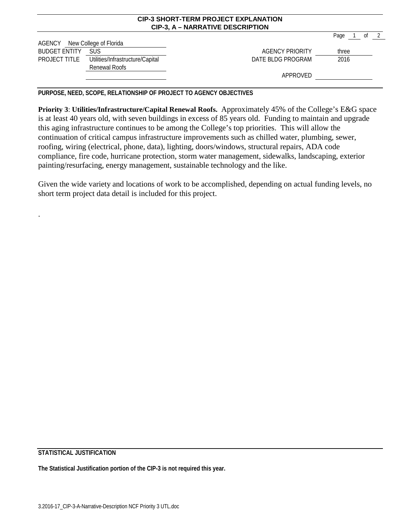|                      |                                                   | <b>CIP-3 SHORT-TERM PROJECT EXPLANATION</b><br><b>CIP-3, A - NARRATIVE DESCRIPTION</b> |                              |
|----------------------|---------------------------------------------------|----------------------------------------------------------------------------------------|------------------------------|
| AGENCY               | New College of Florida                            |                                                                                        | Page<br>$\overline{2}$<br>0t |
| <b>BUDGET ENTITY</b> | <b>SUS</b>                                        | AGENCY PRIORITY                                                                        | three                        |
| PROJECT TITLE        | Utilities/Infrastructure/Capital<br>Renewal Roofs | DATE BLDG PROGRAM                                                                      | 2016                         |
|                      |                                                   | APPROVED                                                                               |                              |

**PURPOSE, NEED, SCOPE, RELATIONSHIP OF PROJECT TO AGENCY OBJECTIVES**

**Priority 3**: **Utilities/Infrastructure/Capital Renewal Roofs.** Approximately 45% of the College's E&G space is at least 40 years old, with seven buildings in excess of 85 years old. Funding to maintain and upgrade this aging infrastructure continues to be among the College's top priorities. This will allow the continuation of critical campus infrastructure improvements such as chilled water, plumbing, sewer, roofing, wiring (electrical, phone, data), lighting, doors/windows, structural repairs, ADA code compliance, fire code, hurricane protection, storm water management, sidewalks, landscaping, exterior painting/resurfacing, energy management, sustainable technology and the like.

Given the wide variety and locations of work to be accomplished, depending on actual funding levels, no short term project data detail is included for this project.

**STATISTICAL JUSTIFICATION**

.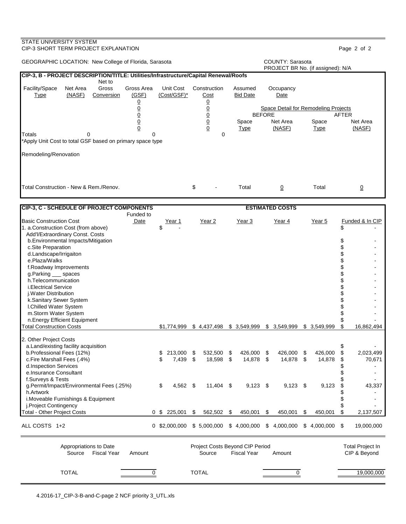## CIP-3 SHORT TERM PROJECT EXPLANATION Page 2 of 2 GEOGRAPHIC LOCATION: New College of Florida, Sarasota **COUNTY: Sarasota** COUNTY: Sarasota PROJECT BR No. (if assigned): N/A **CIP-3, B - PROJECT DESCRIPTION/TITLE: Utilities/Infrastructure/Capital Renewal/Roofs** Net to Facility/Space Net Area Gross Gross Area Unit Cost Construction Assumed Occupancy<br>
Type (NASF) Conversion (GSF) (Cost/GSF)\* Cost Bid Date Date Type (NASF) Conversion (GSF) (Cost/GSF)\* Cost Bid Date Date <u>0</u> <u>0</u> 0 0 0 Space Detail for Remodeling Projects 0 0 BEFORE AFTER 0 0 Space Net Area Space Net Area 0 0 Type (NASF) Type (NASF) Totals 0 0 0 \*Apply Unit Cost to total GSF based on primary space type Remodeling/Renovation Total Construction - New & Rem./Renov.  $\qquad \qquad \$   $\qquad \qquad \$ **CIP-3, C - SCHEDULE OF PROJECT COMPONENTS ESTIMATED COSTS** Funded to Basic Construction Cost The State Tear 1 Year 2 Year 3 Year 4 Year 5 Funded & In CIP 1. a.Construction Cost (from above) \$ - \$ - Add'l/Extraordinary Const. Costs b.Environmental Impacts/Mitigation \$ c.Site Preparation \$ d.Landscape/Irrigaiton \$ e.Plaza/Walks \$ f.Roadway Improvements \$ g.Parking \_\_\_ spaces \$ h.Telecommunication \$ i.Electrical Service \$ j.Water Distribution \$ k.Sanitary Sewer System  $\sim$ l.Chilled Water System  $\begin{array}{ccc} \text{\$} & \text{\$} & \text{\$} \end{array}$  -m.Storm Water System  $\begin{array}{ccc} \text{\$} & \text{\$} & \text{\$} \end{array}$ m.Storm Water System n.Energy Efficient Equipment \$ -  $$1,774,999$   $$4,437,498$   $$3,549,999$   $$3,549,999$   $$3,549,999$ 2. Other Project Costs a.Land/existing facility acquisition<br>
b.Professional Fees (12%) b.Professional Fees (12%) b.Professional Fees (12%) b.Professional Fees (12%) b.Professional Fees (12%) b.Professional Fees (12%)  $$213,000 \ $532,500 \ $426,000 \ $426,000 \ $$  c.Fire Marshall Fees (.4%) \$ 7,439 \$ 18,598 \$ 14,878 \$ 14,878 \$ 14,878 \$ 70,671 d.Inspection Services \$ e.Insurance Consultant  $\sim$  f.Surveys & Tests \$ g.Permit/Impact/Environmental Fees (.25%)  $$ 4,562 \$ 11,404 \$ 9,123 \$ 9,123 \$ 9,123 \$ 9,123 \$ 43,337$  h.Artwork \$ i.Moveable Furnishings & Equipment \$ j.Project Contingency  $\sim$ Total - Other Project Costs 0 \$ 225,001 \$ 562,502 \$ 450,001 \$ 450,001 \$ 450,001 \$ 2,137,507 ALL COSTS 1+2 0 \$2,000,000 \$ 5,000,000 \$ 4,000,000 \$ 4,000,000 \$ 4,000,000 \$ 19,000,000 Appropriations to Date **Project Costs Beyond CIP Period** Period Total Project In Source Fiscal Year Amount Source Fiscal Year Amount CIP & Beyond TOTAL 0 TOTAL 0 19,000,000

STATE UNIVERSITY SYSTEM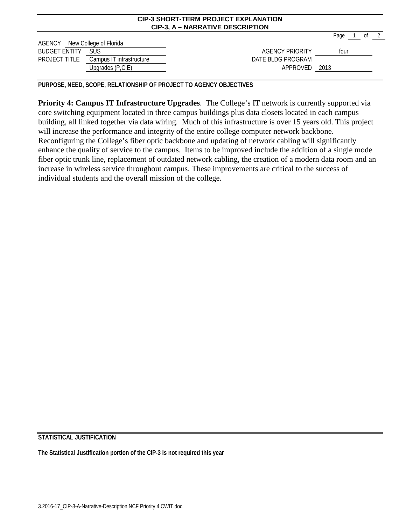|                               |                                        | CIP-3, A – NARRATIVE DESCRIPTION |      |      |    |  |
|-------------------------------|----------------------------------------|----------------------------------|------|------|----|--|
|                               |                                        |                                  | Page |      | 0ľ |  |
| AGENCY New College of Florida |                                        |                                  |      |      |    |  |
| <b>BUDGET ENTITY</b>          | -SUS                                   | <b>AGENCY PRIORITY</b>           |      | four |    |  |
|                               | PROJECT TITLE Campus IT infrastructure | DATE BLDG PROGRAM                |      |      |    |  |
|                               | Upgrades (P,C,E)                       | APPROVED 2013                    |      |      |    |  |

**CIP-3 SHORT-TERM PROJECT EXPLANATION**

**PURPOSE, NEED, SCOPE, RELATIONSHIP OF PROJECT TO AGENCY OBJECTIVES**

**Priority 4: Campus IT Infrastructure Upgrades**. The College's IT network is currently supported via core switching equipment located in three campus buildings plus data closets located in each campus building, all linked together via data wiring. Much of this infrastructure is over 15 years old. This project will increase the performance and integrity of the entire college computer network backbone. Reconfiguring the College's fiber optic backbone and updating of network cabling will significantly enhance the quality of service to the campus. Items to be improved include the addition of a single mode fiber optic trunk line, replacement of outdated network cabling, the creation of a modern data room and an increase in wireless service throughout campus. These improvements are critical to the success of individual students and the overall mission of the college.

**STATISTICAL JUSTIFICATION**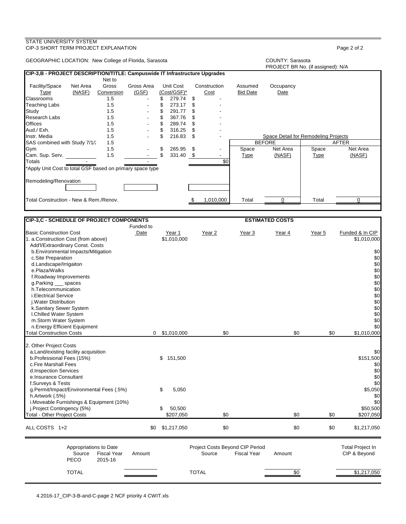| STATE UNIVERSITY SYSTEM<br>CIP-3 SHORT TERM PROJECT EXPLANATION            |            |                 |                 |                 |                                      |                                   | Page 2 of 2     |
|----------------------------------------------------------------------------|------------|-----------------|-----------------|-----------------|--------------------------------------|-----------------------------------|-----------------|
| GEOGRAPHIC LOCATION: New College of Florida, Sarasota                      |            |                 |                 |                 | <b>COUNTY: Sarasota</b>              | PROJECT BR No. (if assigned): N/A |                 |
| CIP-3,B - PROJECT DESCRIPTION/TITLE: Campuswide IT Infrastructure Upgrades |            |                 |                 |                 |                                      |                                   |                 |
| Net to                                                                     |            |                 |                 |                 |                                      |                                   |                 |
| Facility/Space<br>Net Area<br>Gross                                        | Gross Area | Unit Cost       | Construction    | Assumed         | Occupancy                            |                                   |                 |
| (NASF)<br><b>Type</b><br>Conversion                                        | (GSF)      | (Cost/GSF)*     | Cost            | <b>Bid Date</b> | Date                                 |                                   |                 |
| Classrooms<br>1.5                                                          |            | \$<br>279.74    | \$              |                 |                                      |                                   |                 |
| Teaching Labs<br>1.5                                                       |            | \$<br>273.17    | \$              |                 |                                      |                                   |                 |
| Study<br>1.5                                                               |            | \$<br>291.77    | \$              |                 |                                      |                                   |                 |
| Research Labs<br>1.5                                                       |            | \$<br>367.76    | \$              |                 |                                      |                                   |                 |
| Offices<br>1.5                                                             |            | \$<br>289.74    | \$              |                 |                                      |                                   |                 |
| Aud./ Exh.<br>1.5                                                          |            | \$<br>316.25    | \$              |                 |                                      |                                   |                 |
| 1.5<br>Instr. Media                                                        |            | \$<br>216.83    | \$              |                 | Space Detail for Remodeling Projects |                                   |                 |
| SAS combined with Study 7/1/2<br>1.5                                       |            |                 |                 |                 | <b>BEFORE</b>                        |                                   | AFTER           |
| 1.5<br>Gym                                                                 |            | \$<br>265.95    | \$              | Space           | Net Area                             | Space                             | Net Area        |
| 1.5<br>Cam. Sup. Serv.                                                     |            | \$<br>331.40 \$ |                 | <b>Type</b>     | (NASF)                               | <u>Type</u>                       | (NASF)          |
| Totals                                                                     |            |                 | \$0             |                 |                                      |                                   |                 |
| 'Apply Unit Cost to total GSF based on primary space type                  |            |                 |                 |                 |                                      |                                   |                 |
|                                                                            |            |                 |                 |                 |                                      |                                   |                 |
| Remodeling/Renovation                                                      |            |                 |                 |                 |                                      |                                   |                 |
|                                                                            |            |                 |                 |                 |                                      |                                   |                 |
|                                                                            |            |                 |                 |                 |                                      |                                   |                 |
| Total Construction - New & Rem./Renov.                                     |            |                 | 1,010,000<br>\$ | Total           | 0                                    | Total                             | 0               |
|                                                                            |            |                 |                 |                 |                                      |                                   |                 |
|                                                                            |            |                 |                 |                 |                                      |                                   |                 |
| <b>CIP-3,C - SCHEDULE OF PROJECT COMPONENTS</b>                            |            |                 |                 |                 | <b>ESTIMATED COSTS</b>               |                                   |                 |
|                                                                            | Funded to  |                 |                 |                 |                                      |                                   |                 |
| <b>Basic Construction Cost</b>                                             | Date       | Year 1          | Year 2          | Year 3          | Year 4                               | Year 5                            | Funded & In CIP |
| 1. a.Construction Cost (from above)<br>Add'l/Extraordinary Const. Costs    |            | \$1,010,000     |                 |                 |                                      |                                   | \$1,010,000     |
| b. Environmental Impacts/Mitigation                                        |            |                 |                 |                 |                                      |                                   | \$0             |
| c.Site Preparation                                                         |            |                 |                 |                 |                                      |                                   | \$0             |
| d.Landscape/Irrigaiton                                                     |            |                 |                 |                 |                                      |                                   | \$0             |
| e.Plaza/Walks                                                              |            |                 |                 |                 |                                      |                                   | \$0             |
| f.Roadway Improvements                                                     |            |                 |                 |                 |                                      |                                   | \$0             |
| g.Parking __ spaces                                                        |            |                 |                 |                 |                                      |                                   | $$0$            |
| h.Telecommunication                                                        |            |                 |                 |                 |                                      |                                   | \$0             |
| <i>i.Electrical Service</i>                                                |            |                 |                 |                 |                                      |                                   | \$0             |
| j. Water Distribution                                                      |            |                 |                 |                 |                                      |                                   | \$0             |
| k.Sanitary Sewer System                                                    |            |                 |                 |                 |                                      |                                   | \$0             |
| I.Chilled Water System                                                     |            |                 |                 |                 |                                      |                                   | \$0             |
| m.Storm Water System                                                       |            |                 |                 |                 |                                      |                                   | \$0             |
| n.Energy Efficient Equipment                                               |            |                 |                 |                 |                                      |                                   | \$0             |
| <b>Total Construction Costs</b>                                            |            | $0$ \$1,010,000 | \$0             |                 | \$0                                  | \$0                               | \$1.010.000     |
|                                                                            |            |                 |                 |                 |                                      |                                   |                 |
| 2. Other Project Costs                                                     |            |                 |                 |                 |                                      |                                   |                 |
| a.Land/existing facility acquisition                                       |            |                 |                 |                 |                                      |                                   | \$0             |
| b.Professional Fees (15%)                                                  |            | \$151,500       |                 |                 |                                      |                                   | \$151,500       |
| c.Fire Marshall Fees                                                       |            |                 |                 |                 |                                      |                                   | \$0             |
| d.Inspection Services                                                      |            |                 |                 |                 |                                      |                                   | \$0             |
| e.Insurance Consultant                                                     |            |                 |                 |                 |                                      |                                   | \$0             |
| f.Surveys & Tests                                                          |            |                 |                 |                 |                                      |                                   | \$0             |
| g.Permit/Impact/Environmental Fees (.5%)                                   |            | \$<br>5,050     |                 |                 |                                      |                                   | \$5,050         |
| h.Artwork (.5%)                                                            |            |                 |                 |                 |                                      |                                   | \$0             |
| i. Moveable Furnishings & Equipment (10%)                                  |            |                 |                 |                 |                                      |                                   | \$0             |
| j.Project Contingency (5%)                                                 |            | 50,500<br>\$    |                 |                 |                                      |                                   | \$50,500        |
| <b>Total - Other Project Costs</b>                                         |            | \$207,050       | \$0             |                 | \$0                                  | \$0                               | \$207,050       |
|                                                                            |            |                 |                 |                 |                                      |                                   |                 |
| ALL COSTS 1+2                                                              |            | \$0 \$1,217,050 | \$0             |                 | \$0                                  | \$0                               | \$1,217,050     |

|                       | Appropriations to Date |        |              | Project Costs Beyond CIP Period |        | Total Project In |
|-----------------------|------------------------|--------|--------------|---------------------------------|--------|------------------|
| Source<br><b>PECO</b> | Fiscal Year<br>2015-16 | Amount | Source       | <b>Fiscal Year</b>              | Amount | CIP & Beyond     |
| <b>TOTAL</b>          |                        |        | <b>TOTAL</b> |                                 | \$0    | \$1,217,050      |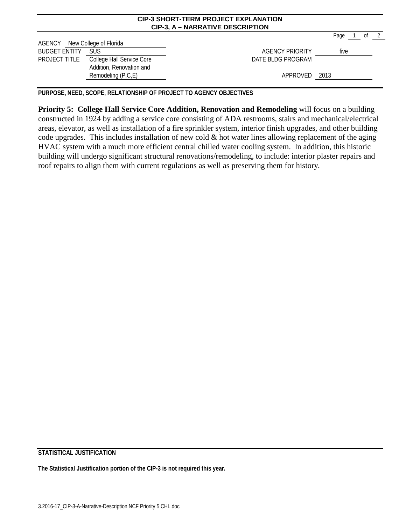|                               |                                         | <b>CIP-3, A - NARRATIVE DESCRIPTION</b> |      |        |      |
|-------------------------------|-----------------------------------------|-----------------------------------------|------|--------|------|
|                               |                                         |                                         |      | Page 1 | of 2 |
| AGENCY New College of Florida |                                         |                                         |      |        |      |
| <b>BUDGET ENTITY</b>          | <b>SUS</b>                              | AGENCY PRIORITY                         | five |        |      |
|                               | PROJECT TITLE College Hall Service Core | DATE BLDG PROGRAM                       |      |        |      |
|                               | Addition, Renovation and                |                                         |      |        |      |
|                               | Remodeling (P,C,E)                      | APPROVED 2013                           |      |        |      |
|                               |                                         |                                         |      |        |      |

**CIP-3 SHORT-TERM PROJECT EXPLANATION**

**PURPOSE, NEED, SCOPE, RELATIONSHIP OF PROJECT TO AGENCY OBJECTIVES**

**Priority 5: College Hall Service Core Addition, Renovation and Remodeling** will focus on a building constructed in 1924 by adding a service core consisting of ADA restrooms, stairs and mechanical/electrical areas, elevator, as well as installation of a fire sprinkler system, interior finish upgrades, and other building code upgrades. This includes installation of new cold  $\&$  hot water lines allowing replacement of the aging HVAC system with a much more efficient central chilled water cooling system. In addition, this historic building will undergo significant structural renovations/remodeling, to include: interior plaster repairs and roof repairs to align them with current regulations as well as preserving them for history.

**STATISTICAL JUSTIFICATION**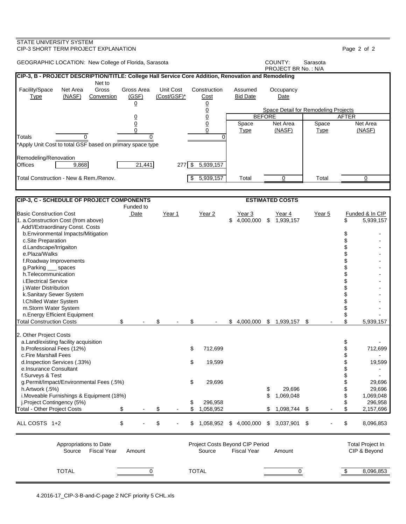### STATE UNIVERSITY SYSTEM CIP-3 SHORT TERM PROJECT EXPLANATION Page 2 of 2 GEOGRAPHIC LOCATION: New College of Florida, Sarasota **COUNTY:** Sarasota PROJECT BR No. : N/A **CIP-3, B - PROJECT DESCRIPTION/TITLE: College Hall Service Core Addition, Renovation and Remodeling** Net to Facility/Space Net Area Gross Gross Area Unit Cost Construction Assumed Occupancy Type (NASF) Conversion (GSF) (Cost/GSF)\* Cost Bid Date Date <u>0</u> <u>0</u> 0 Space Detail for Remodeling Projects<br>0 BEFORE 0 0 BEFORE AFTER <u>0</u> 0 | Space Net Area | Space Net Area 0 0 Type (NASF) Type (NASF) Totals 0 0 0 \*Apply Unit Cost to total GSF based on primary space type Remodeling/Renovation<br>Offices 19,868 21,441 277 \$ 5,939,157 Total Construction - New & Rem./Renov. \$ 5,939,157 Total 0 Total 0 **CIP-3, C - SCHEDULE OF PROJECT COMPONENTS ESTIMATED COSTS** Funded to Basic Construction Cost Date Year 1 Year 2 Year 3 Year 4 Year 5 Funded & In CIP 1. a.Construction Cost (from above) 6 1,939,157 \$ 5,4,000,000 \$ 5,1,939,157 Add'l/Extraordinary Const. Costs b.Environmental Impacts/Mitigation  $\sim$ c.Site Preparation  $\qquad \qquad \mathbb{S}$  - c.Site Preparation  $\qquad \qquad \mathbb{S}$  d.Landscape/Irrigaiton \$ e.Plaza/Walks \$ f.Roadway Improvements \$ g.Parking \_\_\_ spaces h.Telecommunication \$<br>i.Electrical Service \$ i.Electrical Service \$<br>i.Water Distribution \$ j.Water Distribution \$ k.Sanitary Sewer System  $\qquad$ I.Chilled Water System m.Storm Water System  $\frac{1}{3}$  n.Energy Efficient Equipment \$ -  $\text{\$}$  - \$ - \$ 5,000,000 \$ 1,939,157 \$ 2. Other Project Costs a.Land/existing facility acquisition \$ b.Professional Fees (12%)  $\qquad \qquad$  8 712,699  $\qquad \qquad$  712,699  $\qquad \qquad$  712,699 c.Fire Marshall Fees \$ d.Inspection Services (.33%) \$ 19,599 \$ 19,599 e.Insurance Consultant  $\sim$  f.Surveys & Test \$ g.Permit/Impact/Environmental Fees (.5%)  $$29,696$ <br>
h.Artwork (.5%) \$29,696 \$29,696 h.Artwork (.5%) \$29,696 i.Moveable Furnishings & Equipment (18%) \$ 1,069,048 \$ 1,069,048<br>j.Project Contingency (5%) \$ 296,958 \$ 296.958 \$ 1.098.744 \$ 1.098.744 \$ 296,958 \$ 296,958 \$ 296,958 \$ \$ 296,958 \$ \$ 296,958 \$ \$  $\frac{1}{3}$ Total - Other Project Costs \$ - \$ - \$ 1,058,952 \$ 1,098,744 \$ - \$ 2,157,696 ALL COSTS 1+2  $$ - $ 5 - $ 1,058,952 \text{ $} 4,000,000 \text{ $} 3,037,901 \text{ $} 5 \text{ $} 8,096,853$ Appropriations to Date **Accord COSTS** Project Costs Beyond CIP Period Total Project In Source Fiscal Year Amount Source Fiscal Year Amount CIP & Beyond TOTAL 0 TOTAL 0 \$ 8,096,853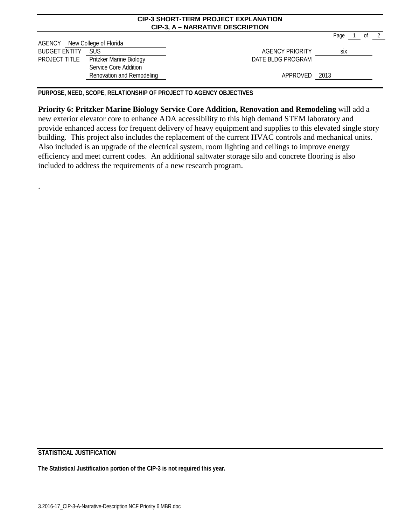|                               |                           | <b>CIP-3 SHORT-TERM PROJECT EXPLANATION</b><br><b>CIP-3, A - NARRATIVE DESCRIPTION</b> |            |      |  |
|-------------------------------|---------------------------|----------------------------------------------------------------------------------------|------------|------|--|
|                               |                           |                                                                                        | Page 1     | of 2 |  |
| AGENCY New College of Florida |                           |                                                                                        |            |      |  |
| <b>BUDGET ENTITY</b>          | <b>SUS</b>                | AGENCY PRIORITY                                                                        | <b>SİX</b> |      |  |
| PROJECT TITLE                 | Pritzker Marine Biology   | DATE BLDG PROGRAM                                                                      |            |      |  |
|                               | Service Core Addition     |                                                                                        |            |      |  |
|                               | Renovation and Remodeling | APPROVED 2013                                                                          |            |      |  |
|                               |                           |                                                                                        |            |      |  |

**PURPOSE, NEED, SCOPE, RELATIONSHIP OF PROJECT TO AGENCY OBJECTIVES**

**Priority 6: Pritzker Marine Biology Service Core Addition, Renovation and Remodeling** will add a new exterior elevator core to enhance ADA accessibility to this high demand STEM laboratory and provide enhanced access for frequent delivery of heavy equipment and supplies to this elevated single story building. This project also includes the replacement of the current HVAC controls and mechanical units. Also included is an upgrade of the electrical system, room lighting and ceilings to improve energy efficiency and meet current codes. An additional saltwater storage silo and concrete flooring is also included to address the requirements of a new research program.

**STATISTICAL JUSTIFICATION**

.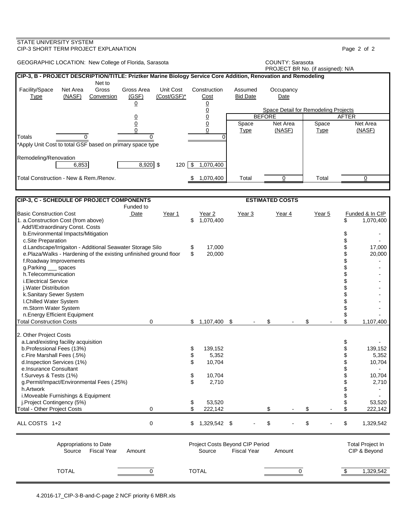| <b>COUNTY: Sarasota</b><br>GEOGRAPHIC LOCATION: New College of Florida, Sarasota<br>PROJECT BR No. (if assigned): N/A<br>CIP-3, B - PROJECT DESCRIPTION/TITLE: Priztker Marine Biology Service Core Addition, Renovation and Remodeling<br>Net to<br>Unit Cost<br>Net Area<br>Gross<br>Gross Area<br>Construction<br>Assumed<br>Occupancy<br>(NASF)<br>(GSF)<br>(Cost/GSF)*<br><b>Bid Date</b><br><b>Type</b><br>Conversion<br><u>Cost</u><br>Date<br>$\overline{0}$<br>$\overline{0}$<br>$\overline{0}$<br><b>Space Detail for Remodeling Projects</b><br>$\underline{0}$<br><b>BEFORE</b><br><b>AFTER</b><br>$\overline{0}$<br>$\underline{0}$<br>Net Area<br>$\underline{0}$<br>Space<br>Net Area<br>Space<br>$\Omega$<br>(NASF)<br>(NASF)<br>$\Omega$<br><b>Type</b><br><b>Type</b><br>0<br>$\Omega$<br>$\Omega$<br>*Apply Unit Cost to total GSF based on primary space type<br>Remodeling/Renovation<br>$8,920$ \$<br>$\sqrt{3}$<br>1,070,400<br>6,853<br>120<br>1,070,400<br>Total<br>$\Omega$<br>Total<br>$\Omega$<br>CIP-3, C - SCHEDULE OF PROJECT COMPONENTS<br><b>ESTIMATED COSTS</b><br>Funded to<br>Date<br>Funded & In CIP<br>Year 1<br>Year 3<br>Year 4<br>Year 5<br>Year 2<br>\$<br>1,070,400<br>1,070,400<br>\$<br>Add'l/Extraordinary Const. Costs<br>b. Environmental Impacts/Mitigation<br>\$<br>c.Site Preparation<br>d.Landscape/Irrigaiton - Additional Seawater Storage Silo<br>17,000<br>\$<br>17,000<br>\$<br>e.Plaza/Walks - Hardening of the existing unfinished ground floor<br>\$<br>20,000<br>20,000<br>f.Roadway Improvements<br>g.Parking __ spaces<br>h.Telecommunication<br>i.Electrical Service<br>j. Water Distribution<br>k.Sanitary Sewer System<br>I.Chilled Water System<br>m.Storm Water System<br>n.Energy Efficient Equipment<br>\$<br>0<br>1,107,400<br>\$<br>\$<br>1,107,400<br>\$<br>\$<br>a.Land/existing facility acquisition<br>\$<br>b.Professional Fees (13%)<br>\$<br>139,152<br>139,152<br>\$<br>c.Fire Marshall Fees (.5%)<br>5,352<br>5,352<br>\$<br>\$<br>10,704<br>10,704<br>d.Inspection Services (1%)<br>e.Insurance Consultant<br>f.Surveys & Tests (1%)<br>10,704<br>10,704<br>\$<br>\$<br>g.Permit/Impact/Environmental Fees (.25%)<br>2,710<br>2,710<br>h.Artwork<br>\$<br>i. Moveable Furnishings & Equipment<br>j.Project Contingency (5%)<br>53,520<br>53,520<br>\$<br><b>Total - Other Project Costs</b><br>0<br>222,142<br>\$<br>\$<br>222,142<br>\$<br>$\pmb{0}$<br>\$<br>\$<br>\$<br>1,329,542 \$<br>1,329,542<br>Project Costs Beyond CIP Period<br><b>Total Project In</b><br>Appropriations to Date<br><b>Fiscal Year</b><br>Source<br><b>Fiscal Year</b><br>CIP & Beyond<br>Source<br>Amount<br>Amount | STATE UNIVERSITY SYSTEM<br>CIP-3 SHORT TERM PROJECT EXPLANATION       |   |              |   |                     | Page 2 of 2 |
|------------------------------------------------------------------------------------------------------------------------------------------------------------------------------------------------------------------------------------------------------------------------------------------------------------------------------------------------------------------------------------------------------------------------------------------------------------------------------------------------------------------------------------------------------------------------------------------------------------------------------------------------------------------------------------------------------------------------------------------------------------------------------------------------------------------------------------------------------------------------------------------------------------------------------------------------------------------------------------------------------------------------------------------------------------------------------------------------------------------------------------------------------------------------------------------------------------------------------------------------------------------------------------------------------------------------------------------------------------------------------------------------------------------------------------------------------------------------------------------------------------------------------------------------------------------------------------------------------------------------------------------------------------------------------------------------------------------------------------------------------------------------------------------------------------------------------------------------------------------------------------------------------------------------------------------------------------------------------------------------------------------------------------------------------------------------------------------------------------------------------------------------------------------------------------------------------------------------------------------------------------------------------------------------------------------------------------------------------------------------------------------------------------------------------------------------------------------------------------------------------------------------------------------------------------------------------------------------------------------------------------------------------------------------------------|-----------------------------------------------------------------------|---|--------------|---|---------------------|-------------|
|                                                                                                                                                                                                                                                                                                                                                                                                                                                                                                                                                                                                                                                                                                                                                                                                                                                                                                                                                                                                                                                                                                                                                                                                                                                                                                                                                                                                                                                                                                                                                                                                                                                                                                                                                                                                                                                                                                                                                                                                                                                                                                                                                                                                                                                                                                                                                                                                                                                                                                                                                                                                                                                                                    |                                                                       |   |              |   |                     |             |
|                                                                                                                                                                                                                                                                                                                                                                                                                                                                                                                                                                                                                                                                                                                                                                                                                                                                                                                                                                                                                                                                                                                                                                                                                                                                                                                                                                                                                                                                                                                                                                                                                                                                                                                                                                                                                                                                                                                                                                                                                                                                                                                                                                                                                                                                                                                                                                                                                                                                                                                                                                                                                                                                                    |                                                                       |   |              |   |                     |             |
|                                                                                                                                                                                                                                                                                                                                                                                                                                                                                                                                                                                                                                                                                                                                                                                                                                                                                                                                                                                                                                                                                                                                                                                                                                                                                                                                                                                                                                                                                                                                                                                                                                                                                                                                                                                                                                                                                                                                                                                                                                                                                                                                                                                                                                                                                                                                                                                                                                                                                                                                                                                                                                                                                    | Facility/Space                                                        |   |              |   |                     |             |
|                                                                                                                                                                                                                                                                                                                                                                                                                                                                                                                                                                                                                                                                                                                                                                                                                                                                                                                                                                                                                                                                                                                                                                                                                                                                                                                                                                                                                                                                                                                                                                                                                                                                                                                                                                                                                                                                                                                                                                                                                                                                                                                                                                                                                                                                                                                                                                                                                                                                                                                                                                                                                                                                                    |                                                                       |   |              |   |                     |             |
|                                                                                                                                                                                                                                                                                                                                                                                                                                                                                                                                                                                                                                                                                                                                                                                                                                                                                                                                                                                                                                                                                                                                                                                                                                                                                                                                                                                                                                                                                                                                                                                                                                                                                                                                                                                                                                                                                                                                                                                                                                                                                                                                                                                                                                                                                                                                                                                                                                                                                                                                                                                                                                                                                    |                                                                       |   |              |   |                     |             |
|                                                                                                                                                                                                                                                                                                                                                                                                                                                                                                                                                                                                                                                                                                                                                                                                                                                                                                                                                                                                                                                                                                                                                                                                                                                                                                                                                                                                                                                                                                                                                                                                                                                                                                                                                                                                                                                                                                                                                                                                                                                                                                                                                                                                                                                                                                                                                                                                                                                                                                                                                                                                                                                                                    |                                                                       |   |              |   |                     |             |
|                                                                                                                                                                                                                                                                                                                                                                                                                                                                                                                                                                                                                                                                                                                                                                                                                                                                                                                                                                                                                                                                                                                                                                                                                                                                                                                                                                                                                                                                                                                                                                                                                                                                                                                                                                                                                                                                                                                                                                                                                                                                                                                                                                                                                                                                                                                                                                                                                                                                                                                                                                                                                                                                                    | Totals                                                                |   |              |   |                     |             |
|                                                                                                                                                                                                                                                                                                                                                                                                                                                                                                                                                                                                                                                                                                                                                                                                                                                                                                                                                                                                                                                                                                                                                                                                                                                                                                                                                                                                                                                                                                                                                                                                                                                                                                                                                                                                                                                                                                                                                                                                                                                                                                                                                                                                                                                                                                                                                                                                                                                                                                                                                                                                                                                                                    |                                                                       |   |              |   |                     |             |
|                                                                                                                                                                                                                                                                                                                                                                                                                                                                                                                                                                                                                                                                                                                                                                                                                                                                                                                                                                                                                                                                                                                                                                                                                                                                                                                                                                                                                                                                                                                                                                                                                                                                                                                                                                                                                                                                                                                                                                                                                                                                                                                                                                                                                                                                                                                                                                                                                                                                                                                                                                                                                                                                                    |                                                                       |   |              |   |                     |             |
|                                                                                                                                                                                                                                                                                                                                                                                                                                                                                                                                                                                                                                                                                                                                                                                                                                                                                                                                                                                                                                                                                                                                                                                                                                                                                                                                                                                                                                                                                                                                                                                                                                                                                                                                                                                                                                                                                                                                                                                                                                                                                                                                                                                                                                                                                                                                                                                                                                                                                                                                                                                                                                                                                    | Total Construction - New & Rem./Renov.                                |   |              |   |                     |             |
|                                                                                                                                                                                                                                                                                                                                                                                                                                                                                                                                                                                                                                                                                                                                                                                                                                                                                                                                                                                                                                                                                                                                                                                                                                                                                                                                                                                                                                                                                                                                                                                                                                                                                                                                                                                                                                                                                                                                                                                                                                                                                                                                                                                                                                                                                                                                                                                                                                                                                                                                                                                                                                                                                    |                                                                       |   |              |   |                     |             |
|                                                                                                                                                                                                                                                                                                                                                                                                                                                                                                                                                                                                                                                                                                                                                                                                                                                                                                                                                                                                                                                                                                                                                                                                                                                                                                                                                                                                                                                                                                                                                                                                                                                                                                                                                                                                                                                                                                                                                                                                                                                                                                                                                                                                                                                                                                                                                                                                                                                                                                                                                                                                                                                                                    |                                                                       |   |              |   |                     |             |
|                                                                                                                                                                                                                                                                                                                                                                                                                                                                                                                                                                                                                                                                                                                                                                                                                                                                                                                                                                                                                                                                                                                                                                                                                                                                                                                                                                                                                                                                                                                                                                                                                                                                                                                                                                                                                                                                                                                                                                                                                                                                                                                                                                                                                                                                                                                                                                                                                                                                                                                                                                                                                                                                                    | <b>Basic Construction Cost</b><br>1. a.Construction Cost (from above) |   |              |   |                     |             |
|                                                                                                                                                                                                                                                                                                                                                                                                                                                                                                                                                                                                                                                                                                                                                                                                                                                                                                                                                                                                                                                                                                                                                                                                                                                                                                                                                                                                                                                                                                                                                                                                                                                                                                                                                                                                                                                                                                                                                                                                                                                                                                                                                                                                                                                                                                                                                                                                                                                                                                                                                                                                                                                                                    |                                                                       |   |              |   |                     |             |
|                                                                                                                                                                                                                                                                                                                                                                                                                                                                                                                                                                                                                                                                                                                                                                                                                                                                                                                                                                                                                                                                                                                                                                                                                                                                                                                                                                                                                                                                                                                                                                                                                                                                                                                                                                                                                                                                                                                                                                                                                                                                                                                                                                                                                                                                                                                                                                                                                                                                                                                                                                                                                                                                                    |                                                                       |   |              |   |                     |             |
|                                                                                                                                                                                                                                                                                                                                                                                                                                                                                                                                                                                                                                                                                                                                                                                                                                                                                                                                                                                                                                                                                                                                                                                                                                                                                                                                                                                                                                                                                                                                                                                                                                                                                                                                                                                                                                                                                                                                                                                                                                                                                                                                                                                                                                                                                                                                                                                                                                                                                                                                                                                                                                                                                    |                                                                       |   |              |   |                     |             |
|                                                                                                                                                                                                                                                                                                                                                                                                                                                                                                                                                                                                                                                                                                                                                                                                                                                                                                                                                                                                                                                                                                                                                                                                                                                                                                                                                                                                                                                                                                                                                                                                                                                                                                                                                                                                                                                                                                                                                                                                                                                                                                                                                                                                                                                                                                                                                                                                                                                                                                                                                                                                                                                                                    |                                                                       |   |              |   |                     |             |
|                                                                                                                                                                                                                                                                                                                                                                                                                                                                                                                                                                                                                                                                                                                                                                                                                                                                                                                                                                                                                                                                                                                                                                                                                                                                                                                                                                                                                                                                                                                                                                                                                                                                                                                                                                                                                                                                                                                                                                                                                                                                                                                                                                                                                                                                                                                                                                                                                                                                                                                                                                                                                                                                                    |                                                                       |   |              |   |                     |             |
|                                                                                                                                                                                                                                                                                                                                                                                                                                                                                                                                                                                                                                                                                                                                                                                                                                                                                                                                                                                                                                                                                                                                                                                                                                                                                                                                                                                                                                                                                                                                                                                                                                                                                                                                                                                                                                                                                                                                                                                                                                                                                                                                                                                                                                                                                                                                                                                                                                                                                                                                                                                                                                                                                    |                                                                       |   |              |   |                     |             |
|                                                                                                                                                                                                                                                                                                                                                                                                                                                                                                                                                                                                                                                                                                                                                                                                                                                                                                                                                                                                                                                                                                                                                                                                                                                                                                                                                                                                                                                                                                                                                                                                                                                                                                                                                                                                                                                                                                                                                                                                                                                                                                                                                                                                                                                                                                                                                                                                                                                                                                                                                                                                                                                                                    |                                                                       |   |              |   |                     |             |
|                                                                                                                                                                                                                                                                                                                                                                                                                                                                                                                                                                                                                                                                                                                                                                                                                                                                                                                                                                                                                                                                                                                                                                                                                                                                                                                                                                                                                                                                                                                                                                                                                                                                                                                                                                                                                                                                                                                                                                                                                                                                                                                                                                                                                                                                                                                                                                                                                                                                                                                                                                                                                                                                                    |                                                                       |   |              |   |                     |             |
|                                                                                                                                                                                                                                                                                                                                                                                                                                                                                                                                                                                                                                                                                                                                                                                                                                                                                                                                                                                                                                                                                                                                                                                                                                                                                                                                                                                                                                                                                                                                                                                                                                                                                                                                                                                                                                                                                                                                                                                                                                                                                                                                                                                                                                                                                                                                                                                                                                                                                                                                                                                                                                                                                    | <b>Total Construction Costs</b>                                       |   |              |   |                     |             |
|                                                                                                                                                                                                                                                                                                                                                                                                                                                                                                                                                                                                                                                                                                                                                                                                                                                                                                                                                                                                                                                                                                                                                                                                                                                                                                                                                                                                                                                                                                                                                                                                                                                                                                                                                                                                                                                                                                                                                                                                                                                                                                                                                                                                                                                                                                                                                                                                                                                                                                                                                                                                                                                                                    | 2. Other Project Costs                                                |   |              |   |                     |             |
|                                                                                                                                                                                                                                                                                                                                                                                                                                                                                                                                                                                                                                                                                                                                                                                                                                                                                                                                                                                                                                                                                                                                                                                                                                                                                                                                                                                                                                                                                                                                                                                                                                                                                                                                                                                                                                                                                                                                                                                                                                                                                                                                                                                                                                                                                                                                                                                                                                                                                                                                                                                                                                                                                    |                                                                       |   |              |   |                     |             |
|                                                                                                                                                                                                                                                                                                                                                                                                                                                                                                                                                                                                                                                                                                                                                                                                                                                                                                                                                                                                                                                                                                                                                                                                                                                                                                                                                                                                                                                                                                                                                                                                                                                                                                                                                                                                                                                                                                                                                                                                                                                                                                                                                                                                                                                                                                                                                                                                                                                                                                                                                                                                                                                                                    |                                                                       |   |              |   |                     |             |
|                                                                                                                                                                                                                                                                                                                                                                                                                                                                                                                                                                                                                                                                                                                                                                                                                                                                                                                                                                                                                                                                                                                                                                                                                                                                                                                                                                                                                                                                                                                                                                                                                                                                                                                                                                                                                                                                                                                                                                                                                                                                                                                                                                                                                                                                                                                                                                                                                                                                                                                                                                                                                                                                                    |                                                                       |   |              |   |                     |             |
|                                                                                                                                                                                                                                                                                                                                                                                                                                                                                                                                                                                                                                                                                                                                                                                                                                                                                                                                                                                                                                                                                                                                                                                                                                                                                                                                                                                                                                                                                                                                                                                                                                                                                                                                                                                                                                                                                                                                                                                                                                                                                                                                                                                                                                                                                                                                                                                                                                                                                                                                                                                                                                                                                    |                                                                       |   |              |   |                     |             |
|                                                                                                                                                                                                                                                                                                                                                                                                                                                                                                                                                                                                                                                                                                                                                                                                                                                                                                                                                                                                                                                                                                                                                                                                                                                                                                                                                                                                                                                                                                                                                                                                                                                                                                                                                                                                                                                                                                                                                                                                                                                                                                                                                                                                                                                                                                                                                                                                                                                                                                                                                                                                                                                                                    |                                                                       |   |              |   |                     |             |
|                                                                                                                                                                                                                                                                                                                                                                                                                                                                                                                                                                                                                                                                                                                                                                                                                                                                                                                                                                                                                                                                                                                                                                                                                                                                                                                                                                                                                                                                                                                                                                                                                                                                                                                                                                                                                                                                                                                                                                                                                                                                                                                                                                                                                                                                                                                                                                                                                                                                                                                                                                                                                                                                                    |                                                                       |   |              |   |                     |             |
|                                                                                                                                                                                                                                                                                                                                                                                                                                                                                                                                                                                                                                                                                                                                                                                                                                                                                                                                                                                                                                                                                                                                                                                                                                                                                                                                                                                                                                                                                                                                                                                                                                                                                                                                                                                                                                                                                                                                                                                                                                                                                                                                                                                                                                                                                                                                                                                                                                                                                                                                                                                                                                                                                    |                                                                       |   |              |   |                     |             |
|                                                                                                                                                                                                                                                                                                                                                                                                                                                                                                                                                                                                                                                                                                                                                                                                                                                                                                                                                                                                                                                                                                                                                                                                                                                                                                                                                                                                                                                                                                                                                                                                                                                                                                                                                                                                                                                                                                                                                                                                                                                                                                                                                                                                                                                                                                                                                                                                                                                                                                                                                                                                                                                                                    | ALL COSTS 1+2                                                         |   |              |   |                     |             |
|                                                                                                                                                                                                                                                                                                                                                                                                                                                                                                                                                                                                                                                                                                                                                                                                                                                                                                                                                                                                                                                                                                                                                                                                                                                                                                                                                                                                                                                                                                                                                                                                                                                                                                                                                                                                                                                                                                                                                                                                                                                                                                                                                                                                                                                                                                                                                                                                                                                                                                                                                                                                                                                                                    |                                                                       |   |              |   |                     |             |
|                                                                                                                                                                                                                                                                                                                                                                                                                                                                                                                                                                                                                                                                                                                                                                                                                                                                                                                                                                                                                                                                                                                                                                                                                                                                                                                                                                                                                                                                                                                                                                                                                                                                                                                                                                                                                                                                                                                                                                                                                                                                                                                                                                                                                                                                                                                                                                                                                                                                                                                                                                                                                                                                                    |                                                                       |   |              |   |                     |             |
|                                                                                                                                                                                                                                                                                                                                                                                                                                                                                                                                                                                                                                                                                                                                                                                                                                                                                                                                                                                                                                                                                                                                                                                                                                                                                                                                                                                                                                                                                                                                                                                                                                                                                                                                                                                                                                                                                                                                                                                                                                                                                                                                                                                                                                                                                                                                                                                                                                                                                                                                                                                                                                                                                    | <b>TOTAL</b>                                                          | 0 | <b>TOTAL</b> | 0 | $\boldsymbol{\phi}$ | 1,329,542   |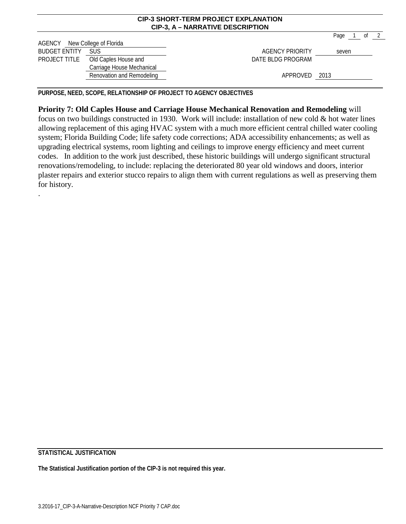|                      |                           | <b>CIP-3 SHORT-TERM PROJECT EXPLANATION</b><br><b>CIP-3, A - NARRATIVE DESCRIPTION</b> |        |  |      |
|----------------------|---------------------------|----------------------------------------------------------------------------------------|--------|--|------|
| AGENCY               | New College of Florida    |                                                                                        | Page 1 |  | of 2 |
| <b>BUDGET ENTITY</b> | <b>SUS</b>                | <b>AGENCY PRIORITY</b>                                                                 | seven  |  |      |
| PROJECT TITLE        | Old Caples House and      | DATE BLDG PROGRAM                                                                      |        |  |      |
|                      | Carriage House Mechanical |                                                                                        |        |  |      |
|                      | Renovation and Remodeling | APPROVED 2013                                                                          |        |  |      |

**PURPOSE, NEED, SCOPE, RELATIONSHIP OF PROJECT TO AGENCY OBJECTIVES**

**Priority 7: Old Caples House and Carriage House Mechanical Renovation and Remodeling** will focus on two buildings constructed in 1930. Work will include: installation of new cold & hot water lines allowing replacement of this aging HVAC system with a much more efficient central chilled water cooling system; Florida Building Code; life safety code corrections; ADA accessibility enhancements; as well as upgrading electrical systems, room lighting and ceilings to improve energy efficiency and meet current codes. In addition to the work just described, these historic buildings will undergo significant structural renovations/remodeling, to include: replacing the deteriorated 80 year old windows and doors, interior plaster repairs and exterior stucco repairs to align them with current regulations as well as preserving them for history.

**STATISTICAL JUSTIFICATION**

.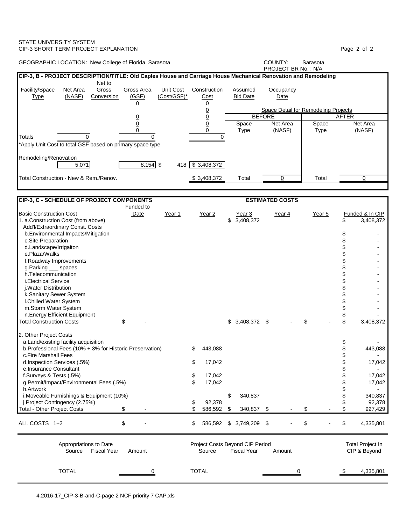| STATE UNIVERSITY SYSTEM<br>CIP-3 SHORT TERM PROJECT EXPLANATION                                                |                     |                          |                                 |                            |                                      |             | Page 2 of 2                        |
|----------------------------------------------------------------------------------------------------------------|---------------------|--------------------------|---------------------------------|----------------------------|--------------------------------------|-------------|------------------------------------|
| GEOGRAPHIC LOCATION: New College of Florida, Sarasota                                                          |                     |                          |                                 |                            | COUNTY:<br>PROJECT BR No.: N/A       | Sarasota    |                                    |
| CIP-3, B - PROJECT DESCRIPTION/TITLE: Old Caples House and Carriage House Mechanical Renovation and Remodeling |                     |                          |                                 |                            |                                      |             |                                    |
| Net to                                                                                                         |                     |                          |                                 |                            |                                      |             |                                    |
| Facility/Space<br>Net Area<br>Gross<br>(NASF)<br><b>Type</b><br>Conversion                                     | Gross Area<br>(GSF) | Unit Cost<br>(Cost/GSF)* | Construction<br>Cost            | Assumed<br><b>Bid Date</b> | Occupancy<br>Date                    |             |                                    |
|                                                                                                                | $\overline{0}$      |                          | $\overline{0}$                  |                            |                                      |             |                                    |
|                                                                                                                |                     |                          |                                 |                            | Space Detail for Remodeling Projects |             |                                    |
|                                                                                                                | <u>0</u>            |                          | $\frac{0}{0}$                   |                            | <b>BEFORE</b>                        |             | <b>AFTER</b>                       |
|                                                                                                                | $\mathbf 0$<br>0    |                          | 0                               | Space                      | Net Area                             | Space       | Net Area<br>(NASF)                 |
| Totals<br>$\Omega$                                                                                             | $\Omega$            |                          | 0                               | <b>Type</b>                | (NASF)                               | <b>Type</b> |                                    |
| *Apply Unit Cost to total GSF based on primary space type                                                      |                     |                          |                                 |                            |                                      |             |                                    |
|                                                                                                                |                     |                          |                                 |                            |                                      |             |                                    |
| Remodeling/Renovation                                                                                          |                     |                          |                                 |                            |                                      |             |                                    |
| 5,071                                                                                                          | $8,154$ \$          |                          | 418 \$3,408,372                 |                            |                                      |             |                                    |
| Total Construction - New & Rem./Renov.                                                                         |                     |                          | \$3,408,372                     | Total                      | $\Omega$                             | Total       | 0                                  |
|                                                                                                                |                     |                          |                                 |                            |                                      |             |                                    |
|                                                                                                                |                     |                          |                                 |                            |                                      |             |                                    |
| <b>CIP-3, C - SCHEDULE OF PROJECT COMPONENTS</b>                                                               |                     |                          |                                 |                            | <b>ESTIMATED COSTS</b>               |             |                                    |
|                                                                                                                | Funded to           |                          |                                 |                            |                                      |             |                                    |
| <b>Basic Construction Cost</b><br>1. a.Construction Cost (from above)                                          | Date                | Year 1                   | Year 2                          | Year 3<br>\$3,408,372      | Year 4                               | Year 5      | Funded & In CIP<br>3,408,372<br>\$ |
| Add'l/Extraordinary Const. Costs                                                                               |                     |                          |                                 |                            |                                      |             |                                    |
| b.Environmental Impacts/Mitigation                                                                             |                     |                          |                                 |                            |                                      |             | \$                                 |
| c.Site Preparation                                                                                             |                     |                          |                                 |                            |                                      |             |                                    |
| d.Landscape/Irrigaiton                                                                                         |                     |                          |                                 |                            |                                      |             |                                    |
| e.Plaza/Walks                                                                                                  |                     |                          |                                 |                            |                                      |             | \$                                 |
| f.Roadway Improvements<br>g.Parking ___ spaces                                                                 |                     |                          |                                 |                            |                                      |             | \$                                 |
| h.Telecommunication                                                                                            |                     |                          |                                 |                            |                                      |             |                                    |
| <i>i.Electrical Service</i>                                                                                    |                     |                          |                                 |                            |                                      |             |                                    |
| j. Water Distribution                                                                                          |                     |                          |                                 |                            |                                      |             |                                    |
| k.Sanitary Sewer System                                                                                        |                     |                          |                                 |                            |                                      |             |                                    |
| I.Chilled Water System                                                                                         |                     |                          |                                 |                            |                                      |             | \$                                 |
| m.Storm Water System<br>n.Energy Efficient Equipment                                                           |                     |                          |                                 |                            |                                      |             |                                    |
| <b>Total Construction Costs</b><br>\$                                                                          |                     |                          |                                 | $$3,408,372$ \$            |                                      | \$          | \$<br>3,408,372                    |
|                                                                                                                |                     |                          |                                 |                            |                                      |             |                                    |
| 2. Other Project Costs                                                                                         |                     |                          |                                 |                            |                                      |             |                                    |
| a.Land/existing facility acquisition                                                                           |                     |                          |                                 |                            |                                      |             | \$                                 |
| b.Professional Fees (10% + 3% for Historic Preservation)                                                       |                     |                          | 443,088<br>S                    |                            |                                      |             | \$<br>443,088                      |
| c.Fire Marshall Fees<br>d.Inspection Services (.5%)                                                            |                     |                          | 17,042<br>\$                    |                            |                                      |             | \$<br>\$<br>17,042                 |
| e.Insurance Consultant                                                                                         |                     |                          |                                 |                            |                                      |             |                                    |
| f.Surveys & Tests (.5%)                                                                                        |                     |                          | \$<br>17,042                    |                            |                                      |             | 17,042                             |
| g.Permit/Impact/Environmental Fees (.5%)                                                                       |                     |                          | \$<br>17,042                    |                            |                                      |             | 17,042                             |
| h.Artwork                                                                                                      |                     |                          |                                 |                            |                                      |             | \$                                 |
| i. Moveable Furnishings & Equipment (10%)<br>j.Project Contingency (2.75%)                                     |                     |                          | 92,378                          | \$<br>340,837              |                                      |             | \$<br>340,837<br>\$<br>92,378      |
| \$<br><b>Total - Other Project Costs</b>                                                                       |                     |                          | \$<br>586,592                   | \$<br>340,837 \$           |                                      | \$          | \$<br>927,429                      |
|                                                                                                                |                     |                          |                                 |                            |                                      |             |                                    |
| \$<br>ALL COSTS 1+2                                                                                            |                     |                          | \$<br>586,592                   | $$3,749,209$ \$            |                                      | \$          | \$<br>4,335,801                    |
| Appropriations to Date                                                                                         |                     |                          | Project Costs Beyond CIP Period |                            |                                      |             | <b>Total Project In</b>            |
| Source<br><b>Fiscal Year</b>                                                                                   | Amount              |                          | Source                          | <b>Fiscal Year</b>         | Amount                               |             | CIP & Beyond                       |
|                                                                                                                |                     |                          |                                 |                            |                                      |             |                                    |
| <b>TOTAL</b>                                                                                                   | 0                   |                          | <b>TOTAL</b>                    |                            | 0                                    |             | \$<br>4,335,801                    |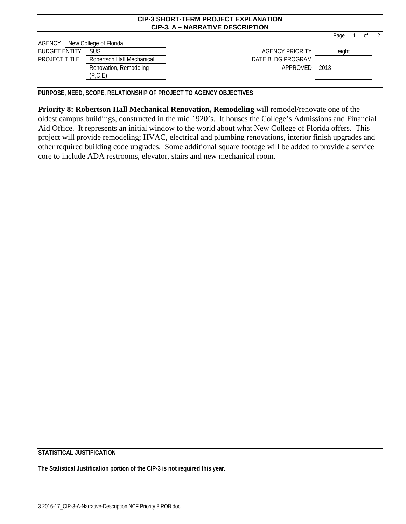|                               | <b>CIP-3, A - NARRATIVE DESCRIPTION</b> |                   |      |    |  |  |  |  |  |  |  |
|-------------------------------|-----------------------------------------|-------------------|------|----|--|--|--|--|--|--|--|
|                               |                                         |                   | Page | 0f |  |  |  |  |  |  |  |
| AGENCY New College of Florida |                                         |                   |      |    |  |  |  |  |  |  |  |
| <b>BUDGET ENTITY</b>          | eight                                   |                   |      |    |  |  |  |  |  |  |  |
| PROJECT TITLE                 | Robertson Hall Mechanical               | DATE BLDG PROGRAM |      |    |  |  |  |  |  |  |  |
|                               | Renovation, Remodeling<br>(P,C,E)       | APPROVED 2013     |      |    |  |  |  |  |  |  |  |

**CIP-3 SHORT-TERM PROJECT EXPLANATION**

**PURPOSE, NEED, SCOPE, RELATIONSHIP OF PROJECT TO AGENCY OBJECTIVES**

**Priority 8: Robertson Hall Mechanical Renovation, Remodeling** will remodel/renovate one of the oldest campus buildings, constructed in the mid 1920's. It houses the College's Admissions and Financial Aid Office. It represents an initial window to the world about what New College of Florida offers. This project will provide remodeling; HVAC, electrical and plumbing renovations, interior finish upgrades and other required building code upgrades. Some additional square footage will be added to provide a service core to include ADA restrooms, elevator, stairs and new mechanical room.

**STATISTICAL JUSTIFICATION**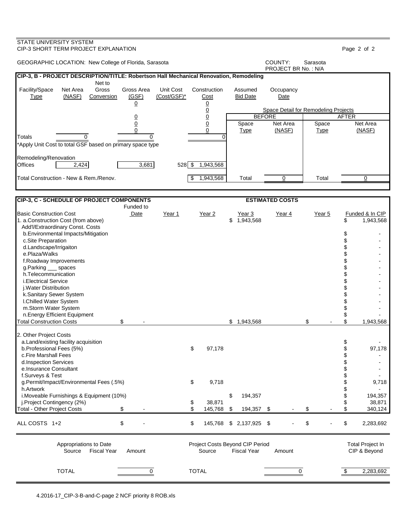| COUNTY:<br>GEOGRAPHIC LOCATION: New College of Florida, Sarasota<br>Sarasota<br>PROJECT BR No.: N/A<br>CIP-3, B - PROJECT DESCRIPTION/TITLE: Robertson Hall Mechanical Renovation, Remodeling<br>Net to<br>Unit Cost<br>Facility/Space<br>Net Area<br>Gross<br>Gross Area<br>Construction<br>Assumed<br>Occupancy<br>(GSF)<br>(NASF)<br>(Cost/GSF)*<br><b>Type</b><br>Conversion<br>Cost<br><b>Bid Date</b><br>Date<br>$\overline{0}$<br><u>0</u><br>$\overline{0}$<br>Space Detail for Remodeling Projects<br>$\underline{0}$<br><b>BEFORE</b><br><b>AFTER</b><br><u>0</u><br>$\overline{0}$<br>Net Area<br>$\overline{0}$<br>Space<br>Net Area<br>Space<br>0<br>(NASF)<br>(NASF)<br><b>Type</b><br><b>Type</b><br>0<br>Totals<br>$\Omega$<br>$\Omega$<br>$\Omega$<br>*Apply Unit Cost to total GSF based on primary space type<br>Remodeling/Renovation<br>2,424<br>3,681<br>$528$ $\overline{\$}$<br>1,943,568<br>Offices<br>Total Construction - New & Rem./Renov.<br>1,943,568<br>Total<br>\$<br>Total<br>0<br>0<br>CIP-3, C - SCHEDULE OF PROJECT COMPONENTS<br><b>ESTIMATED COSTS</b><br>Funded to<br>Funded & In CIP<br>Date<br>Year 1<br>Year 2<br>Year 3<br>Year 4<br>Year 5<br>\$1,943,568<br>\$<br>1,943,568<br>Add'l/Extraordinary Const. Costs<br>\$<br>b. Environmental Impacts/Mitigation<br>\$<br>c.Site Preparation<br>\$<br>d.Landscape/Irrigaiton<br>\$<br>e.Plaza/Walks<br>\$<br>f.Roadway Improvements<br>\$<br>g.Parking ___ spaces<br>\$<br>h.Telecommunication<br>\$<br><i>i.Electrical Service</i><br>\$<br>j. Water Distribution<br>\$<br>k.Sanitary Sewer System<br>\$<br>I.Chilled Water System<br>\$<br>m.Storm Water System<br>n.Energy Efficient Equipment<br>\$<br><b>Total Construction Costs</b><br>\$<br>\$<br>\$<br>\$1,943,568<br>1,943,568<br>2. Other Project Costs<br>\$<br>a.Land/existing facility acquisition<br>\$<br>\$<br>b.Professional Fees (5%)<br>97,178<br>97,178<br>\$<br>c.Fire Marshall Fees<br>\$<br>d.Inspection Services<br>\$<br>e.Insurance Consultant<br>f.Surveys & Test<br>\$<br>9,718<br>g.Permit/Impact/Environmental Fees (.5%)<br>9,718<br>\$<br>h.Artwork<br>\$<br>i. Moveable Furnishings & Equipment (10%)<br>\$<br>194,357<br>194,357<br>j.Project Contingency (2%)<br>\$<br>\$<br>38,871<br>38,871<br>\$<br><b>Total - Other Project Costs</b><br>\$<br>\$<br>\$<br>145,768<br>194,357 \$<br>\$<br>340,124<br>\$<br>\$<br>\$<br>\$<br>145,768<br>$$2,137,925$ \$<br>2,283,692<br><b>Total Project In</b><br>Appropriations to Date<br>Project Costs Beyond CIP Period<br><b>Fiscal Year</b><br>Source<br><b>Fiscal Year</b><br>CIP & Beyond<br>Source<br>Amount<br>Amount<br><b>TOTAL</b><br><b>TOTAL</b><br>2,283,692<br>\$<br>0<br>0 | STATE UNIVERSITY SYSTEM<br>CIP-3 SHORT TERM PROJECT EXPLANATION |  |  |  |  | Page 2 of 2 |
|----------------------------------------------------------------------------------------------------------------------------------------------------------------------------------------------------------------------------------------------------------------------------------------------------------------------------------------------------------------------------------------------------------------------------------------------------------------------------------------------------------------------------------------------------------------------------------------------------------------------------------------------------------------------------------------------------------------------------------------------------------------------------------------------------------------------------------------------------------------------------------------------------------------------------------------------------------------------------------------------------------------------------------------------------------------------------------------------------------------------------------------------------------------------------------------------------------------------------------------------------------------------------------------------------------------------------------------------------------------------------------------------------------------------------------------------------------------------------------------------------------------------------------------------------------------------------------------------------------------------------------------------------------------------------------------------------------------------------------------------------------------------------------------------------------------------------------------------------------------------------------------------------------------------------------------------------------------------------------------------------------------------------------------------------------------------------------------------------------------------------------------------------------------------------------------------------------------------------------------------------------------------------------------------------------------------------------------------------------------------------------------------------------------------------------------------------------------------------------------------------------------------------------------------------------------------------------------------------------------------------------------------------------------------------------------------------------------|-----------------------------------------------------------------|--|--|--|--|-------------|
|                                                                                                                                                                                                                                                                                                                                                                                                                                                                                                                                                                                                                                                                                                                                                                                                                                                                                                                                                                                                                                                                                                                                                                                                                                                                                                                                                                                                                                                                                                                                                                                                                                                                                                                                                                                                                                                                                                                                                                                                                                                                                                                                                                                                                                                                                                                                                                                                                                                                                                                                                                                                                                                                                                                |                                                                 |  |  |  |  |             |
|                                                                                                                                                                                                                                                                                                                                                                                                                                                                                                                                                                                                                                                                                                                                                                                                                                                                                                                                                                                                                                                                                                                                                                                                                                                                                                                                                                                                                                                                                                                                                                                                                                                                                                                                                                                                                                                                                                                                                                                                                                                                                                                                                                                                                                                                                                                                                                                                                                                                                                                                                                                                                                                                                                                |                                                                 |  |  |  |  |             |
|                                                                                                                                                                                                                                                                                                                                                                                                                                                                                                                                                                                                                                                                                                                                                                                                                                                                                                                                                                                                                                                                                                                                                                                                                                                                                                                                                                                                                                                                                                                                                                                                                                                                                                                                                                                                                                                                                                                                                                                                                                                                                                                                                                                                                                                                                                                                                                                                                                                                                                                                                                                                                                                                                                                |                                                                 |  |  |  |  |             |
|                                                                                                                                                                                                                                                                                                                                                                                                                                                                                                                                                                                                                                                                                                                                                                                                                                                                                                                                                                                                                                                                                                                                                                                                                                                                                                                                                                                                                                                                                                                                                                                                                                                                                                                                                                                                                                                                                                                                                                                                                                                                                                                                                                                                                                                                                                                                                                                                                                                                                                                                                                                                                                                                                                                |                                                                 |  |  |  |  |             |
|                                                                                                                                                                                                                                                                                                                                                                                                                                                                                                                                                                                                                                                                                                                                                                                                                                                                                                                                                                                                                                                                                                                                                                                                                                                                                                                                                                                                                                                                                                                                                                                                                                                                                                                                                                                                                                                                                                                                                                                                                                                                                                                                                                                                                                                                                                                                                                                                                                                                                                                                                                                                                                                                                                                |                                                                 |  |  |  |  |             |
|                                                                                                                                                                                                                                                                                                                                                                                                                                                                                                                                                                                                                                                                                                                                                                                                                                                                                                                                                                                                                                                                                                                                                                                                                                                                                                                                                                                                                                                                                                                                                                                                                                                                                                                                                                                                                                                                                                                                                                                                                                                                                                                                                                                                                                                                                                                                                                                                                                                                                                                                                                                                                                                                                                                |                                                                 |  |  |  |  |             |
|                                                                                                                                                                                                                                                                                                                                                                                                                                                                                                                                                                                                                                                                                                                                                                                                                                                                                                                                                                                                                                                                                                                                                                                                                                                                                                                                                                                                                                                                                                                                                                                                                                                                                                                                                                                                                                                                                                                                                                                                                                                                                                                                                                                                                                                                                                                                                                                                                                                                                                                                                                                                                                                                                                                |                                                                 |  |  |  |  |             |
|                                                                                                                                                                                                                                                                                                                                                                                                                                                                                                                                                                                                                                                                                                                                                                                                                                                                                                                                                                                                                                                                                                                                                                                                                                                                                                                                                                                                                                                                                                                                                                                                                                                                                                                                                                                                                                                                                                                                                                                                                                                                                                                                                                                                                                                                                                                                                                                                                                                                                                                                                                                                                                                                                                                |                                                                 |  |  |  |  |             |
|                                                                                                                                                                                                                                                                                                                                                                                                                                                                                                                                                                                                                                                                                                                                                                                                                                                                                                                                                                                                                                                                                                                                                                                                                                                                                                                                                                                                                                                                                                                                                                                                                                                                                                                                                                                                                                                                                                                                                                                                                                                                                                                                                                                                                                                                                                                                                                                                                                                                                                                                                                                                                                                                                                                |                                                                 |  |  |  |  |             |
|                                                                                                                                                                                                                                                                                                                                                                                                                                                                                                                                                                                                                                                                                                                                                                                                                                                                                                                                                                                                                                                                                                                                                                                                                                                                                                                                                                                                                                                                                                                                                                                                                                                                                                                                                                                                                                                                                                                                                                                                                                                                                                                                                                                                                                                                                                                                                                                                                                                                                                                                                                                                                                                                                                                |                                                                 |  |  |  |  |             |
|                                                                                                                                                                                                                                                                                                                                                                                                                                                                                                                                                                                                                                                                                                                                                                                                                                                                                                                                                                                                                                                                                                                                                                                                                                                                                                                                                                                                                                                                                                                                                                                                                                                                                                                                                                                                                                                                                                                                                                                                                                                                                                                                                                                                                                                                                                                                                                                                                                                                                                                                                                                                                                                                                                                |                                                                 |  |  |  |  |             |
|                                                                                                                                                                                                                                                                                                                                                                                                                                                                                                                                                                                                                                                                                                                                                                                                                                                                                                                                                                                                                                                                                                                                                                                                                                                                                                                                                                                                                                                                                                                                                                                                                                                                                                                                                                                                                                                                                                                                                                                                                                                                                                                                                                                                                                                                                                                                                                                                                                                                                                                                                                                                                                                                                                                |                                                                 |  |  |  |  |             |
|                                                                                                                                                                                                                                                                                                                                                                                                                                                                                                                                                                                                                                                                                                                                                                                                                                                                                                                                                                                                                                                                                                                                                                                                                                                                                                                                                                                                                                                                                                                                                                                                                                                                                                                                                                                                                                                                                                                                                                                                                                                                                                                                                                                                                                                                                                                                                                                                                                                                                                                                                                                                                                                                                                                |                                                                 |  |  |  |  |             |
|                                                                                                                                                                                                                                                                                                                                                                                                                                                                                                                                                                                                                                                                                                                                                                                                                                                                                                                                                                                                                                                                                                                                                                                                                                                                                                                                                                                                                                                                                                                                                                                                                                                                                                                                                                                                                                                                                                                                                                                                                                                                                                                                                                                                                                                                                                                                                                                                                                                                                                                                                                                                                                                                                                                |                                                                 |  |  |  |  |             |
|                                                                                                                                                                                                                                                                                                                                                                                                                                                                                                                                                                                                                                                                                                                                                                                                                                                                                                                                                                                                                                                                                                                                                                                                                                                                                                                                                                                                                                                                                                                                                                                                                                                                                                                                                                                                                                                                                                                                                                                                                                                                                                                                                                                                                                                                                                                                                                                                                                                                                                                                                                                                                                                                                                                |                                                                 |  |  |  |  |             |
|                                                                                                                                                                                                                                                                                                                                                                                                                                                                                                                                                                                                                                                                                                                                                                                                                                                                                                                                                                                                                                                                                                                                                                                                                                                                                                                                                                                                                                                                                                                                                                                                                                                                                                                                                                                                                                                                                                                                                                                                                                                                                                                                                                                                                                                                                                                                                                                                                                                                                                                                                                                                                                                                                                                | <b>Basic Construction Cost</b>                                  |  |  |  |  |             |
|                                                                                                                                                                                                                                                                                                                                                                                                                                                                                                                                                                                                                                                                                                                                                                                                                                                                                                                                                                                                                                                                                                                                                                                                                                                                                                                                                                                                                                                                                                                                                                                                                                                                                                                                                                                                                                                                                                                                                                                                                                                                                                                                                                                                                                                                                                                                                                                                                                                                                                                                                                                                                                                                                                                | 1. a.Construction Cost (from above)                             |  |  |  |  |             |
|                                                                                                                                                                                                                                                                                                                                                                                                                                                                                                                                                                                                                                                                                                                                                                                                                                                                                                                                                                                                                                                                                                                                                                                                                                                                                                                                                                                                                                                                                                                                                                                                                                                                                                                                                                                                                                                                                                                                                                                                                                                                                                                                                                                                                                                                                                                                                                                                                                                                                                                                                                                                                                                                                                                |                                                                 |  |  |  |  |             |
|                                                                                                                                                                                                                                                                                                                                                                                                                                                                                                                                                                                                                                                                                                                                                                                                                                                                                                                                                                                                                                                                                                                                                                                                                                                                                                                                                                                                                                                                                                                                                                                                                                                                                                                                                                                                                                                                                                                                                                                                                                                                                                                                                                                                                                                                                                                                                                                                                                                                                                                                                                                                                                                                                                                |                                                                 |  |  |  |  |             |
|                                                                                                                                                                                                                                                                                                                                                                                                                                                                                                                                                                                                                                                                                                                                                                                                                                                                                                                                                                                                                                                                                                                                                                                                                                                                                                                                                                                                                                                                                                                                                                                                                                                                                                                                                                                                                                                                                                                                                                                                                                                                                                                                                                                                                                                                                                                                                                                                                                                                                                                                                                                                                                                                                                                |                                                                 |  |  |  |  |             |
|                                                                                                                                                                                                                                                                                                                                                                                                                                                                                                                                                                                                                                                                                                                                                                                                                                                                                                                                                                                                                                                                                                                                                                                                                                                                                                                                                                                                                                                                                                                                                                                                                                                                                                                                                                                                                                                                                                                                                                                                                                                                                                                                                                                                                                                                                                                                                                                                                                                                                                                                                                                                                                                                                                                |                                                                 |  |  |  |  |             |
|                                                                                                                                                                                                                                                                                                                                                                                                                                                                                                                                                                                                                                                                                                                                                                                                                                                                                                                                                                                                                                                                                                                                                                                                                                                                                                                                                                                                                                                                                                                                                                                                                                                                                                                                                                                                                                                                                                                                                                                                                                                                                                                                                                                                                                                                                                                                                                                                                                                                                                                                                                                                                                                                                                                |                                                                 |  |  |  |  |             |
|                                                                                                                                                                                                                                                                                                                                                                                                                                                                                                                                                                                                                                                                                                                                                                                                                                                                                                                                                                                                                                                                                                                                                                                                                                                                                                                                                                                                                                                                                                                                                                                                                                                                                                                                                                                                                                                                                                                                                                                                                                                                                                                                                                                                                                                                                                                                                                                                                                                                                                                                                                                                                                                                                                                |                                                                 |  |  |  |  |             |
|                                                                                                                                                                                                                                                                                                                                                                                                                                                                                                                                                                                                                                                                                                                                                                                                                                                                                                                                                                                                                                                                                                                                                                                                                                                                                                                                                                                                                                                                                                                                                                                                                                                                                                                                                                                                                                                                                                                                                                                                                                                                                                                                                                                                                                                                                                                                                                                                                                                                                                                                                                                                                                                                                                                |                                                                 |  |  |  |  |             |
|                                                                                                                                                                                                                                                                                                                                                                                                                                                                                                                                                                                                                                                                                                                                                                                                                                                                                                                                                                                                                                                                                                                                                                                                                                                                                                                                                                                                                                                                                                                                                                                                                                                                                                                                                                                                                                                                                                                                                                                                                                                                                                                                                                                                                                                                                                                                                                                                                                                                                                                                                                                                                                                                                                                |                                                                 |  |  |  |  |             |
|                                                                                                                                                                                                                                                                                                                                                                                                                                                                                                                                                                                                                                                                                                                                                                                                                                                                                                                                                                                                                                                                                                                                                                                                                                                                                                                                                                                                                                                                                                                                                                                                                                                                                                                                                                                                                                                                                                                                                                                                                                                                                                                                                                                                                                                                                                                                                                                                                                                                                                                                                                                                                                                                                                                |                                                                 |  |  |  |  |             |
|                                                                                                                                                                                                                                                                                                                                                                                                                                                                                                                                                                                                                                                                                                                                                                                                                                                                                                                                                                                                                                                                                                                                                                                                                                                                                                                                                                                                                                                                                                                                                                                                                                                                                                                                                                                                                                                                                                                                                                                                                                                                                                                                                                                                                                                                                                                                                                                                                                                                                                                                                                                                                                                                                                                |                                                                 |  |  |  |  |             |
|                                                                                                                                                                                                                                                                                                                                                                                                                                                                                                                                                                                                                                                                                                                                                                                                                                                                                                                                                                                                                                                                                                                                                                                                                                                                                                                                                                                                                                                                                                                                                                                                                                                                                                                                                                                                                                                                                                                                                                                                                                                                                                                                                                                                                                                                                                                                                                                                                                                                                                                                                                                                                                                                                                                |                                                                 |  |  |  |  |             |
|                                                                                                                                                                                                                                                                                                                                                                                                                                                                                                                                                                                                                                                                                                                                                                                                                                                                                                                                                                                                                                                                                                                                                                                                                                                                                                                                                                                                                                                                                                                                                                                                                                                                                                                                                                                                                                                                                                                                                                                                                                                                                                                                                                                                                                                                                                                                                                                                                                                                                                                                                                                                                                                                                                                |                                                                 |  |  |  |  |             |
|                                                                                                                                                                                                                                                                                                                                                                                                                                                                                                                                                                                                                                                                                                                                                                                                                                                                                                                                                                                                                                                                                                                                                                                                                                                                                                                                                                                                                                                                                                                                                                                                                                                                                                                                                                                                                                                                                                                                                                                                                                                                                                                                                                                                                                                                                                                                                                                                                                                                                                                                                                                                                                                                                                                |                                                                 |  |  |  |  |             |
|                                                                                                                                                                                                                                                                                                                                                                                                                                                                                                                                                                                                                                                                                                                                                                                                                                                                                                                                                                                                                                                                                                                                                                                                                                                                                                                                                                                                                                                                                                                                                                                                                                                                                                                                                                                                                                                                                                                                                                                                                                                                                                                                                                                                                                                                                                                                                                                                                                                                                                                                                                                                                                                                                                                |                                                                 |  |  |  |  |             |
|                                                                                                                                                                                                                                                                                                                                                                                                                                                                                                                                                                                                                                                                                                                                                                                                                                                                                                                                                                                                                                                                                                                                                                                                                                                                                                                                                                                                                                                                                                                                                                                                                                                                                                                                                                                                                                                                                                                                                                                                                                                                                                                                                                                                                                                                                                                                                                                                                                                                                                                                                                                                                                                                                                                |                                                                 |  |  |  |  |             |
|                                                                                                                                                                                                                                                                                                                                                                                                                                                                                                                                                                                                                                                                                                                                                                                                                                                                                                                                                                                                                                                                                                                                                                                                                                                                                                                                                                                                                                                                                                                                                                                                                                                                                                                                                                                                                                                                                                                                                                                                                                                                                                                                                                                                                                                                                                                                                                                                                                                                                                                                                                                                                                                                                                                |                                                                 |  |  |  |  |             |
|                                                                                                                                                                                                                                                                                                                                                                                                                                                                                                                                                                                                                                                                                                                                                                                                                                                                                                                                                                                                                                                                                                                                                                                                                                                                                                                                                                                                                                                                                                                                                                                                                                                                                                                                                                                                                                                                                                                                                                                                                                                                                                                                                                                                                                                                                                                                                                                                                                                                                                                                                                                                                                                                                                                |                                                                 |  |  |  |  |             |
|                                                                                                                                                                                                                                                                                                                                                                                                                                                                                                                                                                                                                                                                                                                                                                                                                                                                                                                                                                                                                                                                                                                                                                                                                                                                                                                                                                                                                                                                                                                                                                                                                                                                                                                                                                                                                                                                                                                                                                                                                                                                                                                                                                                                                                                                                                                                                                                                                                                                                                                                                                                                                                                                                                                |                                                                 |  |  |  |  |             |
|                                                                                                                                                                                                                                                                                                                                                                                                                                                                                                                                                                                                                                                                                                                                                                                                                                                                                                                                                                                                                                                                                                                                                                                                                                                                                                                                                                                                                                                                                                                                                                                                                                                                                                                                                                                                                                                                                                                                                                                                                                                                                                                                                                                                                                                                                                                                                                                                                                                                                                                                                                                                                                                                                                                |                                                                 |  |  |  |  |             |
|                                                                                                                                                                                                                                                                                                                                                                                                                                                                                                                                                                                                                                                                                                                                                                                                                                                                                                                                                                                                                                                                                                                                                                                                                                                                                                                                                                                                                                                                                                                                                                                                                                                                                                                                                                                                                                                                                                                                                                                                                                                                                                                                                                                                                                                                                                                                                                                                                                                                                                                                                                                                                                                                                                                |                                                                 |  |  |  |  |             |
|                                                                                                                                                                                                                                                                                                                                                                                                                                                                                                                                                                                                                                                                                                                                                                                                                                                                                                                                                                                                                                                                                                                                                                                                                                                                                                                                                                                                                                                                                                                                                                                                                                                                                                                                                                                                                                                                                                                                                                                                                                                                                                                                                                                                                                                                                                                                                                                                                                                                                                                                                                                                                                                                                                                |                                                                 |  |  |  |  |             |
|                                                                                                                                                                                                                                                                                                                                                                                                                                                                                                                                                                                                                                                                                                                                                                                                                                                                                                                                                                                                                                                                                                                                                                                                                                                                                                                                                                                                                                                                                                                                                                                                                                                                                                                                                                                                                                                                                                                                                                                                                                                                                                                                                                                                                                                                                                                                                                                                                                                                                                                                                                                                                                                                                                                |                                                                 |  |  |  |  |             |
|                                                                                                                                                                                                                                                                                                                                                                                                                                                                                                                                                                                                                                                                                                                                                                                                                                                                                                                                                                                                                                                                                                                                                                                                                                                                                                                                                                                                                                                                                                                                                                                                                                                                                                                                                                                                                                                                                                                                                                                                                                                                                                                                                                                                                                                                                                                                                                                                                                                                                                                                                                                                                                                                                                                |                                                                 |  |  |  |  |             |
|                                                                                                                                                                                                                                                                                                                                                                                                                                                                                                                                                                                                                                                                                                                                                                                                                                                                                                                                                                                                                                                                                                                                                                                                                                                                                                                                                                                                                                                                                                                                                                                                                                                                                                                                                                                                                                                                                                                                                                                                                                                                                                                                                                                                                                                                                                                                                                                                                                                                                                                                                                                                                                                                                                                | ALL COSTS 1+2                                                   |  |  |  |  |             |
|                                                                                                                                                                                                                                                                                                                                                                                                                                                                                                                                                                                                                                                                                                                                                                                                                                                                                                                                                                                                                                                                                                                                                                                                                                                                                                                                                                                                                                                                                                                                                                                                                                                                                                                                                                                                                                                                                                                                                                                                                                                                                                                                                                                                                                                                                                                                                                                                                                                                                                                                                                                                                                                                                                                |                                                                 |  |  |  |  |             |
|                                                                                                                                                                                                                                                                                                                                                                                                                                                                                                                                                                                                                                                                                                                                                                                                                                                                                                                                                                                                                                                                                                                                                                                                                                                                                                                                                                                                                                                                                                                                                                                                                                                                                                                                                                                                                                                                                                                                                                                                                                                                                                                                                                                                                                                                                                                                                                                                                                                                                                                                                                                                                                                                                                                |                                                                 |  |  |  |  |             |
|                                                                                                                                                                                                                                                                                                                                                                                                                                                                                                                                                                                                                                                                                                                                                                                                                                                                                                                                                                                                                                                                                                                                                                                                                                                                                                                                                                                                                                                                                                                                                                                                                                                                                                                                                                                                                                                                                                                                                                                                                                                                                                                                                                                                                                                                                                                                                                                                                                                                                                                                                                                                                                                                                                                |                                                                 |  |  |  |  |             |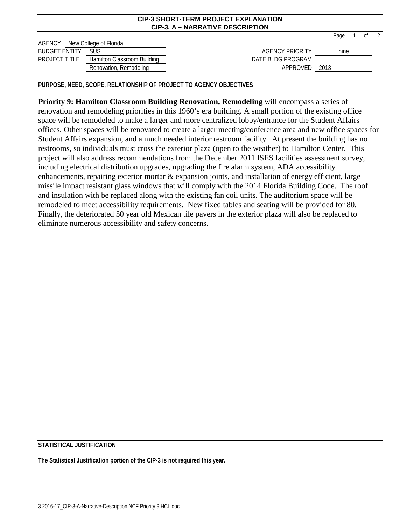|                               | <b>CIP-3, A - NARRATIVE DESCRIPTION</b>          |                        |      |  |             |  |  |  |  |  |  |
|-------------------------------|--------------------------------------------------|------------------------|------|--|-------------|--|--|--|--|--|--|
|                               |                                                  |                        |      |  | Page 1 of 2 |  |  |  |  |  |  |
| AGENCY New College of Florida |                                                  |                        |      |  |             |  |  |  |  |  |  |
| <b>BUDGET ENTITY SUS</b>      |                                                  | <b>AGENCY PRIORITY</b> | nine |  |             |  |  |  |  |  |  |
|                               | <b>PROJECT TITLE Hamilton Classroom Building</b> | DATE BLDG PROGRAM      |      |  |             |  |  |  |  |  |  |
|                               | Renovation, Remodeling                           | APPROVED 2013          |      |  |             |  |  |  |  |  |  |

**CIP-3 SHORT-TERM PROJECT EXPLANATION**

**PURPOSE, NEED, SCOPE, RELATIONSHIP OF PROJECT TO AGENCY OBJECTIVES**

**Priority 9: Hamilton Classroom Building Renovation, Remodeling** will encompass a series of renovation and remodeling priorities in this 1960's era building. A small portion of the existing office space will be remodeled to make a larger and more centralized lobby/entrance for the Student Affairs offices. Other spaces will be renovated to create a larger meeting/conference area and new office spaces for Student Affairs expansion, and a much needed interior restroom facility. At present the building has no restrooms, so individuals must cross the exterior plaza (open to the weather) to Hamilton Center. This project will also address recommendations from the December 2011 ISES facilities assessment survey, including electrical distribution upgrades, upgrading the fire alarm system, ADA accessibility enhancements, repairing exterior mortar & expansion joints, and installation of energy efficient, large missile impact resistant glass windows that will comply with the 2014 Florida Building Code. The roof and insulation with be replaced along with the existing fan coil units. The auditorium space will be remodeled to meet accessibility requirements. New fixed tables and seating will be provided for 80. Finally, the deteriorated 50 year old Mexican tile pavers in the exterior plaza will also be replaced to eliminate numerous accessibility and safety concerns.

## **STATISTICAL JUSTIFICATION**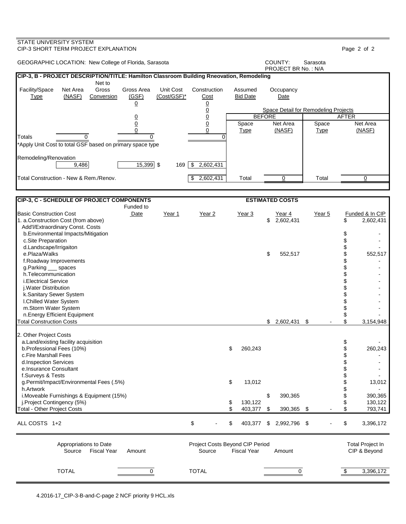### STATE UNIVERSITY SYSTEM CIP-3 SHORT TERM PROJECT EXPLANATION Page 2 of 2 GEOGRAPHIC LOCATION: New College of Florida, Sarasota COUNTY: Sarasota COUNTY: Sarasota PROJECT BR No. : N/A **CIP-3, B - PROJECT DESCRIPTION/TITLE: Hamilton Classroom Building Rneovation, Remodeling** Net to Facility/Space Net Area Gross Gross Area Unit Cost Construction Assumed Occupancy Type (NASF) Conversion (GSF) (Cost/GSF)\* Cost Bid Date Date <u>0</u> <u>0</u> 0 Space Detail for Remodeling Projects<br>0 BEFORE | AFTER 0 0 BEFORE AFTER <u>0</u> 0 | Space Net Area | Space Net Area 0 0 Type (NASF) Type (NASF) Totals 0 0 0 \*Apply Unit Cost to total GSF based on primary space type Remodeling/Renovation<br>
9,486 9,486 15,399 \$ 169 \$ 2,602,431 Total Construction - New & Rem./Renov.  $\begin{array}{|c|c|c|c|c|}\hline \text{$\$} & \text{$2,602,431$} & \text{Total} & \text{O} & \text{Total} \ \hline \end{array}$ **CIP-3, C - SCHEDULE OF PROJECT COMPONENTS ESTIMATED COSTS** Funded to Basic Construction Cost **Date** <del>Dear 1 Year 2 Year 3 Year 3 Year 4 Year 5</del> Funded & In CIP<br>1. a.Construction Cost (from above) **Date** 7 Year 1 Year 2 Year 3 2.602.431 1 S 2.602.431 1. a.Construction Cost (from above) \$ 2.602.431 \$ Add'l/Extraordinary Const. Costs b.Environmental Impacts/Mitigation  $\sim$ c.Site Preparation  $\qquad \qquad \$ <br>d.Landscape/Irrigaiton  $\qquad \qquad \$  d.Landscape/Irrigaiton \$ e.Plaza/Walks \$ 552,517 \$ 552,517 f.Roadway Improvements \$ g.Parking \_\_\_ spaces \$  $\sim$  h.Telecommunication \$ i.Electrical Service \$ j.Water Distribution \$ k.Sanitary Sewer System  $$\$$ . And the set of the set of the set of the set of the set of the set of the set of the set of the set of the set of the set of the set of the set of the set of the set of the set of the set of t I.Chilled Water System m.Storm Water System  $\frac{1}{3}$  n.Energy Efficient Equipment \$ - **Total Construction Costs** 2. Other Project Costs a.Land/existing facility acquisition and the state of the state of the state of the state of the state of the s<br>
and the state of the state of the state of the state of the state of the state of the state of the state of t b.Professional Fees (10%) \$ 260,243 \$ 260,243 \$ 26.213 \$ 26.213 \$ 26.213 \$ 26.213 \$ 35.216 \$ 35.216 \$ 35.216 \$ c.Fire Marshall Fees d.Inspection Services  $\texttt{\$}$ e.Insurance Consultant f.Surveys & Tests \$ g.Permit/Impact/Environmental Fees (.5%)  $\frac{13,012}{2}$  5 13,012 5 13,012 5 13,012 h.Artwork \$ i.Moveable Furnishings & Equipment (15%) \$ 390,365 \$ 390,365 \$<br>i.Proiect Contingency (5%) \$ 130.122 \$ 130.122 j.Project Contingency (5%) \$ 130,122 \$ 130,122<br>otal - Other Project Costs \$ 403.377 \$ 390.365 \$ \$ 793.741 Total - Other Project Costs \$ 403,377 \$ 390,365 \$ - \$ 793,741 ALL COSTS 1+2 6 11 20 20 20 20 20 20 20 20 300 20 300 20 300 20 300 20 300 20 300 20 300 20 300 20 300 20 300 20 300 20 300 20 300 20 300 20 300 20 300 20 300 20 300 20 300 20 300 20 300 20 300 20 300 20 300 20 300 20 300 Appropriations to Date **Project Costs Beyond CIP Period** Total Project In Source Fiscal Year Amount Source Fiscal Year Amount CIP & Beyond TOTAL 0 TOTAL 0 \$ 3,396,172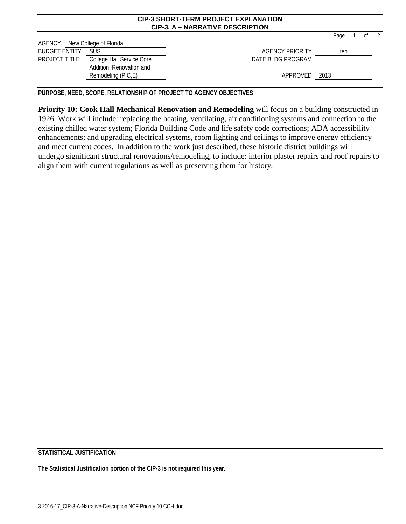|                                |                                                                     | <b>CIP-3, A - NARRATIVE DESCRIPTION</b> |      |    |  |
|--------------------------------|---------------------------------------------------------------------|-----------------------------------------|------|----|--|
|                                |                                                                     |                                         | Page | ot |  |
| AGENCY<br><b>BUDGET ENTITY</b> | New College of Florida<br><b>SUS</b>                                | <b>AGENCY PRIORITY</b>                  |      |    |  |
|                                |                                                                     |                                         | ten  |    |  |
|                                | PROJECT TITLE College Hall Service Core<br>Addition, Renovation and | DATE BLDG PROGRAM                       |      |    |  |
|                                | Remodeling (P,C,E)                                                  | APPROVED 2013                           |      |    |  |

**CIP-3 SHORT-TERM PROJECT EXPLANATION**

**PURPOSE, NEED, SCOPE, RELATIONSHIP OF PROJECT TO AGENCY OBJECTIVES**

**Priority 10: Cook Hall Mechanical Renovation and Remodeling** will focus on a building constructed in 1926. Work will include: replacing the heating, ventilating, air conditioning systems and connection to the existing chilled water system; Florida Building Code and life safety code corrections; ADA accessibility enhancements; and upgrading electrical systems, room lighting and ceilings to improve energy efficiency and meet current codes. In addition to the work just described, these historic district buildings will undergo significant structural renovations/remodeling, to include: interior plaster repairs and roof repairs to align them with current regulations as well as preserving them for history.

**STATISTICAL JUSTIFICATION**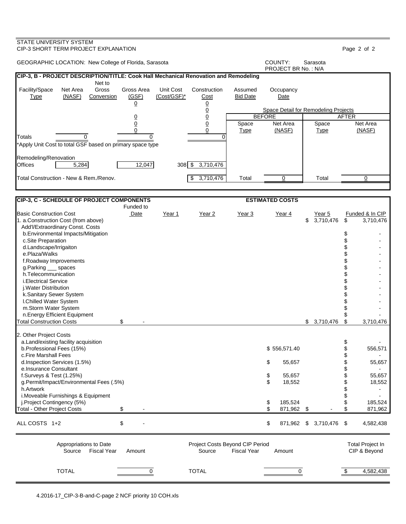### STATE UNIVERSITY SYSTEM CIP-3 SHORT TERM PROJECT EXPLANATION Page 2 of 2 GEOGRAPHIC LOCATION: New College of Florida, Sarasota **COUNTY:** Sarasota PROJECT BR No. : N/A **CIP-3, B - PROJECT DESCRIPTION/TITLE: Cook Hall Mechanical Renovation and Remodeling** Net to Facility/Space Net Area Gross Gross Area Unit Cost Construction Assumed Occupancy Type (NASF) Conversion (GSF) (Cost/GSF)\* Cost Bid Date Date <u>0</u> <u>0</u> 0 Space Detail for Remodeling Projects<br>0 BEFORE 0 0 BEFORE AFTER <u>0</u> 0 | Space Net Area | Space Net Area 0 0 Type (NASF) Type (NASF) Totals 0 0 0 \*Apply Unit Cost to total GSF based on primary space type Remodeling/Renovation<br>Offices 15,284 12,047 308 \$ 3,710,476 Total Construction - New & Rem./Renov. \$ 3,710,476 Total 0 Total 0 **CIP-3, C - SCHEDULE OF PROJECT COMPONENTS ESTIMATED COSTS** Funded to Basic Construction Cost Date Year 1 Year 2 Year 3 Year 4 Year 5 Funded & In CIP 1. a.Construction Cost (from above) \$ 3,710,476 \$ 3,710,476 Add'l/Extraordinary Const. Costs b.Environmental Impacts/Mitigation  $\sim$ c.Site Preparation  $\qquad \qquad \mathbb{S}$  - c.Site Preparation  $\qquad \qquad \mathbb{S}$  d.Landscape/Irrigaiton \$ e.Plaza/Walks \$ f.Roadway Improvements \$ g.Parking \_\_\_ spaces h.Telecommunication \$<br>i.Electrical Service \$ i.Electrical Service \$<br>i.Water Distribution \$ j.Water Distribution \$ k.Sanitary Sewer System \$ - I.Chilled Water System m.Storm Water System  $\sim$ n.Energy Efficient Equipment \$ 5 - 10.12 m.<br>https://www.energy Efficient Equipment \$ 5 - 10.476 \$ 3.710.476 \$ 3.710.476 \$ 3.710.476 \$ 3.710.476 \$ 3.710.47 Total Construction Costs  $\sim$  \$ 2. Other Project Costs a.Land/existing facility acquisition and the state of the state of the state of the state of the state of the s<br>
and the state of the state of the state of the state of the state of the state of the state of the state of t b.Professional Fees (15%) c.Fire Marshall Fees \$ d.Inspection Services (1.5%) \$ 55,657 \$ 55,657 e.Insurance Consultant f.Surveys & Test (1.25%) \$ 55,657 \$ 55,657<br>g.Permit/Impact/Environmental Fees (.5%) \$ 18,552 \$ 18,552 g.Permit/Impact/Environmental Fees (.5%) \$ 18,552 \$ 18,552 h.Artwork \$ i.Moveable Furnishings & Equipment \$ j.Project Contingency (5%) \$ 185,524 \$<br>|otal - Other Project Costs \$ - \$ 871.962 \$ \$ Total - Other Project Costs \$ - \$ 871,962 \$ - \$ 871,962 ALL COSTS 1+2 \$ - \$ 871,962 \$ 3,710,476 \$ 4,582,438 Appropriations to Date **Accord COSTS** Project Costs Beyond CIP Period Total Project In Source Fiscal Year Amount Source Fiscal Year Amount CIP & Beyond TOTAL 0 TOTAL 0 \$ 4,582,438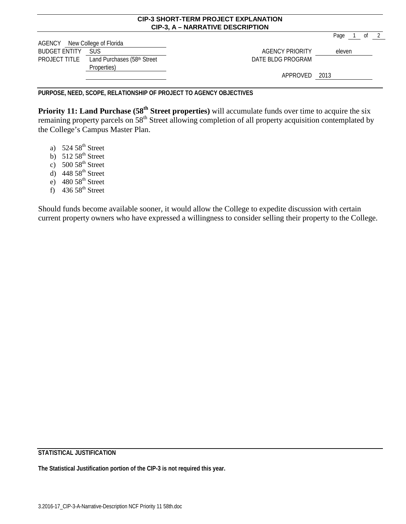|                               |                             | <b>CIP-3, A - NARRATIVE DESCRIPTION</b> |            |  |
|-------------------------------|-----------------------------|-----------------------------------------|------------|--|
|                               |                             |                                         | Page<br>0f |  |
| AGENCY New College of Florida |                             |                                         |            |  |
| <b>BUDGET ENTITY</b>          | <b>SUS</b>                  | <b>AGENCY PRIORITY</b>                  | eleven     |  |
| PROJECT TITLE                 | Land Purchases (58th Street | DATE BLDG PROGRAM                       |            |  |
|                               | Properties)                 |                                         |            |  |
|                               |                             | APPROVED 2013                           |            |  |
|                               |                             |                                         |            |  |

**CIP-3 SHORT-TERM PROJECT EXPLANATION**

**PURPOSE, NEED, SCOPE, RELATIONSHIP OF PROJECT TO AGENCY OBJECTIVES**

**Priority 11: Land Purchase (58<sup>th</sup> Street properties)** will accumulate funds over time to acquire the six remaining property parcels on 58<sup>th</sup> Street allowing completion of all property acquisition contemplated by the College's Campus Master Plan.

- a)  $524.58^{\text{th}}$  Street
- b)  $512.58^{\text{th}}$  Street
- c)  $500\,58^{th}$  Street
- d)  $448.58^{\text{th}}$  Street
- e)  $480.58^{\text{th}}$  Street
- f)  $436.58^{\text{th}}$  Street

Should funds become available sooner, it would allow the College to expedite discussion with certain current property owners who have expressed a willingness to consider selling their property to the College.

**STATISTICAL JUSTIFICATION**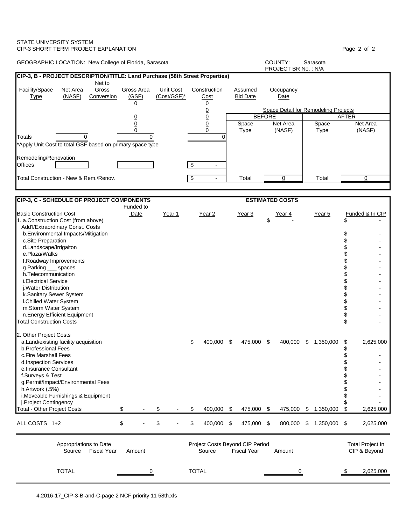### STATE UNIVERSITY SYSTEM CIP-3 SHORT TERM PROJECT EXPLANATION Page 2 of 2 GEOGRAPHIC LOCATION: New College of Florida, Sarasota **COUNTY:** Sarasota PROJECT BR No. : N/A **CIP-3, B - PROJECT DESCRIPTION/TITLE: Land Purchase (58th Street Properties)** Net to Facility/Space Net Area Gross Gross Area Unit Cost Construction Assumed Occupancy Type (NASF) Conversion (GSF) (Cost/GSF)\* Cost Bid Date Date <u>0</u> <u>0</u> 0 Space Detail for Remodeling Projects<br>0 BEFORE 0 0 BEFORE AFTER <u>0</u> 0 | Space Net Area | Space Net Area 0 0 Type (NASF) Type (NASF) Totals 0 0 0 \*Apply Unit Cost to total GSF based on primary space type Remodeling/Renovation<br>Offices Offices \$ - Total Construction - New & Rem./Renov. \$ - Total 0 Total 0 **CIP-3, C - SCHEDULE OF PROJECT COMPONENTS ESTIMATED COSTS** Funded to Basic Construction Cost Date Year 1 Year 2 Year 3 Year 4 Year 5 Funded & In CIP 1. a.Construction Cost (from above) \$ - \$ - Add'l/Extraordinary Const. Costs b.Environmental Impacts/Mitigation  $\sim$ c.Site Preparation  $\qquad \qquad \mathbb{S}$  - c.Site Preparation  $\qquad \qquad \mathbb{S}$  d.Landscape/Irrigaiton \$ e.Plaza/Walks \$ f.Roadway Improvements \$ g.Parking \_\_\_ spaces h.Telecommunication \$<br>i.Electrical Service \$ i.Electrical Service \$<br>i.Water Distribution \$ j.Water Distribution \$ k.Sanitary Sewer System  $$\$$ . And the set of the set of the set of the set of the set of the set of the set of the set of the set of the set of the set of the set of the set of the set of the set of the set of the set of t I.Chilled Water System m.Storm Water System  $\frac{1}{3}$  n.Energy Efficient Equipment \$ - **Total Construction Costs** 2. Other Project Costs a.Land/existing facility acquisition \$ 400,000 \$ 475,000 \$ 400,000 \$ 1,350,000 \$ 2,625,000 b.Professional Fees \$ c.Fire Marshall Fees  $\sim$ d.Inspection Services  $\begin{array}{ccc} \text{\$} & \text{\$} & \text{\$} \\ \text{\$} & \text{\$} & \text{\$} \\ \text{\$} & \text{\$} & \text{\$} \end{array}$ e.Insurance Consultant f.Surveys & Test \$ g.Permit/Impact/Environmental Fees \$ h.Artwork  $(.5%)$  i.Moveable Furnishings & Equipment \$ j.Project Contingency \$<br>1.350,000 \$ - \$ - \$ 400,000 \$ 475,000 \$ 1.350,000 \$ 2.625,000 \$ 3.625,000 \$ 3.625,000 \$ Total - Other Project Costs  $$$  470,000 \$ 475,000 \$ ALL COSTS 1+2  $$ - $ 5 - $ 400,000 $ 475,000 $ 800,000 $ 1,350,000 $ 2,625,000$ Appropriations to Date **Accord COSTS** Project Costs Beyond CIP Period Total Project In Source Fiscal Year Amount Source Fiscal Year Amount CIP & Beyond TOTAL 0 TOTAL 0 \$ 2,625,000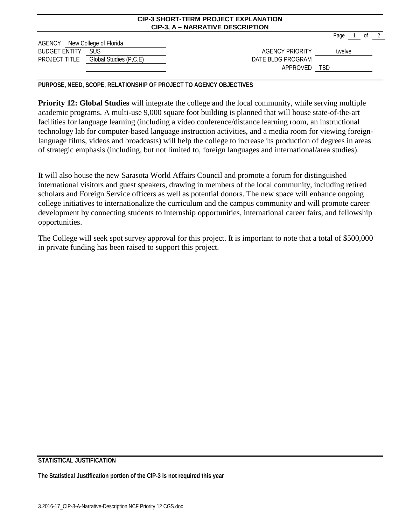|                               |                                      | <u>UIL VUIVILLEIULI ILUVEUT EALEANAITUI</u><br><b>CIP-3, A - NARRATIVE DESCRIPTION</b> |            |        |      |  |
|-------------------------------|--------------------------------------|----------------------------------------------------------------------------------------|------------|--------|------|--|
| AGENCY New College of Florida |                                      |                                                                                        |            | Page   | of 2 |  |
| <b>BUDGET ENTITY</b>          | <b>SUS</b>                           | AGENCY PRIORITY                                                                        |            | twelve |      |  |
|                               | PROJECT TITLE Global Studies (P,C,E) | DATE BLDG PROGRAM<br>APPROVED                                                          | <b>TBD</b> |        |      |  |

**CIP-3 SHORT-TERM PROJECT EXPLANATION**

**PURPOSE, NEED, SCOPE, RELATIONSHIP OF PROJECT TO AGENCY OBJECTIVES**

**Priority 12: Global Studies** will integrate the college and the local community, while serving multiple academic programs. A multi-use 9,000 square foot building is planned that will house state-of-the-art facilities for language learning (including a video conference/distance learning room, an instructional technology lab for computer-based language instruction activities, and a media room for viewing foreignlanguage films, videos and broadcasts) will help the college to increase its production of degrees in areas of strategic emphasis (including, but not limited to, foreign languages and international/area studies).

It will also house the new Sarasota World Affairs Council and promote a forum for distinguished international visitors and guest speakers, drawing in members of the local community, including retired scholars and Foreign Service officers as well as potential donors. The new space will enhance ongoing college initiatives to internationalize the curriculum and the campus community and will promote career development by connecting students to internship opportunities, international career fairs, and fellowship opportunities.

The College will seek spot survey approval for this project. It is important to note that a total of \$500,000 in private funding has been raised to support this project.

## **STATISTICAL JUSTIFICATION**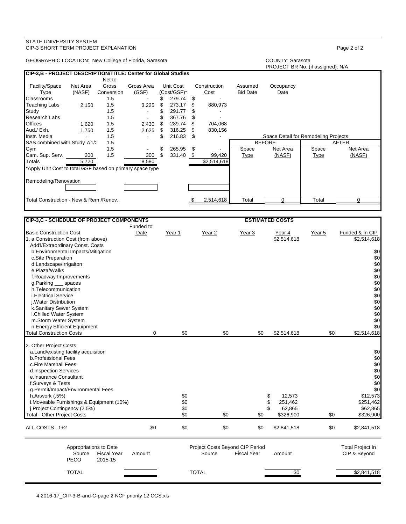| GEOGRAPHIC LOCATION: New College of Florida, Sarasota                                                          |                                                 |                                             |                                  |                                                                              |                            |                                           |                            | COUNTY: Sarasota<br>PROJECT BR No. (if assigned): N/A |                      |                                         |
|----------------------------------------------------------------------------------------------------------------|-------------------------------------------------|---------------------------------------------|----------------------------------|------------------------------------------------------------------------------|----------------------------|-------------------------------------------|----------------------------|-------------------------------------------------------|----------------------|-----------------------------------------|
| CIP-3,B - PROJECT DESCRIPTION/TITLE: Center for Global Studies                                                 |                                                 |                                             |                                  |                                                                              |                            |                                           |                            |                                                       |                      |                                         |
| Facility/Space<br><b>Type</b><br>Classrooms<br>Teaching Labs                                                   | Net Area<br>(NASF)<br>2,150                     | Net to<br>Gross<br>Conversion<br>1.5<br>1.5 | Gross Area<br>(GSF)<br>3,225     | Unit Cost<br>(Cost/GSF)*<br>\$<br>279.74<br>\$<br>273.17                     | \$<br>\$                   | Construction<br>Cost<br>880,973           | Assumed<br><b>Bid Date</b> | Occupancy<br>Date                                     |                      |                                         |
| Study<br><b>Research Labs</b><br><b>Offices</b><br>Aud./ Exh.<br>Instr. Media                                  | 1,620<br>1,750<br>$\overline{a}$                | 1.5<br>1.5<br>1.5<br>1.5<br>1.5             | $\blacksquare$<br>2,430<br>2,625 | 291.77<br>\$<br>\$<br>367.76<br>\$<br>289.74<br>316.25<br>\$<br>\$<br>216.83 | \$<br>\$<br>\$<br>\$<br>\$ | 704,068<br>830,156                        |                            | Space Detail for Remodeling Projects                  |                      |                                         |
| SAS combined with Study 7/1/2                                                                                  |                                                 | 1.5                                         |                                  |                                                                              |                            |                                           |                            | <b>BEFORE</b>                                         |                      | <b>AFTER</b>                            |
| Gym<br>Cam. Sup. Serv.<br>Totals                                                                               | 200<br>5,720                                    | 1.5<br>1.5                                  | 300<br>8,580                     | \$<br>265.95<br>\$<br>331.40 \$                                              | \$                         | 99,420<br>\$2,514,618                     | Space<br><b>Type</b>       | Net Area<br>(NASF)                                    | Space<br><b>Type</b> | Net Area<br>(NASF)                      |
| *Apply Unit Cost to total GSF based on primary space type                                                      |                                                 |                                             |                                  |                                                                              |                            |                                           |                            |                                                       |                      |                                         |
| Remodeling/Renovation                                                                                          |                                                 |                                             |                                  |                                                                              |                            |                                           |                            |                                                       |                      |                                         |
| Total Construction - New & Rem./Renov.                                                                         |                                                 |                                             |                                  |                                                                              | \$                         | 2,514,618                                 | Total                      | 0                                                     | Total                | 0                                       |
|                                                                                                                |                                                 |                                             |                                  |                                                                              |                            |                                           |                            |                                                       |                      |                                         |
| CIP-3,C - SCHEDULE OF PROJECT COMPONENTS                                                                       |                                                 |                                             | Funded to                        |                                                                              |                            |                                           |                            | <b>ESTIMATED COSTS</b>                                |                      |                                         |
| <b>Basic Construction Cost</b><br>1. a.Construction Cost (from above)<br>Add'l/Extraordinary Const. Costs      |                                                 |                                             | Date                             | Year 1                                                                       |                            | Year 2                                    | Year 3                     | Year 4<br>\$2,514,618                                 | Year 5               | Funded & In CIP<br>\$2,514,618          |
| b. Environmental Impacts/Mitigation<br>c.Site Preparation<br>d.Landscape/Irrigaiton                            |                                                 |                                             |                                  |                                                                              |                            |                                           |                            |                                                       |                      | \$0<br>\$0<br>\$0                       |
| e.Plaza/Walks<br>f.Roadway Improvements<br>g.Parking __ spaces                                                 |                                                 |                                             |                                  |                                                                              |                            |                                           |                            |                                                       |                      | \$0<br>\$0<br>\$0                       |
| h.Telecommunication<br><i>i.Electrical Service</i>                                                             |                                                 |                                             |                                  |                                                                              |                            |                                           |                            |                                                       |                      | \$0<br>\$0                              |
| j. Water Distribution<br>k.Sanitary Sewer System<br>I.Chilled Water System                                     |                                                 |                                             |                                  |                                                                              |                            |                                           |                            |                                                       |                      | \$0<br>\$0<br>\$0                       |
| m.Storm Water System<br>n.Energy Efficient Equipment                                                           |                                                 |                                             |                                  |                                                                              |                            |                                           |                            |                                                       |                      | \$0<br>\$0                              |
| <b>Total Construction Costs</b>                                                                                |                                                 |                                             | 0                                | \$0                                                                          |                            | \$0                                       | \$0                        | \$2,514,618                                           | \$0                  | \$2,514,618                             |
| 2. Other Project Costs<br>a. Land/existing facility acquisition<br>b.Professional Fees<br>c.Fire Marshall Fees |                                                 |                                             |                                  |                                                                              |                            |                                           |                            |                                                       |                      | \$0<br>\$0<br>\$0                       |
| d.Inspection Services<br>e.Insurance Consultant<br>f.Surveys & Tests                                           |                                                 |                                             |                                  |                                                                              |                            |                                           |                            |                                                       |                      | \$0<br>\$0<br>\$0                       |
| g.Permit/Impact/Environmental Fees<br>h.Artwork (.5%)<br>i.Moveable Furnishings & Equipment (10%)              |                                                 |                                             |                                  | \$0<br>\$0                                                                   |                            |                                           |                            | 12,573<br>\$<br>\$<br>251,462                         |                      | \$0<br>\$12,573<br>\$251,462            |
| j.Project Contingency (2.5%)<br><b>Total - Other Project Costs</b>                                             |                                                 |                                             |                                  | \$0<br>\$0                                                                   |                            | \$0                                       | \$0                        | \$<br>62,865<br>\$326,900                             | \$0                  | \$62,865<br>\$326,900                   |
| ALL COSTS 1+2                                                                                                  |                                                 |                                             | \$0                              | \$0                                                                          |                            | \$0                                       | \$0                        | \$2,841,518                                           | \$0                  | \$2,841,518                             |
|                                                                                                                | Appropriations to Date<br>Source<br><b>PECO</b> | <b>Fiscal Year</b><br>2015-15               | Amount                           |                                                                              |                            | Project Costs Beyond CIP Period<br>Source | <b>Fiscal Year</b>         | Amount                                                |                      | <b>Total Project In</b><br>CIP & Beyond |
|                                                                                                                | <b>TOTAL</b>                                    |                                             |                                  |                                                                              |                            | <b>TOTAL</b>                              |                            | $\sqrt{6}$                                            |                      | \$2,841,518                             |

CIP-3 SHORT TERM PROJECT EXPLANATION **Page 2** of 2

STATE UNIVERSITY SYSTEM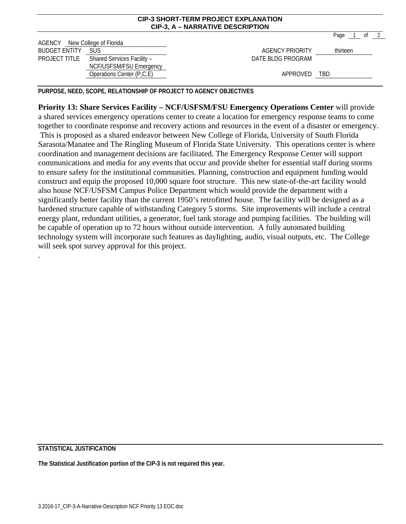|                                                       |                                                       | <b>CIP-3, A - NARRATIVE DESCRIPTION</b> |                                          |
|-------------------------------------------------------|-------------------------------------------------------|-----------------------------------------|------------------------------------------|
| AGENCY New College of Florida<br><b>BUDGET ENTITY</b> | <b>SUS</b>                                            | <b>AGENCY PRIORITY</b>                  | $\overline{2}$<br>Page<br>0f<br>thirteen |
| PROJECT TITLE                                         | Shared Services Facility -<br>NCF/USFSM/FSU Emergency | DATE BLDG PROGRAM                       |                                          |
|                                                       | Operations Center (P,C,E)                             | APPROVED                                | <b>TBD</b>                               |

**CIP-3 SHORT-TERM PROJECT EXPLANATION** 

**PURPOSE, NEED, SCOPE, RELATIONSHIP OF PROJECT TO AGENCY OBJECTIVES**

**Priority 13: Share Services Facility – NCF/USFSM/FSU Emergency Operations Center** will provide a shared services emergency operations center to create a location for emergency response teams to come together to coordinate response and recovery actions and resources in the event of a disaster or emergency. This is proposed as a shared endeavor between New College of Florida, University of South Florida Sarasota/Manatee and The Ringling Museum of Florida State University. This operations center is where coordination and management decisions are facilitated. The Emergency Response Center will support communications and media for any events that occur and provide shelter for essential staff during storms to ensure safety for the institutional communities. Planning, construction and equipment funding would construct and equip the proposed 10,000 square foot structure. This new state-of-the-art facility would also house NCF/USFSM Campus Police Department which would provide the department with a significantly better facility than the current 1950's retrofitted house. The facility will be designed as a hardened structure capable of withstanding Category 5 storms. Site improvements will include a central energy plant, redundant utilities, a generator, fuel tank storage and pumping facilities. The building will be capable of operation up to 72 hours without outside intervention. A fully automated building technology system will incorporate such features as daylighting, audio, visual outputs, etc. The College will seek spot survey approval for this project.

## **STATISTICAL JUSTIFICATION**

.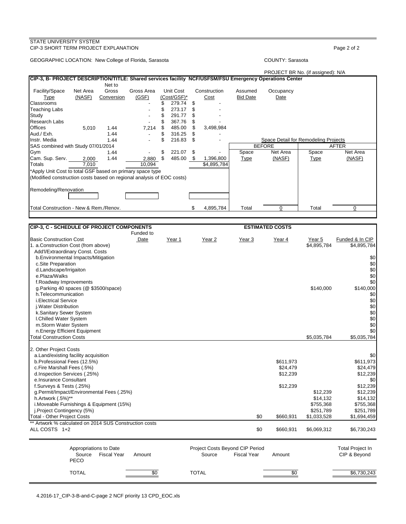### STATE UNIVERSITY SYSTEM CIP-3 SHORT TERM PROJECT EXPLANATION **Page 2** of 2

GEOGRAPHIC LOCATION: New College of Florida, Sarasota COUNTY: Sarasota COUNTY: Sarasota

### PROJECT BR No. (if assigned): N/A

| CIP-3, B- PROJECT DESCRIPTION/TITLE: Shared services facility NCF/USFSM/FSU Emergency Operations Center |          |            |            |              |      |              |                 |                                      |             |              |
|---------------------------------------------------------------------------------------------------------|----------|------------|------------|--------------|------|--------------|-----------------|--------------------------------------|-------------|--------------|
|                                                                                                         |          | Net to     |            |              |      |              |                 |                                      |             |              |
| Facility/Space                                                                                          | Net Area | Gross      | Gross Area | Unit Cost    |      | Construction | Assumed         | Occupancy                            |             |              |
| Type                                                                                                    | (NASF)   | Conversion | (GSF)      | (Cost/GSF)*  |      | Cost         | <b>Bid Date</b> | Date                                 |             |              |
| Classrooms                                                                                              |          |            |            | 279.74       | S    |              |                 |                                      |             |              |
| Teaching Labs                                                                                           |          |            |            | 273.17       |      |              |                 |                                      |             |              |
| Study                                                                                                   |          |            |            | 291.77       | \$.  |              |                 |                                      |             |              |
| <b>Research Labs</b>                                                                                    |          |            |            | 367.76       | \$   |              |                 |                                      |             |              |
| <b>Offices</b>                                                                                          | 5,010    | 1.44       | 7,214      | \$<br>485.00 | \$.  | 3,498,984    |                 |                                      |             |              |
| Aud./ Exh.                                                                                              |          | 1.44       |            | \$<br>316.25 | \$   |              |                 |                                      |             |              |
| Instr. Media                                                                                            |          | 1.44       |            | 216.83       | \$.  |              |                 | Space Detail for Remodeling Projects |             |              |
| SAS combined with Study 07/01/2014                                                                      |          |            |            |              |      |              |                 | <b>BEFORE</b>                        |             | <b>AFTER</b> |
| Gym                                                                                                     |          | 1.44       |            | \$<br>221.07 | S    |              | Space           | Net Area                             | Space       | Net Area     |
| Cam. Sup. Serv.                                                                                         | 2,000    | 1.44       | 2,880      | \$<br>485.00 | - \$ | 1,396,800    | Type            | (NASF)                               | <b>Type</b> | (NASF)       |
| <b>Totals</b>                                                                                           | 7,010    |            | 10,094     |              |      | \$4,895,784  |                 |                                      |             |              |
| *Apply Unit Cost to total GSF based on primary space type                                               |          |            |            |              |      |              |                 |                                      |             |              |
| (Modified construction costs based on regional analysis of EOC costs)                                   |          |            |            |              |      |              |                 |                                      |             |              |
|                                                                                                         |          |            |            |              |      |              |                 |                                      |             |              |
| Remodeling/Renovation                                                                                   |          |            |            |              |      |              |                 |                                      |             |              |
|                                                                                                         |          |            |            |              |      |              |                 |                                      |             |              |
|                                                                                                         |          |            |            |              |      |              |                 |                                      |             |              |
| Total Construction - New & Rem./Renov.                                                                  |          |            |            |              | S    | 4,895,784    | Total           | $\Omega$                             | Total       | $\Omega$     |
|                                                                                                         |          |            |            |              |      |              |                 |                                      |             |              |
|                                                                                                         |          |            |            |              |      |              |                 |                                      |             |              |
| CIP-3, C - SCHEDULE OF PROJECT COMPONENTS                                                               |          |            |            |              |      |              |                 | <b>ESTIMATED COSTS</b>               |             |              |

| CIP-3, C - SCHEDULE OF PROJECT COMPONENTS                       |                   |        |              |                                 | ESIIMAIED COSIS |                       |                         |
|-----------------------------------------------------------------|-------------------|--------|--------------|---------------------------------|-----------------|-----------------------|-------------------------|
| <b>Basic Construction Cost</b>                                  | Funded to<br>Date | Year 1 |              |                                 |                 |                       | Funded & In CIP         |
| 1. a.Construction Cost (from above)                             |                   |        | Year 2       | Year <sub>3</sub>               | Year 4          | Year 5<br>\$4,895,784 | \$4,895,784             |
| Add'l/Extraordinary Const. Costs                                |                   |        |              |                                 |                 |                       |                         |
| b. Environmental Impacts/Mitigation                             |                   |        |              |                                 |                 |                       | \$0                     |
| c.Site Preparation                                              |                   |        |              |                                 |                 |                       | \$0                     |
| d.Landscape/Irrigaiton                                          |                   |        |              |                                 |                 |                       | \$0                     |
| e.Plaza/Walks                                                   |                   |        |              |                                 |                 |                       | \$0                     |
| f.Roadway Improvements                                          |                   |        |              |                                 |                 |                       | \$0                     |
| g.Parking 40 spaces (@ \$3500/space)                            |                   |        |              |                                 |                 | \$140,000             | \$140,000               |
| h.Telecommunication                                             |                   |        |              |                                 |                 |                       | \$0                     |
| <i>i.Electrical Service</i>                                     |                   |        |              |                                 |                 |                       | \$0                     |
| j. Water Distribution                                           |                   |        |              |                                 |                 |                       |                         |
|                                                                 |                   |        |              |                                 |                 |                       | \$0<br>\$0              |
| k.Sanitary Sewer System<br>I.Chilled Water System               |                   |        |              |                                 |                 |                       | \$0                     |
| m.Storm Water System                                            |                   |        |              |                                 |                 |                       | \$0                     |
|                                                                 |                   |        |              |                                 |                 |                       | \$0                     |
| n.Energy Efficient Equipment<br><b>Total Construction Costs</b> |                   |        |              |                                 |                 | \$5,035,784           |                         |
|                                                                 |                   |        |              |                                 |                 |                       | \$5,035,784             |
| 2. Other Project Costs                                          |                   |        |              |                                 |                 |                       |                         |
| a.Land/existing facility acquisition                            |                   |        |              |                                 |                 |                       | \$0                     |
| b.Professional Fees (12.5%)                                     |                   |        |              |                                 | \$611,973       |                       | \$611,973               |
| c.Fire Marshall Fees (.5%)                                      |                   |        |              |                                 | \$24,479        |                       | \$24,479                |
| d.Inspection Services (.25%)                                    |                   |        |              |                                 | \$12,239        |                       | \$12,239                |
| e.Insurance Consultant                                          |                   |        |              |                                 |                 |                       | \$0                     |
| f.Surveys & Tests (.25%)                                        |                   |        |              |                                 | \$12,239        |                       | \$12,239                |
| g.Permit/Impact/Environmental Fees (.25%)                       |                   |        |              |                                 |                 | \$12,239              | \$12,239                |
| h.Artwork (.5%)**                                               |                   |        |              |                                 |                 | \$14,132              | \$14,132                |
| i.Moveable Furnishings & Equipment (15%)                        |                   |        |              |                                 |                 | \$755,368             | \$755,368               |
| j.Project Contingency (5%)                                      |                   |        |              |                                 |                 | \$251,789             | \$251,789               |
| <b>Total - Other Project Costs</b>                              |                   |        |              | \$0                             | \$660,931       | \$1,033,528           | \$1,694,459             |
| Artwork % calculated on 2014 SUS Construction costs             |                   |        |              |                                 |                 |                       |                         |
| ALL COSTS 1+2                                                   |                   |        |              | \$0                             | \$660,931       | \$6,069,312           | \$6,730,243             |
|                                                                 |                   |        |              |                                 |                 |                       |                         |
|                                                                 |                   |        |              |                                 |                 |                       |                         |
| Appropriations to Date                                          |                   |        |              | Project Costs Beyond CIP Period |                 |                       | <b>Total Project In</b> |
| <b>Fiscal Year</b><br>Source                                    | Amount            |        | Source       | <b>Fiscal Year</b>              | Amount          |                       | CIP & Beyond            |
| PECO                                                            |                   |        |              |                                 |                 |                       |                         |
|                                                                 |                   |        |              |                                 |                 |                       |                         |
| <b>TOTAL</b>                                                    | \$0               |        | <b>TOTAL</b> |                                 | \$0             |                       | $\overline{$6,730,243}$ |
|                                                                 |                   |        |              |                                 |                 |                       |                         |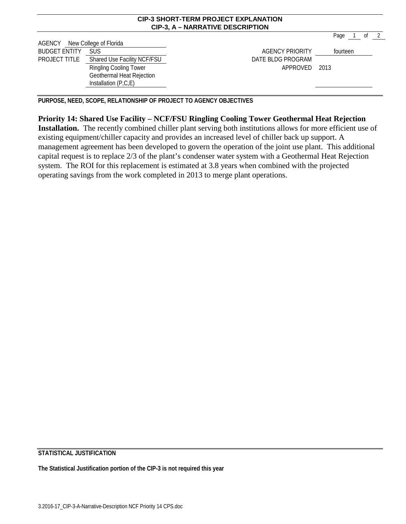| <b>CIP-3 SHORT-TERM PROJECT EXPLANATION</b> |
|---------------------------------------------|
| <b>CIP-3, A – NARRATIVE DESCRIPTION</b>     |

Page 1 of 2 AGENCY New College of Florida BUDGET ENTITY SUS **EXECUTE:** SUS AGENCY PRIORITY **Fourteen** PROJECT TITLE Shared Use Facility NCF/FSU DATE BLDG PROGRAM Ringling Cooling Tower Geothermal Heat Rejection Installation (P,C,E) APPROVED 2013

**PURPOSE, NEED, SCOPE, RELATIONSHIP OF PROJECT TO AGENCY OBJECTIVES**

## **Priority 14: Shared Use Facility – NCF/FSU Ringling Cooling Tower Geothermal Heat Rejection**

**Installation.** The recently combined chiller plant serving both institutions allows for more efficient use of existing equipment/chiller capacity and provides an increased level of chiller back up support. A management agreement has been developed to govern the operation of the joint use plant. This additional capital request is to replace 2/3 of the plant's condenser water system with a Geothermal Heat Rejection system. The ROI for this replacement is estimated at 3.8 years when combined with the projected operating savings from the work completed in 2013 to merge plant operations.

**STATISTICAL JUSTIFICATION**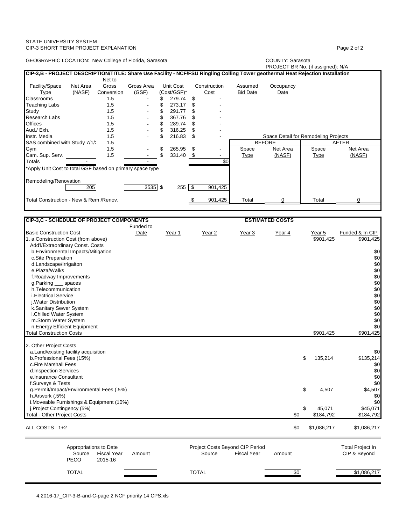| GEOGRAPHIC LOCATION: New College of Florida, Sarasota                                                                                                                                                                                                                                                                                                                                                                                                                                                                                                                                                                                                                                           | <b>COUNTY: Sarasota</b><br>PROJECT BR No. (if assigned): N/A                                                                                                                                                                |
|-------------------------------------------------------------------------------------------------------------------------------------------------------------------------------------------------------------------------------------------------------------------------------------------------------------------------------------------------------------------------------------------------------------------------------------------------------------------------------------------------------------------------------------------------------------------------------------------------------------------------------------------------------------------------------------------------|-----------------------------------------------------------------------------------------------------------------------------------------------------------------------------------------------------------------------------|
| CIP-3,B - PROJECT DESCRIPTION/TITLE: Share Use Facility - NCF/FSU Ringling Colling Tower geothermal Heat Rejection Installation                                                                                                                                                                                                                                                                                                                                                                                                                                                                                                                                                                 |                                                                                                                                                                                                                             |
| Net to<br>Facility/Space<br>Gross<br>Unit Cost<br>Net Area<br>Gross Area<br>Construction<br>(GSF)<br>(Cost/GSF)*<br>Type<br>(NASF)<br>Conversion<br>Cost<br>\$<br>279.74<br>Classrooms<br>1.5<br>\$<br>\$<br>273.17<br><b>Teaching Labs</b><br>1.5<br>\$<br>\$<br>291.77<br>Study<br>1.5<br>\$<br>\$<br><b>Research Labs</b><br>1.5<br>367.76<br>\$<br>\$<br>289.74<br><b>Offices</b><br>1.5<br>\$<br>Aud./ Exh.<br>1.5<br>\$<br>316.25<br>\$<br>Instr. Media<br>216.83<br>1.5<br>\$<br>\$<br>SAS combined with Study 7/1/2<br>1.5<br>1.5<br>\$<br>Gym<br>265.95<br>\$<br>\$<br>1.5<br>Cam. Sup. Serv.<br>331.40<br>- \$<br>Totals<br>*Apply Unit Cost to total GSF based on primary space type | Assumed<br>Occupancy<br><b>Bid Date</b><br>Date<br>Space Detail for Remodeling Projects<br><b>BEFORE</b><br><b>AFTER</b><br>Net Area<br>Net Area<br>Space<br>Space<br>(NASF)<br>(NASF)<br><b>Type</b><br><b>Type</b><br>\$0 |
| Remodeling/Renovation<br>205<br>$3535$ \$<br>\$<br>255                                                                                                                                                                                                                                                                                                                                                                                                                                                                                                                                                                                                                                          | 901,425                                                                                                                                                                                                                     |
| Total Construction - New & Rem./Renov.<br>\$                                                                                                                                                                                                                                                                                                                                                                                                                                                                                                                                                                                                                                                    | 0<br>0<br>901,425<br>Total<br>Total                                                                                                                                                                                         |
| CIP-3,C - SCHEDULE OF PROJECT COMPONENTS<br>Funded to                                                                                                                                                                                                                                                                                                                                                                                                                                                                                                                                                                                                                                           | <b>ESTIMATED COSTS</b>                                                                                                                                                                                                      |
| <b>Basic Construction Cost</b><br>Date<br>Year 1<br>Year 2<br>1. a.Construction Cost (from above)<br>Add'l/Extraordinary Const. Costs<br>b.Environmental Impacts/Mitigation<br>c.Site Preparation<br>d.Landscape/Irrigaiton<br>e.Plaza/Walks<br>f.Roadway Improvements<br>g.Parking __ spaces<br>h.Telecommunication<br>i. Electrical Service<br>j. Water Distribution<br>k.Sanitary Sewer System<br>I.Chilled Water System<br>m.Storm Water System<br>n.Energy Efficient Equipment<br><b>Total Construction Costs</b>                                                                                                                                                                          | Funded & In CIP<br>Year 3<br>Year 5<br>Year 4<br>\$901,425<br>\$901,425<br>\$0<br>\$0<br>\$0<br>\$0<br>\$0<br>\$0<br>\$0<br>\$0<br>\$0<br>\$0<br>\$0<br>\$0<br>\$0<br>\$901.425<br>\$901,425                                |
| 2. Other Project Costs<br>a.Land/existing facility acquisition<br>b.Professional Fees (15%)<br>c.Fire Marshall Fees<br>d.Inspection Services<br>e.Insurance Consultant<br>f.Surveys & Tests<br>g.Permit/Impact/Environmental Fees (.5%)<br>h.Artwork (.5%)<br>i. Moveable Furnishings & Equipment (10%)<br>j.Project Contingency (5%)<br><b>Total - Other Project Costs</b>                                                                                                                                                                                                                                                                                                                     | \$0<br>\$<br>135,214<br>\$135,214<br>\$0<br>\$0<br>\$0<br>\$0<br>\$<br>4,507<br>\$4,507<br>\$0<br>\$0<br>\$45,071<br>\$<br>45,071<br>\$0<br>\$184,792<br>\$184,792                                                          |
| ALL COSTS 1+2                                                                                                                                                                                                                                                                                                                                                                                                                                                                                                                                                                                                                                                                                   | \$0<br>\$1,086,217<br>\$1,086,217                                                                                                                                                                                           |
| Appropriations to Date<br><b>Fiscal Year</b><br>Source<br>Amount<br>Source<br>PECO<br>2015-16                                                                                                                                                                                                                                                                                                                                                                                                                                                                                                                                                                                                   | Project Costs Beyond CIP Period<br><b>Total Project In</b><br><b>Fiscal Year</b><br>CIP & Beyond<br>Amount                                                                                                                  |

TOTAL TOTAL \$0 \$1,086,217

STATE UNIVERSITY SYSTEM

CIP-3 SHORT TERM PROJECT EXPLANATION **Page 2** of 2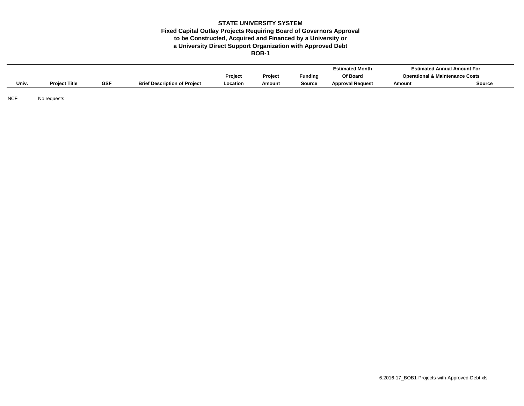### **BOB-1 Fixed Capital Outlay Projects Requiring Board of Governors Approval to be Constructed, Acquired and Financed by a University or STATE UNIVERSITY SYSTEM a University Direct Support Organization with Approved Debt**

|       |                      |            |                                     |          |         |                | <b>Estimated Month</b>  |        | <b>Estimated Annual Amount For</b>         |
|-------|----------------------|------------|-------------------------------------|----------|---------|----------------|-------------------------|--------|--------------------------------------------|
|       |                      |            |                                     | Project  | Project | <b>Funding</b> | Of Board                |        | <b>Operational &amp; Maintenance Costs</b> |
| Univ. | <b>Project Title</b> | <b>GSF</b> | <b>Brief Description of Project</b> | Location | Amount  | Source         | <b>Approval Request</b> | Amount | Source                                     |

NCF No requests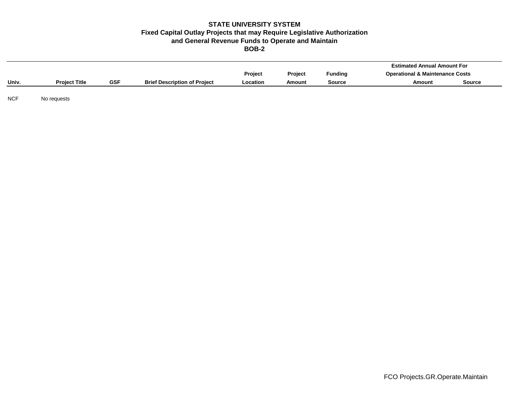### **BOB-2 Fixed Capital Outlay Projects that may Require Legislative Authorization and General Revenue Funds to Operate and Maintain STATE UNIVERSITY SYSTEM**

|       |                      |            |                                     |                |                |                | <b>Estimated Annual Amount For</b>         |               |
|-------|----------------------|------------|-------------------------------------|----------------|----------------|----------------|--------------------------------------------|---------------|
|       |                      |            |                                     | <b>Project</b> | <b>Project</b> | <b>Funding</b> | <b>Operational &amp; Maintenance Costs</b> |               |
| Univ. | <b>Project Title</b> | <b>GSF</b> | <b>Brief Description of Project</b> | Location       | Amount         | Source         | Amount                                     | <b>Source</b> |
|       |                      |            |                                     |                |                |                |                                            |               |

NCF No requests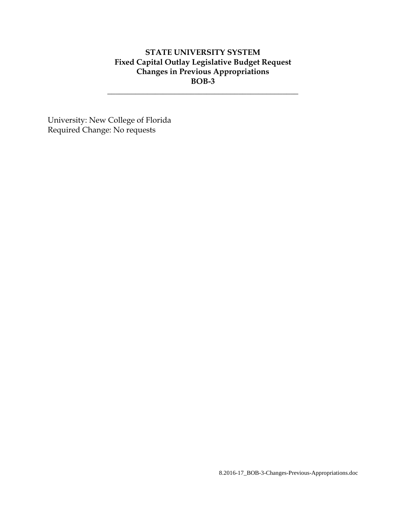# **STATE UNIVERSITY SYSTEM Fixed Capital Outlay Legislative Budget Request Changes in Previous Appropriations BOB-3**

**\_\_\_\_\_\_\_\_\_\_\_\_\_\_\_\_\_\_\_\_\_\_\_\_\_\_\_\_\_\_\_\_\_\_\_\_\_\_\_\_\_\_\_\_\_\_\_\_**

University: New College of Florida Required Change: No requests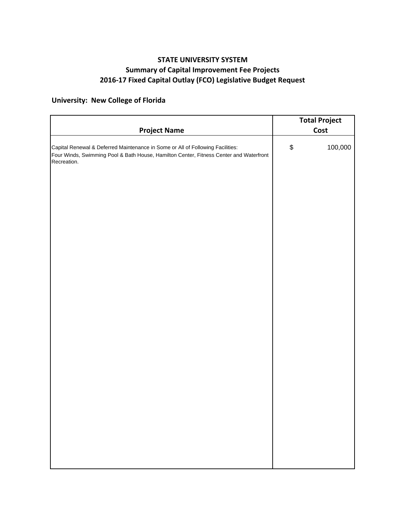# **STATE UNIVERSITY SYSTEM Summary of Capital Improvement Fee Projects 2016‐17 Fixed Capital Outlay (FCO) Legislative Budget Request**

# **University: New College of Florida**

|                                                                                                                                                                                         |                                           | <b>Total Project</b> |
|-----------------------------------------------------------------------------------------------------------------------------------------------------------------------------------------|-------------------------------------------|----------------------|
| <b>Project Name</b>                                                                                                                                                                     |                                           | Cost                 |
| Capital Renewal & Deferred Maintenance in Some or All of Following Facilities:<br>Four Winds, Swimming Pool & Bath House, Hamilton Center, Fitness Center and Waterfront<br>Recreation. | $\, \, \raisebox{12pt}{$\scriptstyle \$}$ | 100,000              |
|                                                                                                                                                                                         |                                           |                      |
|                                                                                                                                                                                         |                                           |                      |
|                                                                                                                                                                                         |                                           |                      |
|                                                                                                                                                                                         |                                           |                      |
|                                                                                                                                                                                         |                                           |                      |
|                                                                                                                                                                                         |                                           |                      |
|                                                                                                                                                                                         |                                           |                      |
|                                                                                                                                                                                         |                                           |                      |
|                                                                                                                                                                                         |                                           |                      |
|                                                                                                                                                                                         |                                           |                      |
|                                                                                                                                                                                         |                                           |                      |
|                                                                                                                                                                                         |                                           |                      |
|                                                                                                                                                                                         |                                           |                      |
|                                                                                                                                                                                         |                                           |                      |
|                                                                                                                                                                                         |                                           |                      |
|                                                                                                                                                                                         |                                           |                      |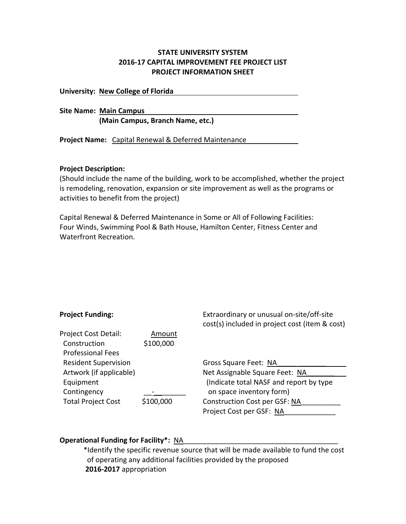## **STATE UNIVERSITY SYSTEM 2016‐17 CAPITAL IMPROVEMENT FEE PROJECT LIST PROJECT INFORMATION SHEET**

**University: New College of Florida** 

**Site Name: Main Campus (Main Campus, Branch Name, etc.)**

**Project Name:** Capital Renewal & Deferred Maintenance

## **Project Description:**

(Should include the name of the building, work to be accomplished, whether the project is remodeling, renovation, expansion or site improvement as well as the programs or activities to benefit from the project)

Capital Renewal & Deferred Maintenance in Some or All of Following Facilities: Four Winds, Swimming Pool & Bath House, Hamilton Center, Fitness Center and Waterfront Recreation.

| <b>Project Funding:</b>     |           | Extraordinary or unusual on-site/off-site<br>cost(s) included in project cost (item & cost) |
|-----------------------------|-----------|---------------------------------------------------------------------------------------------|
| Project Cost Detail:        | Amount    |                                                                                             |
| Construction                | \$100,000 |                                                                                             |
| <b>Professional Fees</b>    |           |                                                                                             |
| <b>Resident Supervision</b> |           | Gross Square Feet: NA                                                                       |
| Artwork (if applicable)     |           | Net Assignable Square Feet: NA                                                              |
| Equipment                   |           | (Indicate total NASF and report by type                                                     |
| Contingency                 |           | on space inventory form)                                                                    |
| <b>Total Project Cost</b>   | \$100,000 | Construction Cost per GSF: NA                                                               |
|                             |           | Project Cost per GSF: NA                                                                    |

## **Operational Funding for Facility\*:** NA\_\_\_\_\_\_\_\_\_\_\_\_\_\_\_\_\_\_\_\_\_\_\_\_\_\_\_\_\_\_\_\_\_\_\_\_\_\_\_

\*Identify the specific revenue source that will be made available to fund the cost of operating any additional facilities provided by the proposed **2016‐2017** appropriation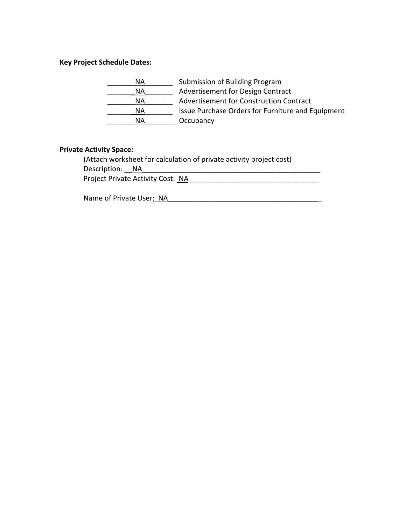# **Key Project Schedule Dates:**

| ΝA        | Submission of Building Program                    |
|-----------|---------------------------------------------------|
| ΝA        | Advertisement for Design Contract                 |
| ΝA        | Advertisement for Construction Contract           |
| ΝA        | Issue Purchase Orders for Furniture and Equipment |
| <b>NA</b> | Occupancy                                         |

## **Private Activity Space:**

(Attach worksheet for calculation of private activity project cost) Description: \_\_NA\_\_\_\_\_\_\_\_\_\_\_\_\_\_\_\_\_\_\_\_\_\_\_\_\_\_\_\_\_\_\_\_\_\_\_\_\_\_\_\_\_\_\_\_\_ Project Private Activity Cost: NA\_\_\_\_\_\_\_\_\_\_\_\_\_\_\_\_\_\_\_\_\_\_\_\_\_\_\_\_\_\_\_\_\_

Name of Private User: NA\_\_\_\_\_\_\_\_\_\_\_\_\_\_\_\_\_\_\_\_\_\_\_\_\_\_\_\_\_\_\_\_\_\_\_\_\_\_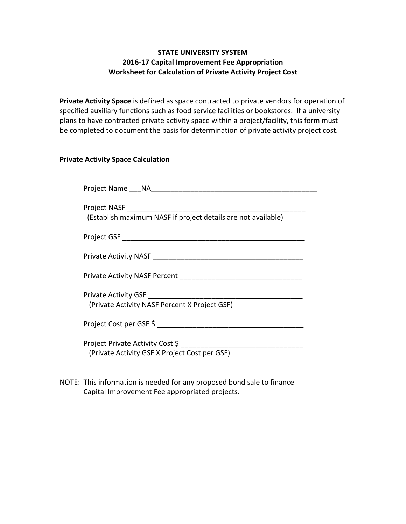# **STATE UNIVERSITY SYSTEM 2016-17 Capital Improvement Fee Appropriation Worksheet for Calculation of Private Activity Project Cost**

**Private Activity Space** is defined as space contracted to private vendors for operation of specified auxiliary functions such as food service facilities or bookstores. If a university plans to have contracted private activity space within a project/facility, this form must be completed to document the basis for determination of private activity project cost.

## **Private Activity Space Calculation**

| Project Name NA NA                                            |
|---------------------------------------------------------------|
| (Establish maximum NASF if project details are not available) |
|                                                               |
|                                                               |
|                                                               |
| (Private Activity NASF Percent X Project GSF)                 |
|                                                               |
| (Private Activity GSF X Project Cost per GSF)                 |

NOTE: This information is needed for any proposed bond sale to finance Capital Improvement Fee appropriated projects.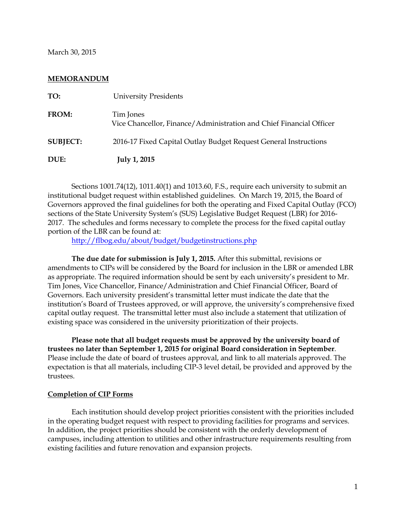March 30, 2015

## **MEMORANDUM**

| DUE:            | <b>July 1, 2015</b>                                                              |
|-----------------|----------------------------------------------------------------------------------|
| <b>SUBJECT:</b> | 2016-17 Fixed Capital Outlay Budget Request General Instructions                 |
| FROM:           | Tim Jones<br>Vice Chancellor, Finance/Administration and Chief Financial Officer |
| TO:             | <b>University Presidents</b>                                                     |

Sections 1001.74(12), 1011.40(1) and 1013.60, F.S., require each university to submit an institutional budget request within established guidelines. On March 19, 2015, the Board of Governors approved the final guidelines for both the operating and Fixed Capital Outlay (FCO) sections of the State University System's (SUS) Legislative Budget Request (LBR) for 2016- 2017. The schedules and forms necessary to complete the process for the fixed capital outlay portion of the LBR can be found at:

<http://flbog.edu/about/budget/budgetinstructions.php>

**The due date for submission is July 1, 2015.** After this submittal, revisions or amendments to CIPs will be considered by the Board for inclusion in the LBR or amended LBR as appropriate. The required information should be sent by each university's president to Mr. Tim Jones, Vice Chancellor, Finance/Administration and Chief Financial Officer, Board of Governors. Each university president's transmittal letter must indicate the date that the institution's Board of Trustees approved, or will approve, the university's comprehensive fixed capital outlay request. The transmittal letter must also include a statement that utilization of existing space was considered in the university prioritization of their projects.

**Please note that all budget requests must be approved by the university board of trustees no later than September 1, 2015 for original Board consideration in September**. Please include the date of board of trustees approval, and link to all materials approved. The expectation is that all materials, including CIP-3 level detail, be provided and approved by the trustees.

### **Completion of CIP Forms**

Each institution should develop project priorities consistent with the priorities included in the operating budget request with respect to providing facilities for programs and services. In addition, the project priorities should be consistent with the orderly development of campuses, including attention to utilities and other infrastructure requirements resulting from existing facilities and future renovation and expansion projects.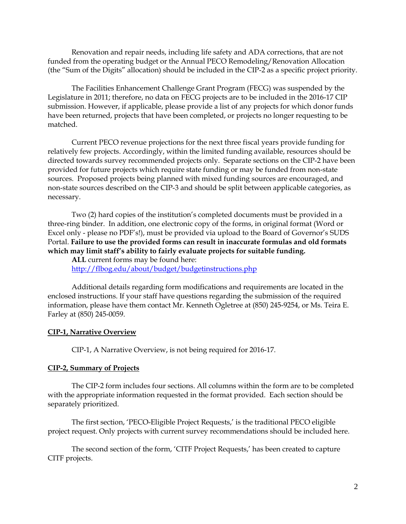Renovation and repair needs, including life safety and ADA corrections, that are not funded from the operating budget or the Annual PECO Remodeling/Renovation Allocation (the "Sum of the Digits" allocation) should be included in the CIP-2 as a specific project priority.

The Facilities Enhancement Challenge Grant Program (FECG) was suspended by the Legislature in 2011; therefore, no data on FECG projects are to be included in the 2016-17 CIP submission. However, if applicable, please provide a list of any projects for which donor funds have been returned, projects that have been completed, or projects no longer requesting to be matched.

Current PECO revenue projections for the next three fiscal years provide funding for relatively few projects. Accordingly, within the limited funding available, resources should be directed towards survey recommended projects only. Separate sections on the CIP-2 have been provided for future projects which require state funding or may be funded from non-state sources. Proposed projects being planned with mixed funding sources are encouraged, and non-state sources described on the CIP-3 and should be split between applicable categories, as necessary.

Two (2) hard copies of the institution's completed documents must be provided in a three-ring binder. In addition, one electronic copy of the forms, in original format (Word or Excel only - please no PDF's!), must be provided via upload to the Board of Governor's SUDS Portal. **Failure to use the provided forms can result in inaccurate formulas and old formats which may limit staff's ability to fairly evaluate projects for suitable funding.** 

**ALL** current forms may be found here: <http://flbog.edu/about/budget/budgetinstructions.php>

Additional details regarding form modifications and requirements are located in the enclosed instructions. If your staff have questions regarding the submission of the required information, please have them contact Mr. Kenneth Ogletree at (850) 245-9254, or Ms. Teira E. Farley at (850) 245-0059.

### **CIP-1, Narrative Overview**

CIP-1, A Narrative Overview, is not being required for 2016-17.

## **CIP-2, Summary of Projects**

The CIP-2 form includes four sections. All columns within the form are to be completed with the appropriate information requested in the format provided. Each section should be separately prioritized.

The first section, 'PECO-Eligible Project Requests,' is the traditional PECO eligible project request. Only projects with current survey recommendations should be included here.

The second section of the form, 'CITF Project Requests,' has been created to capture CITF projects.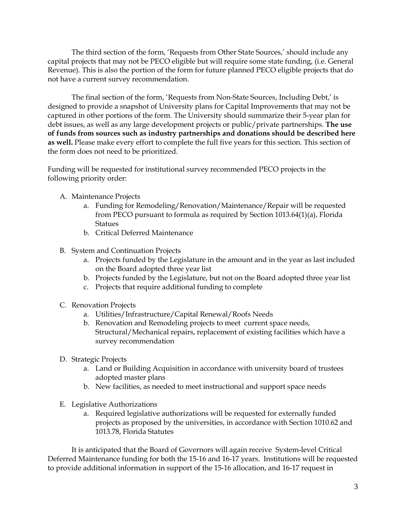The third section of the form, 'Requests from Other State Sources,' should include any capital projects that may not be PECO eligible but will require some state funding, (i.e. General Revenue). This is also the portion of the form for future planned PECO eligible projects that do not have a current survey recommendation.

The final section of the form, 'Requests from Non-State Sources, Including Debt,' is designed to provide a snapshot of University plans for Capital Improvements that may not be captured in other portions of the form. The University should summarize their 5-year plan for debt issues, as well as any large development projects or public/private partnerships. **The use of funds from sources such as industry partnerships and donations should be described here as well.** Please make every effort to complete the full five years for this section. This section of the form does not need to be prioritized.

Funding will be requested for institutional survey recommended PECO projects in the following priority order:

- A. Maintenance Projects
	- a. Funding for Remodeling/Renovation/Maintenance/Repair will be requested from PECO pursuant to formula as required by Section 1013.64(1)(a), Florida **Statues**
	- b. Critical Deferred Maintenance
- B. System and Continuation Projects
	- a. Projects funded by the Legislature in the amount and in the year as last included on the Board adopted three year list
	- b. Projects funded by the Legislature, but not on the Board adopted three year list
	- c. Projects that require additional funding to complete
- C. Renovation Projects
	- a. Utilities/Infrastructure/Capital Renewal/Roofs Needs
	- b. Renovation and Remodeling projects to meet current space needs, Structural/Mechanical repairs, replacement of existing facilities which have a survey recommendation
- D. Strategic Projects
	- a. Land or Building Acquisition in accordance with university board of trustees adopted master plans
	- b. New facilities, as needed to meet instructional and support space needs
- E. Legislative Authorizations
	- a. Required legislative authorizations will be requested for externally funded projects as proposed by the universities, in accordance with Section 1010.62 and 1013.78, Florida Statutes

It is anticipated that the Board of Governors will again receive System-level Critical Deferred Maintenance funding for both the 15-16 and 16-17 years. Institutions will be requested to provide additional information in support of the 15-16 allocation, and 16-17 request in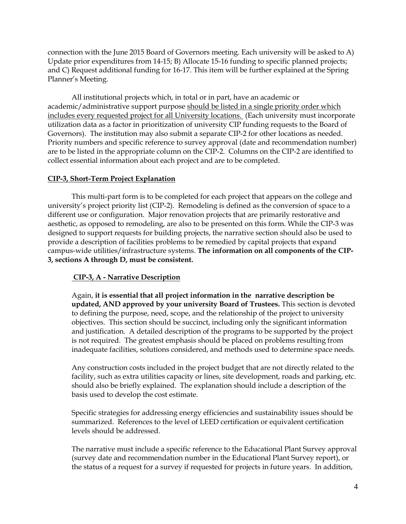connection with the June 2015 Board of Governors meeting. Each university will be asked to A) Update prior expenditures from 14-15; B) Allocate 15-16 funding to specific planned projects; and C) Request additional funding for 16-17. This item will be further explained at the Spring Planner's Meeting.

All institutional projects which, in total or in part, have an academic or academic/administrative support purpose should be listed in a single priority order which includes every requested project for all University locations. (Each university must incorporate utilization data as a factor in prioritization of university CIP funding requests to the Board of Governors). The institution may also submit a separate CIP-2 for other locations as needed. Priority numbers and specific reference to survey approval (date and recommendation number) are to be listed in the appropriate column on the CIP-2. Columns on the CIP-2 are identified to collect essential information about each project and are to be completed.

## **CIP-3, Short-Term Project Explanation**

This multi-part form is to be completed for each project that appears on the college and university's project priority list (CIP-2). Remodeling is defined as the conversion of space to a different use or configuration. Major renovation projects that are primarily restorative and aesthetic, as opposed to remodeling, are also to be presented on this form. While the CIP-3 was designed to support requests for building projects, the narrative section should also be used to provide a description of facilities problems to be remedied by capital projects that expand campus-wide utilities/infrastructure systems. **The information on all components of the CIP-3, sections A through D, must be consistent.**

## **CIP-3, A - Narrative Description**

Again, **it is essential that all project information in the narrative description be updated, AND approved by your university Board of Trustees.** This section is devoted to defining the purpose, need, scope, and the relationship of the project to university objectives. This section should be succinct, including only the significant information and justification. A detailed description of the programs to be supported by the project is not required. The greatest emphasis should be placed on problems resulting from inadequate facilities, solutions considered, and methods used to determine space needs.

Any construction costs included in the project budget that are not directly related to the facility, such as extra utilities capacity or lines, site development, roads and parking, etc. should also be briefly explained. The explanation should include a description of the basis used to develop the cost estimate.

Specific strategies for addressing energy efficiencies and sustainability issues should be summarized. References to the level of LEED certification or equivalent certification levels should be addressed.

The narrative must include a specific reference to the Educational Plant Survey approval (survey date and recommendation number in the Educational Plant Survey report), or the status of a request for a survey if requested for projects in future years. In addition,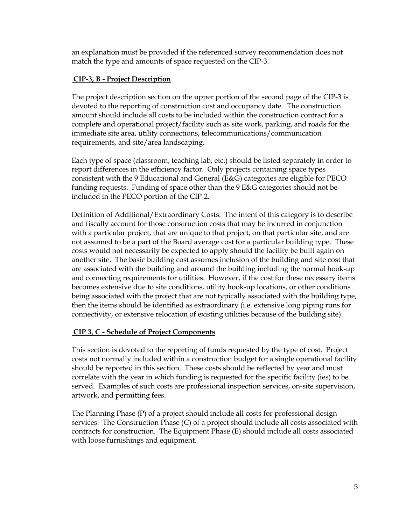an explanation must be provided if the referenced survey recommendation does not match the type and amounts of space requested on the CIP-3.

# **CIP-3, B - Project Description**

The project description section on the upper portion of the second page of the CIP-3 is devoted to the reporting of construction cost and occupancy date. The construction amount should include all costs to be included within the construction contract for a complete and operational project/facility such as site work, parking, and roads for the immediate site area, utility connections, telecommunications/communication requirements, and site/area landscaping.

Each type of space (classroom, teaching lab, etc.) should be listed separately in order to report differences in the efficiency factor. Only projects containing space types consistent with the 9 Educational and General (E&G) categories are eligible for PECO funding requests. Funding of space other than the 9 E&G categories should not be included in the PECO portion of the CIP-2.

Definition of Additional/Extraordinary Costs: The intent of this category is to describe and fiscally account for those construction costs that may be incurred in conjunction with a particular project, that are unique to that project, on that particular site, and are not assumed to be a part of the Board average cost for a particular building type. These costs would not necessarily be expected to apply should the facility be built again on another site. The basic building cost assumes inclusion of the building and site cost that are associated with the building and around the building including the normal hook-up and connecting requirements for utilities. However, if the cost for these necessary items becomes extensive due to site conditions, utility hook-up locations, or other conditions being associated with the project that are not typically associated with the building type, then the items should be identified as extraordinary (i.e. extensive long piping runs for connectivity, or extensive relocation of existing utilities because of the building site).

# **CIP 3, C - Schedule of Project Components**

This section is devoted to the reporting of funds requested by the type of cost. Project costs not normally included within a construction budget for a single operational facility should be reported in this section. These costs should be reflected by year and must correlate with the year in which funding is requested for the specific facility (ies) to be served. Examples of such costs are professional inspection services, on-site supervision, artwork, and permitting fees.

The Planning Phase (P) of a project should include all costs for professional design services. The Construction Phase (C) of a project should include all costs associated with contracts for construction. The Equipment Phase (E) should include all costs associated with loose furnishings and equipment.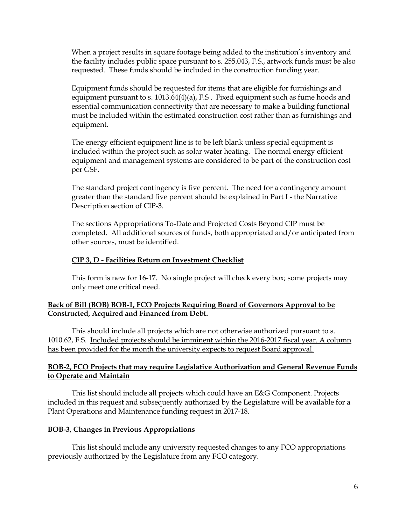When a project results in square footage being added to the institution's inventory and the facility includes public space pursuant to s. 255.043, F.S., artwork funds must be also requested. These funds should be included in the construction funding year.

Equipment funds should be requested for items that are eligible for furnishings and equipment pursuant to s. 1013.64(4)(a), F.S . Fixed equipment such as fume hoods and essential communication connectivity that are necessary to make a building functional must be included within the estimated construction cost rather than as furnishings and equipment.

The energy efficient equipment line is to be left blank unless special equipment is included within the project such as solar water heating. The normal energy efficient equipment and management systems are considered to be part of the construction cost per GSF.

The standard project contingency is five percent. The need for a contingency amount greater than the standard five percent should be explained in Part I - the Narrative Description section of CIP-3.

The sections Appropriations To-Date and Projected Costs Beyond CIP must be completed. All additional sources of funds, both appropriated and/or anticipated from other sources, must be identified.

## **CIP 3, D - Facilities Return on Investment Checklist**

This form is new for 16-17. No single project will check every box; some projects may only meet one critical need.

## **Back of Bill (BOB) BOB-1, FCO Projects Requiring Board of Governors Approval to be Constructed, Acquired and Financed from Debt.**

This should include all projects which are not otherwise authorized pursuant to s. 1010.62, F.S. Included projects should be imminent within the 2016-2017 fiscal year. A column has been provided for the month the university expects to request Board approval.

## **BOB-2, FCO Projects that may require Legislative Authorization and General Revenue Funds to Operate and Maintain**

This list should include all projects which could have an E&G Component. Projects included in this request and subsequently authorized by the Legislature will be available for a Plant Operations and Maintenance funding request in 2017-18.

## **BOB-3, Changes in Previous Appropriations**

This list should include any university requested changes to any FCO appropriations previously authorized by the Legislature from any FCO category.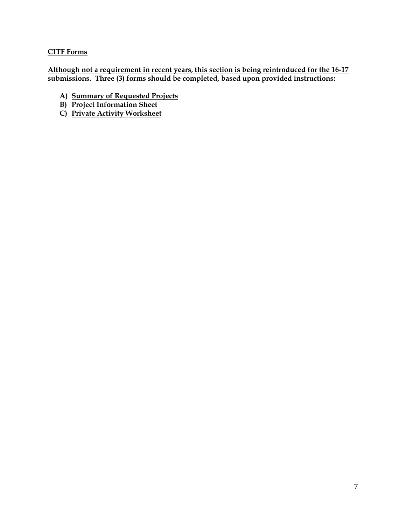# **CITF Forms**

**Although not a requirement in recent years, this section is being reintroduced for the 16-17 submissions. Three (3) forms should be completed, based upon provided instructions:**

- **A) Summary of Requested Projects**
- **B) Project Information Sheet**
- **C) Private Activity Worksheet**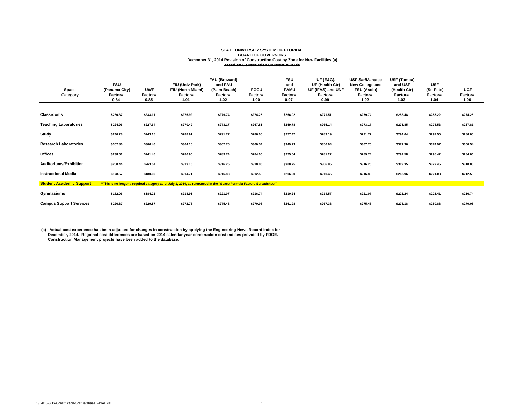#### **STATE UNIVERSITY SYSTEM OF FLORIDA BOARD OF GOVERNORS December 31, 2014 Revision of Construction Cost by Zone for New Facilities (a) Based on Construction Contract Awards**

|                                 |                          |                        |                                                                                                                       | FAU (Broward).          |             | <b>FSU</b>         | <b>UF (E&amp;G),</b>         | <b>USF Sar/Manatee</b>        | USF (Tampa)             |                       |                 |
|---------------------------------|--------------------------|------------------------|-----------------------------------------------------------------------------------------------------------------------|-------------------------|-------------|--------------------|------------------------------|-------------------------------|-------------------------|-----------------------|-----------------|
|                                 | <b>FSU</b>               | <b>UWF</b>             | FIU (Univ Park)                                                                                                       | and FAU                 | <b>FGCU</b> | and<br><b>FAMU</b> | UF (Health Ctr)              | New College and               | and USF                 | <b>USF</b>            | <b>UCF</b>      |
| Space                           | (Panama City)<br>Factor= |                        | FIU (North Miami)<br>Factor=                                                                                          | (Palm Beach)<br>Factor= | Factor=     |                    | UF (IFAS) and UNF<br>Factor= | <b>FSU (Asolo)</b><br>Factor= | (Health Ctr)<br>Factor= | (St. Pete)<br>Factor= |                 |
| Category                        |                          | <b>Factor=</b><br>0.85 |                                                                                                                       | 1.02                    | 1.00        | Factor=<br>0.97    | 0.99                         | 1.02                          | 1.03                    | 1.04                  | Factor=<br>1.00 |
|                                 | 0.84                     |                        | 1.01                                                                                                                  |                         |             |                    |                              |                               |                         |                       |                 |
|                                 |                          |                        |                                                                                                                       |                         |             |                    |                              |                               |                         |                       |                 |
| <b>Classrooms</b>               | \$230.37                 | \$233.11               | \$276.99                                                                                                              | \$279.74                | \$274.25    | \$266.02           | \$271.51                     | \$279.74                      | \$282.48                | \$285.22              | \$274.25        |
|                                 |                          |                        |                                                                                                                       |                         |             |                    |                              |                               |                         |                       |                 |
| <b>Teaching Laboratories</b>    | \$224.96                 | \$227.64               | \$270.49                                                                                                              | \$273.17                | \$267.81    | \$259.78           | \$265.14                     | \$273.17                      | \$275.85                | \$278.53              | \$267.81        |
|                                 |                          |                        |                                                                                                                       |                         |             |                    |                              |                               |                         |                       |                 |
| Study                           | \$240.28                 | \$243.15               | \$288.91                                                                                                              | \$291.77                | \$286.05    | \$277.47           | \$283.19                     | \$291.77                      | \$294.64                | \$297.50              | \$286.05        |
|                                 |                          |                        |                                                                                                                       |                         |             |                    |                              |                               |                         |                       |                 |
| <b>Research Laboratories</b>    | \$302.86                 | \$306.46               | \$364.15                                                                                                              | \$367.76                | \$360.54    | \$349.73           | \$356.94                     | \$367.76                      | \$371.36                | \$374.97              | \$360.54        |
|                                 |                          |                        |                                                                                                                       |                         |             |                    |                              |                               |                         |                       |                 |
| Offices                         | \$238.61                 | \$241.45               | \$286.90                                                                                                              | \$289.74                | \$284.06    | \$275.54           | \$281.22                     | \$289.74                      | \$292.58                | \$295.42              | \$284.06        |
|                                 |                          |                        |                                                                                                                       |                         |             |                    |                              |                               |                         |                       |                 |
| Auditoriums/Exhibition          | \$260.44                 | \$263.54               | \$313.15                                                                                                              | \$316.25                | \$310.05    | \$300.75           | \$306.95                     | \$316.25                      | \$319.35                | \$322.45              | \$310.05        |
| <b>Instructional Media</b>      | \$178.57                 | \$180.69               | \$214.71                                                                                                              | \$216.83                | \$212.58    | \$206.20           | \$210.45                     | \$216.83                      | \$218.96                | \$221.08              | \$212.58        |
|                                 |                          |                        |                                                                                                                       |                         |             |                    |                              |                               |                         |                       |                 |
| <b>Student Academic Support</b> |                          |                        | ** This is no longer a required category as of July 1, 2014, as referenced in the "Space Formula Factors Spreadsheet" |                         |             |                    |                              |                               |                         |                       |                 |
|                                 |                          |                        |                                                                                                                       |                         |             |                    |                              |                               |                         |                       |                 |
| Gymnasiums                      | \$182.06                 | \$184.23               | \$218.91                                                                                                              | \$221.07                | \$216.74    | \$210.24           | \$214.57                     | \$221.07                      | \$223.24                | \$225.41              | \$216.74        |
|                                 |                          |                        |                                                                                                                       |                         |             |                    |                              |                               |                         |                       |                 |
| <b>Campus Support Services</b>  | \$226.87                 | \$229.57               | \$272.78                                                                                                              | \$275.48                | \$270.08    | \$261.98           | \$267.38                     | \$275.48                      | \$278.18                | \$280.88              | \$270.08        |

(a) Actual cost experience has been adjusted for changes in construction by applying the Engineering News Record Index for<br>December, 2014. Regional cost differences are based on 2014 calendar year construction cost indice  **Construction Management projects have been added to the database.**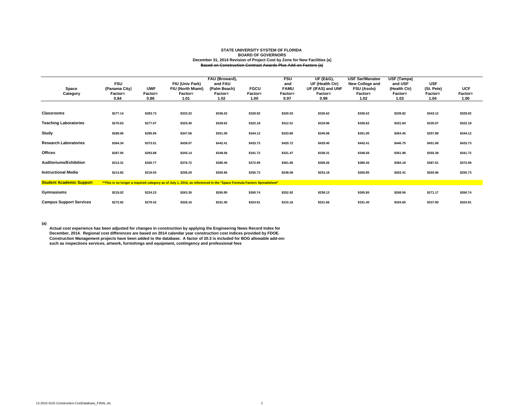#### **STATE UNIVERSITY SYSTEM OF FLORIDA BOARD OF GOVERNORS December 31, 2014 Revision of Project Cost by Zone for New Facilities (a) Based on Construction Contract Awards Plus Add-on Factors (a)**

| Space<br>Category               | <b>FSU</b><br>(Panama City)<br>Factor=<br>0.84 | <b>UWF</b><br>Factor=<br>0.86 | FIU (Univ Park)<br>FIU (North Miami)<br>Factor=<br>1.01                                                               | FAU (Broward),<br>and FAU<br>(Palm Beach)<br>Factor=<br>1.02 | <b>FGCU</b><br>Factor=<br>1.00 | <b>FSU</b><br>and<br><b>FAMU</b><br>Factor=<br>0.97 | <b>UF (E&amp;G),</b><br>UF (Health Ctr)<br>UF (IFAS) and UNF<br>Factor=<br>0.99 | <b>USF Sar/Manatee</b><br>New College and<br><b>FSU (Asolo)</b><br>Factor=<br>1.02 | USF (Tampa)<br>and USF<br>(Health Ctr)<br>Factor=<br>1.03 | <b>USF</b><br>(St. Pete)<br>Factor=<br>1.04 | <b>UCF</b><br><b>Factor=</b><br>1.00 |  |
|---------------------------------|------------------------------------------------|-------------------------------|-----------------------------------------------------------------------------------------------------------------------|--------------------------------------------------------------|--------------------------------|-----------------------------------------------------|---------------------------------------------------------------------------------|------------------------------------------------------------------------------------|-----------------------------------------------------------|---------------------------------------------|--------------------------------------|--|
|                                 |                                                |                               |                                                                                                                       |                                                              |                                |                                                     |                                                                                 |                                                                                    |                                                           |                                             |                                      |  |
| <b>Classrooms</b>               | \$277.14                                       | \$283.73                      | \$333.22                                                                                                              | \$336.52                                                     | \$329.92                       | \$320.03                                            | \$326.62                                                                        | \$336.52                                                                           | \$339.82                                                  | \$343.12                                    | \$329.92                             |  |
| <b>Teaching Laboratories</b>    | \$270.63                                       | \$277.07                      | \$325.40                                                                                                              | \$328.62                                                     | \$322.18                       | \$312.51                                            | \$318.96                                                                        | \$328.62                                                                           | \$331.84                                                  | \$335.07                                    | \$322.18                             |  |
| Study                           | \$289.06                                       | \$295.95                      | \$347.56                                                                                                              | \$351.00                                                     | \$344.12                       | \$333.80                                            | \$340.68                                                                        | \$351.00                                                                           | \$354.45                                                  | \$357.89                                    | \$344.12                             |  |
| <b>Research Laboratories</b>    | \$364.34                                       | \$373.01                      | \$438.07                                                                                                              | \$442.41                                                     | \$433.73                       | \$420.72                                            | \$429.40                                                                        | \$442.41                                                                           | \$446.75                                                  | \$451.08                                    | \$433.73                             |  |
| Offices                         | \$287.05                                       | \$293.88                      | \$345.14                                                                                                              | \$348.56                                                     | \$341.72                       | \$331.47                                            | \$338.31                                                                        | \$348.56                                                                           | \$351.98                                                  | \$355.39                                    | \$341.72                             |  |
| Auditoriums/Exhibition          | \$313.31                                       | \$320.77                      | \$376.72                                                                                                              | \$380.45                                                     | \$372.99                       | \$361.80                                            | \$369.26                                                                        | \$380.45                                                                           | \$384.18                                                  | \$387.91                                    | \$372.99                             |  |
| <b>Instructional Media</b>      | \$214.82                                       | \$219.93                      | \$258.29                                                                                                              | \$260.85                                                     | \$255.73                       | \$248.06                                            | \$253.18                                                                        | \$260.85                                                                           | \$263.41                                                  | \$265.96                                    | \$255.73                             |  |
| <b>Student Academic Support</b> |                                                |                               | ** This is no longer a required category as of July 1, 2014, as referenced in the "Space Formula Factors Spreadsheet" |                                                              |                                |                                                     |                                                                                 |                                                                                    |                                                           |                                             |                                      |  |
| Gymnasiums                      | \$219.02                                       | \$224.23                      | \$263.35                                                                                                              | \$265.95                                                     | \$260.74                       | \$252.92                                            | \$258.13                                                                        | \$265.95                                                                           | \$268.56                                                  | \$271.17                                    | \$260.74                             |  |
| <b>Campus Support Services</b>  | \$272.92                                       | \$279.42                      | \$328.16                                                                                                              | \$331.40                                                     | \$324.91                       | \$315.16                                            | \$321.66                                                                        | \$331.40                                                                           | \$334.65                                                  | \$337.90                                    | \$324.91                             |  |

**(a)** 

 **Actual cost experience has been adjusted for changes in construction by applying the Engineering News Record Index for December, 2014. Regional cost differences are based on 2014 calendar year construction cost indices provided by FDOE. Construction Management projects have been added to the database. A factor of 20.3 is included for BOG allowable add-ons such as inspections services, artwork, furnishings and equipment, contingency and professional fees**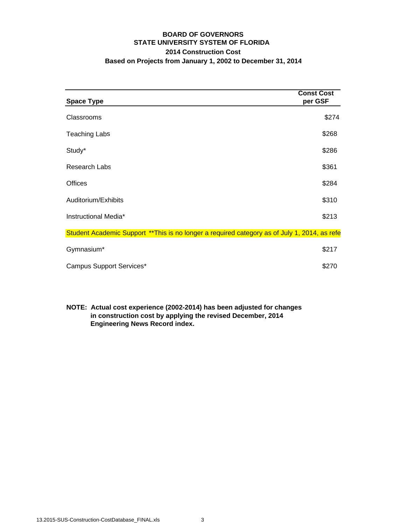## **BOARD OF GOVERNORS STATE UNIVERSITY SYSTEM OF FLORIDA 2014 Construction Cost Based on Projects from January 1, 2002 to December 31, 2014**

| <b>Space Type</b>                                                                             | <b>Const Cost</b><br>per GSF |
|-----------------------------------------------------------------------------------------------|------------------------------|
| Classrooms                                                                                    | \$274                        |
| <b>Teaching Labs</b>                                                                          | \$268                        |
| Study*                                                                                        | \$286                        |
| Research Labs                                                                                 | \$361                        |
| Offices                                                                                       | \$284                        |
| Auditorium/Exhibits                                                                           | \$310                        |
| Instructional Media*                                                                          | \$213                        |
| Student Academic Support ** This is no longer a required category as of July 1, 2014, as refe |                              |
| Gymnasium*                                                                                    | \$217                        |
| <b>Campus Support Services*</b>                                                               | \$270                        |

**NOTE: Actual cost experience (2002-2014) has been adjusted for changes in construction cost by applying the revised December, 2014 Engineering News Record index.**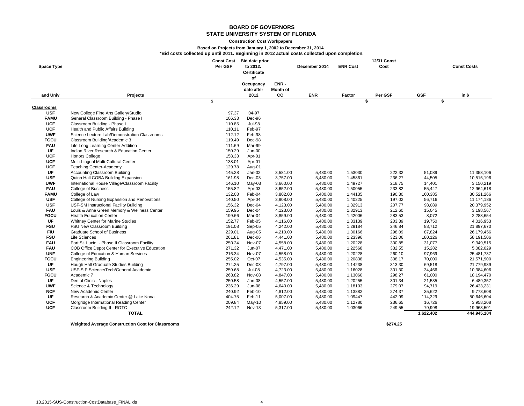#### **Construction Cost Workpapers**

#### **Based on Projects from January 1, 2002 to December 31, 2014**

**\*Bid costs collected up until 2011. Beginning in 2012 actual costs collected upon completion.**

|                   |                                                 | <b>Const Cost</b> | <b>Bid date prior</b> |                 |               |                 | <b>12/31 Const</b> |            |                    |
|-------------------|-------------------------------------------------|-------------------|-----------------------|-----------------|---------------|-----------------|--------------------|------------|--------------------|
| <b>Space Type</b> |                                                 | Per GSF           | to 2012.              |                 | December 2014 | <b>ENR Cost</b> | Cost               |            | <b>Const Costs</b> |
|                   |                                                 |                   | Certificate           |                 |               |                 |                    |            |                    |
|                   |                                                 |                   | of                    |                 |               |                 |                    |            |                    |
|                   |                                                 |                   | Occupancy             | ENR-            |               |                 |                    |            |                    |
|                   |                                                 |                   | date after            | <b>Month of</b> |               |                 |                    |            |                    |
| and Univ          | <b>Projects</b>                                 |                   | 2012                  | <b>CO</b>       | <b>ENR</b>    | Factor          | Per GSF            | <b>GSF</b> | in \$              |
|                   |                                                 | \$                |                       |                 |               |                 | \$                 |            | \$                 |
| <b>Classrooms</b> |                                                 |                   |                       |                 |               |                 |                    |            |                    |
| <b>USF</b>        | New College Fine Arts Gallery/Studio            | 97.37             | 04-97                 |                 |               |                 |                    |            |                    |
| <b>FAMU</b>       | General Classroom Building - Phase I            | 106.33            | Dec-96                |                 |               |                 |                    |            |                    |
| <b>UCF</b>        | Classroom Building - Phase I                    | 110.85            | <b>Jul-98</b>         |                 |               |                 |                    |            |                    |
| <b>UCF</b>        | Health and Public Affairs Building              | 110.11            | Feb-97                |                 |               |                 |                    |            |                    |
| <b>UWF</b>        | Science Lecture Lab/Demonstration Classrooms    | 112.12            | Feb-98                |                 |               |                 |                    |            |                    |
| <b>FGCU</b>       | Classroom Building/Academic 3                   | 119.49            | Dec-98                |                 |               |                 |                    |            |                    |
| <b>FAU</b>        | Life Long Learning Center Addition              | 111.69            | Mar-99                |                 |               |                 |                    |            |                    |
| UF                | Indian River Research & Education Center        | 150.29            | $Jun-00$              |                 |               |                 |                    |            |                    |
| <b>UCF</b>        | <b>Honors College</b>                           | 158.33            | Apr-01                |                 |               |                 |                    |            |                    |
| <b>UCF</b>        | Multi-Lingual Multi-Cultural Center             | 138.01            | Apr-01                |                 |               |                 |                    |            |                    |
| <b>UCF</b>        | <b>Teaching Center-Academy</b>                  | 129.78            | Aug-01                |                 |               |                 |                    |            |                    |
| <b>UF</b>         | <b>Accounting Classroom Building</b>            | 145.28            | Jan-02                | 3,581.00        | 5,480.00      | 1.53030         | 222.32             | 51,089     | 11,358,106         |
| <b>USF</b>        | Quinn Hall COBA Building Expansion              | 161.98            | $Dec-03$              | 3,757.00        | 5,480.00      | 1.45861         | 236.27             | 44,505     | 10,515,196         |
| <b>UWF</b>        | International House Village/Classroom Facility  | 146.10            | May-03                | 3,660.00        | 5,480.00      | 1.49727         | 218.75             | 14,401     | 3,150,219          |
| <b>FAU</b>        | College of Business                             | 155.82            | Apr-03                | 3,652.00        | 5,480.00      | 1.50055         | 233.82             | 55,447     | 12,964,618         |
| <b>FAMU</b>       | College of Law                                  | 132.03            | Feb-04                | 3,802.00        | 5,480.00      | 1.44135         | 190.30             | 160,385    | 30,521,266         |
| <b>USF</b>        | College of Nursing Expansion and Renovations    | 140.50            | Apr-04                | 3,908.00        | 5,480.00      | 1.40225         | 197.02             | 56,716     | 11,174,186         |
| <b>USF</b>        | USF-SM Instructional Facility Building          | 156.32            | Dec-04                | 4,123.00        | 5,480.00      | 1.32913         | 207.77             | 98.089     | 20,379,952         |
| <b>FAU</b>        | Louis & Anne Green Memory & Wellness Center     | 159.95            | $Dec-04$              | 4,123.00        | 5,480.00      | 1.32913         | 212.60             | 15,045     | 3,198,567          |
| <b>FGCU</b>       | <b>Health Education Center</b>                  | 199.66            | Mar-04                | 3,859.00        | 5,480.00      | 1.42006         | 283.53             | 8,072      | 2,288,654          |
| <b>UF</b>         | Whitney Center for Marine Studies               | 152.77            | Feb-05                | 4,116.00        | 5,480.00      | 1.33139         | 203.39             | 19,750     | 4,016,953          |
| <b>FSU</b>        | FSU New Classroom Building                      | 191.08            | Sep-05                | 4,242.00        | 5,480.00      | 1.29184         | 246.84             | 88,712     | 21,897,670         |
| <b>FIU</b>        | <b>Graduate School of Business</b>              | 229.01            | Aug-05                | 4,210.00        | 5,480.00      | 1.30166         | 298.09             | 87,824     | 26,179,456         |
| <b>FSU</b>        | Life Sciences                                   | 261.81            | $Dec-06$              | 4,441.00        | 5,480.00      | 1.23396         | 323.06             | 180,126    | 58,191,506         |
| <b>FAU</b>        | Port St. Lucie - Phase II Classroom Facility    | 250.24            | Nov-07                | 4,558.00        | 5,480.00      | 1.20228         | 300.85             | 31,077     | 9,349,515          |
| <b>FAU</b>        | COB Office Depot Center for Executive Education | 271.32            | Jun-07                | 4,471.00        | 5,480.00      | 1.22568         | 332.55             | 15,282     | 5,082,029          |
| <b>UNF</b>        | College of Education & Human Services           | 216.34            | Nov-07                | 4,558.00        | 5,480.00      | 1.20228         | 260.10             | 97,969     | 25,481,737         |
| <b>FGCU</b>       | <b>Engineering Building</b>                     | 255.02            | Oct-07                | 4,535.00        | 5,480.00      | 1.20838         | 308.17             | 70,000     | 21,571,900         |
| UF                | Hough Hall Graduate Studies Building            | 274.25            | Dec-08                | 4,797.00        | 5,480.00      | 1.14238         | 313.30             | 69,518     | 21,779,989         |
| <b>USF</b>        | USF-StP Science/Tech/General Academic           | 259.68            | <b>Jul-08</b>         | 4,723.00        | 5,480.00      | 1.16028         | 301.30             | 34,466     | 10,384,606         |
| <b>FGCU</b>       | Academic 7                                      | 263.82            | Nov-08                | 4,847.00        | 5,480.00      | 1.13060         | 298.27             | 61,000     | 18,194,470         |
| UF                | Dental Clinic - Naples                          | 250.58            | Jan-08                | 4,557.00        | 5,480.00      | 1.20255         | 301.34             | 21,535     | 6,489,357          |
| <b>UWF</b>        | Science & Technology                            | 236.29            | <b>Jun-08</b>         | 4,640.00        | 5,480.00      | 1.18103         | 279.07             | 94,719     | 26,433,231         |
| <b>NCF</b>        | New Academic Center                             | 240.92            | Feb-10                | 4,812.00        | 5,480.00      | 1.13882         | 274.37             | 35,622     | 9,773,608          |
| UF                | Research & Academic Center @ Lake Nona          | 404.75            | Feb-11                | 5,007.00        | 5,480.00      | 1.09447         | 442.99             | 114,329    | 50,646,604         |
| <b>UCF</b>        | Morgridge International Reading Center          | 209.84            | May-10                | 4,859.00        | 5,480.00      | 1.12780         | 236.65             | 16,726     | 3,958,208          |
| <b>UCF</b>        | Classroom Building II - ROTC                    | 242.12            | Nov-13                | 5,317.00        | 5,480.00      | 1.03066         | 249.55             | 79,998     | 19,963,501         |
|                   | <b>TOTAL</b>                                    |                   |                       |                 |               |                 |                    | 1,622,402  | 444,945,104        |

**Weighted Average Construction Cost for Classrooms \$274.25**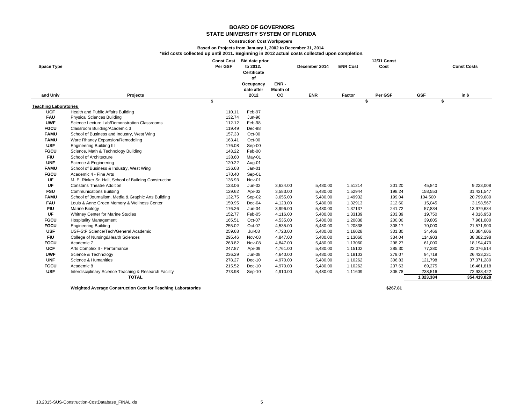#### **Construction Cost Workpapers**

### **Based on Projects from January 1, 2002 to December 31, 2014**

**\*Bid costs collected up until 2011. Beginning in 2012 actual costs collected upon completion.**

|                              |                                                        | <b>Const Cost</b> | <b>Bid date prior</b> |                 |               |                 | <b>12/31 Const</b> |            |                    |
|------------------------------|--------------------------------------------------------|-------------------|-----------------------|-----------------|---------------|-----------------|--------------------|------------|--------------------|
| <b>Space Type</b>            |                                                        | Per GSF           | to 2012.              |                 | December 2014 | <b>ENR Cost</b> | Cost               |            | <b>Const Costs</b> |
|                              |                                                        |                   | Certificate           |                 |               |                 |                    |            |                    |
|                              |                                                        |                   | of                    |                 |               |                 |                    |            |                    |
|                              |                                                        |                   | Occupancy             | ENR-            |               |                 |                    |            |                    |
|                              |                                                        |                   | date after            | <b>Month of</b> |               |                 |                    |            |                    |
| and Univ                     | <b>Projects</b>                                        |                   | 2012                  | CO              | <b>ENR</b>    | Factor          | Per GSF            | <b>GSF</b> | in \$              |
|                              |                                                        | \$                |                       |                 |               |                 | \$                 |            | \$                 |
| <b>Teaching Laboratories</b> |                                                        |                   |                       |                 |               |                 |                    |            |                    |
| <b>UCF</b>                   | Health and Public Affairs Building                     | 110.11            | Feb-97                |                 |               |                 |                    |            |                    |
| <b>FAU</b>                   | <b>Physical Sciences Building</b>                      | 132.74            | <b>Jun-96</b>         |                 |               |                 |                    |            |                    |
| <b>UWF</b>                   | Science Lecture Lab/Demonstration Classrooms           | 112.12            | Feb-98                |                 |               |                 |                    |            |                    |
| <b>FGCU</b>                  | Classroom Building/Academic 3                          | 119.49            | Dec-98                |                 |               |                 |                    |            |                    |
| <b>FAMU</b>                  | School of Business and Industry, West Wing             | 157.33            | Oct-00                |                 |               |                 |                    |            |                    |
| <b>FAMU</b>                  | Ware Rhaney Expansion/Remodeling                       | 163.41            | Oct-00                |                 |               |                 |                    |            |                    |
| <b>USF</b>                   | <b>Engineering Building III</b>                        | 176.08            | Sep-00                |                 |               |                 |                    |            |                    |
| <b>FGCU</b>                  | Science, Math & Technology Building                    | 143.22            | Feb-00                |                 |               |                 |                    |            |                    |
| <b>FIU</b>                   | School of Architecture                                 | 138.60            | May-01                |                 |               |                 |                    |            |                    |
| <b>UNF</b>                   | Science & Engineering                                  | 120.22            | Aug-01                |                 |               |                 |                    |            |                    |
| <b>FAMU</b>                  | School of Business & Industry, West Wing               | 136.68            | $Jan-01$              |                 |               |                 |                    |            |                    |
| <b>FGCU</b>                  | Academic 4 - Fine Arts                                 | 170.40            | Sep-01                |                 |               |                 |                    |            |                    |
| UF                           | M. E. Rinker Sr. Hall, School of Building Construction | 136.93            | Nov-01                |                 |               |                 |                    |            |                    |
| UF                           | <b>Constans Theatre Addition</b>                       | 133.06            | Jun-02                | 3,624.00        | 5,480.00      | 1.51214         | 201.20             | 45,840     | 9,223,008          |
| <b>FSU</b>                   | <b>Communications Building</b>                         | 129.62            | Apr-02                | 3,583.00        | 5,480.00      | 1.52944         | 198.24             | 158,553    | 31,431,547         |
| <b>FAMU</b>                  | School of Journalism, Media & Graphic Arts Building    | 132.75            | Sep-02                | 3,655.00        | 5,480.00      | 1.49932         | 199.04             | 104,500    | 20,799,680         |
| <b>FAU</b>                   | Louis & Anne Green Memory & Wellness Center            | 159.95            | Dec-04                | 4,123.00        | 5,480.00      | 1.32913         | 212.60             | 15,045     | 3,198,567          |
| <b>FIU</b>                   | Marine Biology                                         | 176.26            | Jun-04                | 3,996.00        | 5,480.00      | 1.37137         | 241.72             | 57,834     | 13,979,634         |
| UF                           | Whitney Center for Marine Studies                      | 152.77            | Feb-05                | 4,116.00        | 5,480.00      | 1.33139         | 203.39             | 19,750     | 4,016,953          |
| <b>FGCU</b>                  | <b>Hospitality Management</b>                          | 165.51            | Oct-07                | 4,535.00        | 5,480.00      | 1.20838         | 200.00             | 39,805     | 7,961,000          |
| <b>FGCU</b>                  | <b>Engineering Building</b>                            | 255.02            | Oct-07                | 4,535.00        | 5,480.00      | 1.20838         | 308.17             | 70,000     | 21,571,900         |
| <b>USF</b>                   | USF-StP Science/Tech/General Academic                  | 259.68            | $Jul-08$              | 4,723.00        | 5,480.00      | 1.16028         | 301.30             | 34,466     | 10,384,606         |
| <b>FIU</b>                   | College of Nursing&Health Sciences                     | 295.46            | Nov-08                | 4,847.00        | 5,480.00      | 1.13060         | 334.04             | 114,903    | 38,382,198         |
| <b>FGCU</b>                  | Academic 7                                             | 263.82            | Nov-08                | 4,847.00        | 5,480.00      | 1.13060         | 298.27             | 61,000     | 18,194,470         |
| <b>UCF</b>                   | Arts Complex II - Performance                          | 247.87            | Apr-09                | 4,761.00        | 5,480.00      | 1.15102         | 285.30             | 77,380     | 22,076,514         |
| <b>UWF</b>                   | Science & Technology                                   | 236.29            | <b>Jun-08</b>         | 4,640.00        | 5,480.00      | 1.18103         | 279.07             | 94,719     | 26,433,231         |
| <b>UNF</b>                   | Science & Humanities                                   | 278.27            | $Dec-10$              | 4,970.00        | 5,480.00      | 1.10262         | 306.83             | 121,798    | 37,371,280         |
| <b>FGCU</b>                  | Academic 8                                             | 215.52            | $Dec-10$              | 4,970.00        | 5,480.00      | 1.10262         | 237.63             | 69,275     | 16,461,818         |
| <b>USF</b>                   | Interdisciplinary Science Teaching & Research Facility | 273.98            | Sep-10                | 4,910.00        | 5,480.00      | 1.11609         | 305.78             | 238,516    | 72,933,422         |
|                              | <b>TOTAL</b>                                           |                   |                       |                 |               |                 |                    | 1,323,384  | 354,419,828        |
|                              |                                                        |                   |                       |                 |               |                 |                    |            |                    |

**Weighted Average Construction Cost for Teaching Laboratories \$267.81**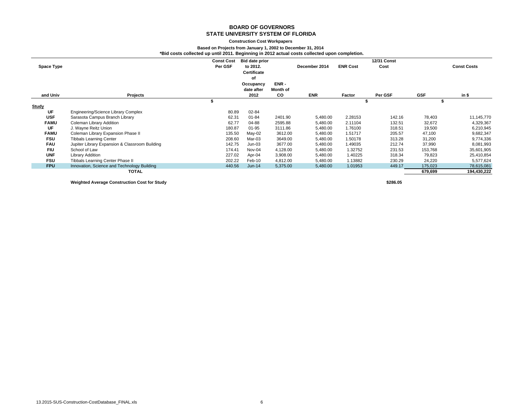#### **Construction Cost Workpapers**

#### **Based on Projects from January 1, 2002 to December 31, 2014 \*Bid costs collected up until 2011. Beginning in 2012 actual costs collected upon completion.**

| Space Type  |                                                | <b>Const Cost</b><br>Per GSF | <b>Bid date prior</b><br>to 2012.<br>Certificate<br>οf |                               | December 2014 | <b>ENR Cost</b> | <b>12/31 Const</b><br>Cost |            | <b>Const Costs</b> |
|-------------|------------------------------------------------|------------------------------|--------------------------------------------------------|-------------------------------|---------------|-----------------|----------------------------|------------|--------------------|
| and Univ    | <b>Projects</b>                                |                              | Occupancy<br>date after<br>2012                        | ENR-<br><b>Month of</b><br>CO | <b>ENR</b>    | Factor          | Per GSF                    | <b>GSF</b> | $in$ \$            |
|             |                                                |                              |                                                        |                               |               |                 |                            |            |                    |
|             |                                                |                              |                                                        |                               |               |                 |                            |            |                    |
| Study       |                                                |                              |                                                        |                               |               |                 |                            |            |                    |
| UF          | Engineering/Science Library Complex            | 80.89                        | 02-84                                                  |                               |               |                 |                            |            |                    |
| <b>USF</b>  | Sarasota Campus Branch Library                 | 62.31                        | $01 - 84$                                              | 2401.90                       | 5,480.00      | 2.28153         | 142.16                     | 78,403     | 11,145,770         |
| <b>FAMU</b> | Coleman Library Addition                       | 62.77                        | 04-88                                                  | 2595.88                       | 5,480.00      | 2.11104         | 132.51                     | 32,672     | 4,329,367          |
| UF          | J. Wayne Reitz Union                           | 180.87                       | $01 - 95$                                              | 3111.86                       | 5,480.00      | 1.76100         | 318.51                     | 19,500     | 6,210,945          |
| <b>FAMU</b> | Coleman Library Expansion Phase II             | 135.50                       | May-02                                                 | 3612.00                       | 5,480.00      | 1.51717         | 205.57                     | 47,100     | 9,682,347          |
| <b>FSU</b>  | <b>Tibbals Learning Center</b>                 | 208.60                       | Mar-03                                                 | 3649.00                       | 5,480.00      | 1.50178         | 313.28                     | 31,200     | 9,774,336          |
| <b>FAU</b>  | Jupiter Library Expansion & Classroom Building | 142.75                       | $Jun-03$                                               | 3677.00                       | 5,480.00      | 1.49035         | 212.74                     | 37,990     | 8,081,993          |
| <b>FIU</b>  | School of Law                                  | 174.41                       | Nov-04                                                 | 4,128.00                      | 5,480.00      | 1.32752         | 231.53                     | 153,768    | 35,601,905         |
| <b>UNF</b>  | Library Addition                               | 227.02                       | Apr-04                                                 | 3,908.00                      | 5,480.00      | 1.40225         | 318.34                     | 79,823     | 25,410,854         |
| <b>FSU</b>  | Tibbals Learning Center Phase II               | 202.22                       | Feb-10                                                 | 4,812.00                      | 5,480.00      | 1.13882         | 230.29                     | 24,220     | 5,577,624          |
| <b>FPU</b>  | Innovation, Science and Technology Building    | 440.56                       | $Jun-14$                                               | 5,375.00                      | 5,480.00      | 1.01953         | 449.17                     | 175,023    | 78,615,081         |
|             | TOTAL                                          |                              |                                                        |                               |               |                 |                            | 679,699    | 194,430,222        |

**Weighted Average Construction Cost for Study \$286.05**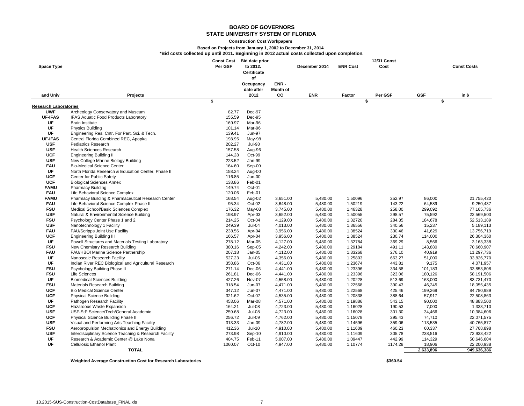#### **Construction Cost Workpapers**

### **Based on Projects from January 1, 2002 to December 31, 2014**

**\*Bid costs collected up until 2011. Beginning in 2012 actual costs collected upon completion.**

| Certificate<br>of<br>Occupancy<br>ENR-<br>date after<br>Month of<br><b>ENR</b><br><b>GSF</b><br>2012<br><b>CO</b><br>Per GSF<br>in \$<br>and Univ<br><b>Projects</b><br>Factor<br>\$<br>\$<br>\$<br><b>Research Laboratories</b><br><b>UWF</b><br>Archeology Conservatory and Museum<br>82.77<br>Dec-97<br><b>UF-IFAS</b><br>IFAS Aquatic Food Products Laboratory<br>155.59<br>Dec-95<br>UF<br><b>Brain Institute</b><br>169.97<br>Mar-96<br>UF<br>Physics Building<br>Mar-96<br>101.14<br>UF<br>Engineering Res. Cntr. For Part. Sci. & Tech.<br>139.41<br><b>Jun-97</b><br><b>UF-IFAS</b><br>Central Florida Combined REC, Apopka<br>198.95<br>May-98<br><b>USF</b><br><b>Pediatrics Research</b><br>202.27<br><b>Jul-98</b><br><b>USF</b><br><b>Health Sciences Research</b><br>157.58<br>Aug-96<br><b>UCF</b><br>Oct-99<br><b>Engineering Building II</b><br>144.28<br><b>USF</b><br>223.52<br>Jan-99<br>New College Marine Biology Building<br><b>FAU</b><br><b>Bio-Medical Science Center</b><br>Sep-00<br>164.60<br>UF<br>North Florida Research & Education Center, Phase II<br>158.24<br>Aug-00<br><b>UCF</b><br>Center for Public Safety<br>116.85<br>Jun-00<br><b>UCF</b><br><b>Biological Sciences Annex</b><br>138.86<br>Feb-01<br><b>FAMU</b><br><b>Pharmacy Building</b><br>149.74<br>Oct-01<br><b>FAU</b><br>Life Behavioral Science Complex<br>Feb-01<br>120.06<br><b>FAMU</b><br>Pharmacy Building & Pharmaceutical Research Center<br>1.50096<br>252.97<br>21,755,420<br>168.54<br>Aug-02<br>3,651.00<br>5,480.00<br>86,000<br>Life Behavioral Science Complex Phase II<br>95.34<br><b>FAU</b><br>Oct-02<br>3,648.00<br>5,480.00<br>1.50219<br>143.22<br>64,589<br>9,250,437<br><b>FSU</b><br>Medical School/Basic Sciences Complex<br>176.32<br>3,745.00<br>5,480.00<br>1.46328<br>258.00<br>299,092<br>77, 165, 736<br>$May-03$<br><b>USF</b><br>Natural & Environmental Science Building<br>198.97<br>Apr-03<br>3,652.00<br>5,480.00<br>1.50055<br>298.57<br>75,592<br>22,569,503<br><b>FSU</b><br>Oct-04<br>1.32720<br>284.35<br>52.513.189<br>Psychology Center Phase 1 and 2<br>214.25<br>4,129.00<br>5,480.00<br>184,678<br><b>USF</b><br>5,480.00<br>1.36556<br>340.56<br>5,189,113<br>Nanotechnology 1 Facility<br>249.39<br>$Jul-04$<br>4,013.00<br>15,237<br>13,756,719<br><b>FAU</b><br>FAU/Scripps Joint Use Facility<br>238.56<br>Apr-04<br>3,956.00<br>5,480.00<br>1.38524<br>330.46<br>41,629<br><b>UCF</b><br><b>Engineering Building III</b><br>Apr-04<br>3,956.00<br>5,480.00<br>1.38524<br>230.74<br>114,000<br>26,304,360<br>166.57<br>UF<br>4,127.00<br>5,480.00<br>1.32784<br>369.29<br>3,163,338<br>Powell Structures and Materials Testing Laboratory<br>278.12<br>Mar-05<br>8,566<br><b>FSU</b><br>4,242.00<br>70,660,907<br>New Chemistry Research Building<br>380.16<br>Sep-05<br>5,480.00<br>1.29184<br>491.11<br>143,880<br><b>FAU</b><br>FAU/HBOI Marine Science Partnership<br>207.18<br>$Jan-05$<br>4,112.00<br>5,480.00<br>1.33268<br>276.10<br>40,919<br>11,297,736<br>UF<br>$Jul-06$<br>663.27<br>Nanoscale Research Facility<br>527.23<br>4,356.00<br>5,480.00<br>1.25803<br>51,000<br>33,826,770<br>UF<br>Indian River REC Biological and Agricultural Research<br>358.86<br>Oct-06<br>4,431.00<br>5,480.00<br>1.23674<br>443.81<br>9,175<br>4,071,957<br>1.23396<br><b>FSU</b><br>Psychology Building Phase II<br>271.14<br>Dec-06<br>4,441.00<br>5,480.00<br>334.58<br>101,183<br>33,853,808<br><b>FSU</b><br><b>Life Sciences</b><br>261.81<br>Dec-06<br>4,441.00<br>5,480.00<br>1.23396<br>323.06<br>58,191,506<br>180,126<br>UF<br><b>Biomedical Sciences Building</b><br>427.26<br>Nov-07<br>4,558.00<br>5,480.00<br>1.20228<br>513.69<br>163,000<br>83,731,470<br><b>FSU</b><br>Materials Research Building<br>318.54<br><b>Jun-07</b><br>4,471.00<br>5,480.00<br>1.22568<br>390.43<br>46,245<br>18,055,435<br><b>UCF</b><br><b>Bio Medical Science Center</b><br>347.12<br><b>Jun-07</b><br>4,471.00<br>5,480.00<br>1.22568<br>425.46<br>199,269<br>84,780,989<br><b>UCF</b><br>Physical Science Building<br>Oct-07<br>4,535.00<br>5,480.00<br>1.20838<br>388.64<br>57,917<br>22,508,863<br>321.62<br>UF<br>Pathogen Research Facility<br>453.06<br>Mar-08<br>4,571.00<br>5,480.00<br>1.19886<br>543.15<br>90,000<br>48,883,500<br><b>UCF</b><br>Hazardous Waste Expansion<br>Jul-08<br>4,723.00<br>5,480.00<br>1.16028<br>190.53<br>7,000<br>1,333,710<br>164.21<br><b>USF</b><br>Jul-08<br>5,480.00<br>USF-StP Science/Tech/General Academic<br>259.68<br>4,723.00<br>1.16028<br>301.30<br>34,466<br>10,384,606<br><b>UCF</b><br>Physical Science Building Phase II<br>256.72<br><b>Jul-09</b><br>4,762.00<br>5,480.00<br>1.15078<br>295.43<br>74,710<br>22,071,575<br><b>USF</b><br>Visual and Performing Arts Teaching Facility<br>359.06<br>113,535<br>40,765,877<br>313.33<br>Jan-09<br>4,782.00<br>5,480.00<br>1.14596<br><b>FSU</b><br>Aeropropulsion Mechatronics and Energy Building<br>412.36<br>$Jul-10$<br>4,910.00<br>5,480.00<br>1.11609<br>460.23<br>60,337<br>27,768,898<br><b>USF</b><br>Interdisciplinary Science Teaching & Research Facility<br>273.98<br>Sep-10<br>305.78<br>72,933,422<br>4,910.00<br>5,480.00<br>1.11609<br>238,516<br>UF<br>Research & Academic Center @ Lake Nona<br>404.75<br>5,480.00<br>1.09447<br>442.99<br>114,329<br>50,646,604<br>Feb-11<br>5,007.00<br>UF<br><b>Cellulosic Ethanol Plant</b><br>Oct-10<br>5,480.00<br>1.10774<br>1174.28<br>18,906<br>22,200,938<br>1060.07<br>4,947.00<br>949,636,386<br>2,633,896<br><b>TOTAL</b> |                   | <b>Const Cost</b> | <b>Bid date prior</b> |               |                 | <b>12/31 Const</b> |                    |
|---------------------------------------------------------------------------------------------------------------------------------------------------------------------------------------------------------------------------------------------------------------------------------------------------------------------------------------------------------------------------------------------------------------------------------------------------------------------------------------------------------------------------------------------------------------------------------------------------------------------------------------------------------------------------------------------------------------------------------------------------------------------------------------------------------------------------------------------------------------------------------------------------------------------------------------------------------------------------------------------------------------------------------------------------------------------------------------------------------------------------------------------------------------------------------------------------------------------------------------------------------------------------------------------------------------------------------------------------------------------------------------------------------------------------------------------------------------------------------------------------------------------------------------------------------------------------------------------------------------------------------------------------------------------------------------------------------------------------------------------------------------------------------------------------------------------------------------------------------------------------------------------------------------------------------------------------------------------------------------------------------------------------------------------------------------------------------------------------------------------------------------------------------------------------------------------------------------------------------------------------------------------------------------------------------------------------------------------------------------------------------------------------------------------------------------------------------------------------------------------------------------------------------------------------------------------------------------------------------------------------------------------------------------------------------------------------------------------------------------------------------------------------------------------------------------------------------------------------------------------------------------------------------------------------------------------------------------------------------------------------------------------------------------------------------------------------------------------------------------------------------------------------------------------------------------------------------------------------------------------------------------------------------------------------------------------------------------------------------------------------------------------------------------------------------------------------------------------------------------------------------------------------------------------------------------------------------------------------------------------------------------------------------------------------------------------------------------------------------------------------------------------------------------------------------------------------------------------------------------------------------------------------------------------------------------------------------------------------------------------------------------------------------------------------------------------------------------------------------------------------------------------------------------------------------------------------------------------------------------------------------------------------------------------------------------------------------------------------------------------------------------------------------------------------------------------------------------------------------------------------------------------------------------------------------------------------------------------------------------------------------------------------------------------------------------------------------------------------------------------------------------------------------------------------------------------------------------------------------------------------------------------------------------------------------------------------------------------------------------------------------------------------------------------------------------------------------------------------------------------------------------------------------------------------------------------------------------------------------------------------------------------------------------------------------------------------------------------------------------------------------------------------------------------------------------------------------------------------------------------------------------------------------------------------------|-------------------|-------------------|-----------------------|---------------|-----------------|--------------------|--------------------|
|                                                                                                                                                                                                                                                                                                                                                                                                                                                                                                                                                                                                                                                                                                                                                                                                                                                                                                                                                                                                                                                                                                                                                                                                                                                                                                                                                                                                                                                                                                                                                                                                                                                                                                                                                                                                                                                                                                                                                                                                                                                                                                                                                                                                                                                                                                                                                                                                                                                                                                                                                                                                                                                                                                                                                                                                                                                                                                                                                                                                                                                                                                                                                                                                                                                                                                                                                                                                                                                                                                                                                                                                                                                                                                                                                                                                                                                                                                                                                                                                                                                                                                                                                                                                                                                                                                                                                                                                                                                                                                                                                                                                                                                                                                                                                                                                                                                                                                                                                                                                                                                                                                                                                                                                                                                                                                                                                                                                                                                                                                                                                         | <b>Space Type</b> | Per GSF           | to 2012.              | December 2014 | <b>ENR Cost</b> | Cost               | <b>Const Costs</b> |
|                                                                                                                                                                                                                                                                                                                                                                                                                                                                                                                                                                                                                                                                                                                                                                                                                                                                                                                                                                                                                                                                                                                                                                                                                                                                                                                                                                                                                                                                                                                                                                                                                                                                                                                                                                                                                                                                                                                                                                                                                                                                                                                                                                                                                                                                                                                                                                                                                                                                                                                                                                                                                                                                                                                                                                                                                                                                                                                                                                                                                                                                                                                                                                                                                                                                                                                                                                                                                                                                                                                                                                                                                                                                                                                                                                                                                                                                                                                                                                                                                                                                                                                                                                                                                                                                                                                                                                                                                                                                                                                                                                                                                                                                                                                                                                                                                                                                                                                                                                                                                                                                                                                                                                                                                                                                                                                                                                                                                                                                                                                                                         |                   |                   |                       |               |                 |                    |                    |
|                                                                                                                                                                                                                                                                                                                                                                                                                                                                                                                                                                                                                                                                                                                                                                                                                                                                                                                                                                                                                                                                                                                                                                                                                                                                                                                                                                                                                                                                                                                                                                                                                                                                                                                                                                                                                                                                                                                                                                                                                                                                                                                                                                                                                                                                                                                                                                                                                                                                                                                                                                                                                                                                                                                                                                                                                                                                                                                                                                                                                                                                                                                                                                                                                                                                                                                                                                                                                                                                                                                                                                                                                                                                                                                                                                                                                                                                                                                                                                                                                                                                                                                                                                                                                                                                                                                                                                                                                                                                                                                                                                                                                                                                                                                                                                                                                                                                                                                                                                                                                                                                                                                                                                                                                                                                                                                                                                                                                                                                                                                                                         |                   |                   |                       |               |                 |                    |                    |
|                                                                                                                                                                                                                                                                                                                                                                                                                                                                                                                                                                                                                                                                                                                                                                                                                                                                                                                                                                                                                                                                                                                                                                                                                                                                                                                                                                                                                                                                                                                                                                                                                                                                                                                                                                                                                                                                                                                                                                                                                                                                                                                                                                                                                                                                                                                                                                                                                                                                                                                                                                                                                                                                                                                                                                                                                                                                                                                                                                                                                                                                                                                                                                                                                                                                                                                                                                                                                                                                                                                                                                                                                                                                                                                                                                                                                                                                                                                                                                                                                                                                                                                                                                                                                                                                                                                                                                                                                                                                                                                                                                                                                                                                                                                                                                                                                                                                                                                                                                                                                                                                                                                                                                                                                                                                                                                                                                                                                                                                                                                                                         |                   |                   |                       |               |                 |                    |                    |
|                                                                                                                                                                                                                                                                                                                                                                                                                                                                                                                                                                                                                                                                                                                                                                                                                                                                                                                                                                                                                                                                                                                                                                                                                                                                                                                                                                                                                                                                                                                                                                                                                                                                                                                                                                                                                                                                                                                                                                                                                                                                                                                                                                                                                                                                                                                                                                                                                                                                                                                                                                                                                                                                                                                                                                                                                                                                                                                                                                                                                                                                                                                                                                                                                                                                                                                                                                                                                                                                                                                                                                                                                                                                                                                                                                                                                                                                                                                                                                                                                                                                                                                                                                                                                                                                                                                                                                                                                                                                                                                                                                                                                                                                                                                                                                                                                                                                                                                                                                                                                                                                                                                                                                                                                                                                                                                                                                                                                                                                                                                                                         |                   |                   |                       |               |                 |                    |                    |
|                                                                                                                                                                                                                                                                                                                                                                                                                                                                                                                                                                                                                                                                                                                                                                                                                                                                                                                                                                                                                                                                                                                                                                                                                                                                                                                                                                                                                                                                                                                                                                                                                                                                                                                                                                                                                                                                                                                                                                                                                                                                                                                                                                                                                                                                                                                                                                                                                                                                                                                                                                                                                                                                                                                                                                                                                                                                                                                                                                                                                                                                                                                                                                                                                                                                                                                                                                                                                                                                                                                                                                                                                                                                                                                                                                                                                                                                                                                                                                                                                                                                                                                                                                                                                                                                                                                                                                                                                                                                                                                                                                                                                                                                                                                                                                                                                                                                                                                                                                                                                                                                                                                                                                                                                                                                                                                                                                                                                                                                                                                                                         |                   |                   |                       |               |                 |                    |                    |
|                                                                                                                                                                                                                                                                                                                                                                                                                                                                                                                                                                                                                                                                                                                                                                                                                                                                                                                                                                                                                                                                                                                                                                                                                                                                                                                                                                                                                                                                                                                                                                                                                                                                                                                                                                                                                                                                                                                                                                                                                                                                                                                                                                                                                                                                                                                                                                                                                                                                                                                                                                                                                                                                                                                                                                                                                                                                                                                                                                                                                                                                                                                                                                                                                                                                                                                                                                                                                                                                                                                                                                                                                                                                                                                                                                                                                                                                                                                                                                                                                                                                                                                                                                                                                                                                                                                                                                                                                                                                                                                                                                                                                                                                                                                                                                                                                                                                                                                                                                                                                                                                                                                                                                                                                                                                                                                                                                                                                                                                                                                                                         |                   |                   |                       |               |                 |                    |                    |
|                                                                                                                                                                                                                                                                                                                                                                                                                                                                                                                                                                                                                                                                                                                                                                                                                                                                                                                                                                                                                                                                                                                                                                                                                                                                                                                                                                                                                                                                                                                                                                                                                                                                                                                                                                                                                                                                                                                                                                                                                                                                                                                                                                                                                                                                                                                                                                                                                                                                                                                                                                                                                                                                                                                                                                                                                                                                                                                                                                                                                                                                                                                                                                                                                                                                                                                                                                                                                                                                                                                                                                                                                                                                                                                                                                                                                                                                                                                                                                                                                                                                                                                                                                                                                                                                                                                                                                                                                                                                                                                                                                                                                                                                                                                                                                                                                                                                                                                                                                                                                                                                                                                                                                                                                                                                                                                                                                                                                                                                                                                                                         |                   |                   |                       |               |                 |                    |                    |
|                                                                                                                                                                                                                                                                                                                                                                                                                                                                                                                                                                                                                                                                                                                                                                                                                                                                                                                                                                                                                                                                                                                                                                                                                                                                                                                                                                                                                                                                                                                                                                                                                                                                                                                                                                                                                                                                                                                                                                                                                                                                                                                                                                                                                                                                                                                                                                                                                                                                                                                                                                                                                                                                                                                                                                                                                                                                                                                                                                                                                                                                                                                                                                                                                                                                                                                                                                                                                                                                                                                                                                                                                                                                                                                                                                                                                                                                                                                                                                                                                                                                                                                                                                                                                                                                                                                                                                                                                                                                                                                                                                                                                                                                                                                                                                                                                                                                                                                                                                                                                                                                                                                                                                                                                                                                                                                                                                                                                                                                                                                                                         |                   |                   |                       |               |                 |                    |                    |
|                                                                                                                                                                                                                                                                                                                                                                                                                                                                                                                                                                                                                                                                                                                                                                                                                                                                                                                                                                                                                                                                                                                                                                                                                                                                                                                                                                                                                                                                                                                                                                                                                                                                                                                                                                                                                                                                                                                                                                                                                                                                                                                                                                                                                                                                                                                                                                                                                                                                                                                                                                                                                                                                                                                                                                                                                                                                                                                                                                                                                                                                                                                                                                                                                                                                                                                                                                                                                                                                                                                                                                                                                                                                                                                                                                                                                                                                                                                                                                                                                                                                                                                                                                                                                                                                                                                                                                                                                                                                                                                                                                                                                                                                                                                                                                                                                                                                                                                                                                                                                                                                                                                                                                                                                                                                                                                                                                                                                                                                                                                                                         |                   |                   |                       |               |                 |                    |                    |
|                                                                                                                                                                                                                                                                                                                                                                                                                                                                                                                                                                                                                                                                                                                                                                                                                                                                                                                                                                                                                                                                                                                                                                                                                                                                                                                                                                                                                                                                                                                                                                                                                                                                                                                                                                                                                                                                                                                                                                                                                                                                                                                                                                                                                                                                                                                                                                                                                                                                                                                                                                                                                                                                                                                                                                                                                                                                                                                                                                                                                                                                                                                                                                                                                                                                                                                                                                                                                                                                                                                                                                                                                                                                                                                                                                                                                                                                                                                                                                                                                                                                                                                                                                                                                                                                                                                                                                                                                                                                                                                                                                                                                                                                                                                                                                                                                                                                                                                                                                                                                                                                                                                                                                                                                                                                                                                                                                                                                                                                                                                                                         |                   |                   |                       |               |                 |                    |                    |
|                                                                                                                                                                                                                                                                                                                                                                                                                                                                                                                                                                                                                                                                                                                                                                                                                                                                                                                                                                                                                                                                                                                                                                                                                                                                                                                                                                                                                                                                                                                                                                                                                                                                                                                                                                                                                                                                                                                                                                                                                                                                                                                                                                                                                                                                                                                                                                                                                                                                                                                                                                                                                                                                                                                                                                                                                                                                                                                                                                                                                                                                                                                                                                                                                                                                                                                                                                                                                                                                                                                                                                                                                                                                                                                                                                                                                                                                                                                                                                                                                                                                                                                                                                                                                                                                                                                                                                                                                                                                                                                                                                                                                                                                                                                                                                                                                                                                                                                                                                                                                                                                                                                                                                                                                                                                                                                                                                                                                                                                                                                                                         |                   |                   |                       |               |                 |                    |                    |
|                                                                                                                                                                                                                                                                                                                                                                                                                                                                                                                                                                                                                                                                                                                                                                                                                                                                                                                                                                                                                                                                                                                                                                                                                                                                                                                                                                                                                                                                                                                                                                                                                                                                                                                                                                                                                                                                                                                                                                                                                                                                                                                                                                                                                                                                                                                                                                                                                                                                                                                                                                                                                                                                                                                                                                                                                                                                                                                                                                                                                                                                                                                                                                                                                                                                                                                                                                                                                                                                                                                                                                                                                                                                                                                                                                                                                                                                                                                                                                                                                                                                                                                                                                                                                                                                                                                                                                                                                                                                                                                                                                                                                                                                                                                                                                                                                                                                                                                                                                                                                                                                                                                                                                                                                                                                                                                                                                                                                                                                                                                                                         |                   |                   |                       |               |                 |                    |                    |
|                                                                                                                                                                                                                                                                                                                                                                                                                                                                                                                                                                                                                                                                                                                                                                                                                                                                                                                                                                                                                                                                                                                                                                                                                                                                                                                                                                                                                                                                                                                                                                                                                                                                                                                                                                                                                                                                                                                                                                                                                                                                                                                                                                                                                                                                                                                                                                                                                                                                                                                                                                                                                                                                                                                                                                                                                                                                                                                                                                                                                                                                                                                                                                                                                                                                                                                                                                                                                                                                                                                                                                                                                                                                                                                                                                                                                                                                                                                                                                                                                                                                                                                                                                                                                                                                                                                                                                                                                                                                                                                                                                                                                                                                                                                                                                                                                                                                                                                                                                                                                                                                                                                                                                                                                                                                                                                                                                                                                                                                                                                                                         |                   |                   |                       |               |                 |                    |                    |
|                                                                                                                                                                                                                                                                                                                                                                                                                                                                                                                                                                                                                                                                                                                                                                                                                                                                                                                                                                                                                                                                                                                                                                                                                                                                                                                                                                                                                                                                                                                                                                                                                                                                                                                                                                                                                                                                                                                                                                                                                                                                                                                                                                                                                                                                                                                                                                                                                                                                                                                                                                                                                                                                                                                                                                                                                                                                                                                                                                                                                                                                                                                                                                                                                                                                                                                                                                                                                                                                                                                                                                                                                                                                                                                                                                                                                                                                                                                                                                                                                                                                                                                                                                                                                                                                                                                                                                                                                                                                                                                                                                                                                                                                                                                                                                                                                                                                                                                                                                                                                                                                                                                                                                                                                                                                                                                                                                                                                                                                                                                                                         |                   |                   |                       |               |                 |                    |                    |
|                                                                                                                                                                                                                                                                                                                                                                                                                                                                                                                                                                                                                                                                                                                                                                                                                                                                                                                                                                                                                                                                                                                                                                                                                                                                                                                                                                                                                                                                                                                                                                                                                                                                                                                                                                                                                                                                                                                                                                                                                                                                                                                                                                                                                                                                                                                                                                                                                                                                                                                                                                                                                                                                                                                                                                                                                                                                                                                                                                                                                                                                                                                                                                                                                                                                                                                                                                                                                                                                                                                                                                                                                                                                                                                                                                                                                                                                                                                                                                                                                                                                                                                                                                                                                                                                                                                                                                                                                                                                                                                                                                                                                                                                                                                                                                                                                                                                                                                                                                                                                                                                                                                                                                                                                                                                                                                                                                                                                                                                                                                                                         |                   |                   |                       |               |                 |                    |                    |
|                                                                                                                                                                                                                                                                                                                                                                                                                                                                                                                                                                                                                                                                                                                                                                                                                                                                                                                                                                                                                                                                                                                                                                                                                                                                                                                                                                                                                                                                                                                                                                                                                                                                                                                                                                                                                                                                                                                                                                                                                                                                                                                                                                                                                                                                                                                                                                                                                                                                                                                                                                                                                                                                                                                                                                                                                                                                                                                                                                                                                                                                                                                                                                                                                                                                                                                                                                                                                                                                                                                                                                                                                                                                                                                                                                                                                                                                                                                                                                                                                                                                                                                                                                                                                                                                                                                                                                                                                                                                                                                                                                                                                                                                                                                                                                                                                                                                                                                                                                                                                                                                                                                                                                                                                                                                                                                                                                                                                                                                                                                                                         |                   |                   |                       |               |                 |                    |                    |
|                                                                                                                                                                                                                                                                                                                                                                                                                                                                                                                                                                                                                                                                                                                                                                                                                                                                                                                                                                                                                                                                                                                                                                                                                                                                                                                                                                                                                                                                                                                                                                                                                                                                                                                                                                                                                                                                                                                                                                                                                                                                                                                                                                                                                                                                                                                                                                                                                                                                                                                                                                                                                                                                                                                                                                                                                                                                                                                                                                                                                                                                                                                                                                                                                                                                                                                                                                                                                                                                                                                                                                                                                                                                                                                                                                                                                                                                                                                                                                                                                                                                                                                                                                                                                                                                                                                                                                                                                                                                                                                                                                                                                                                                                                                                                                                                                                                                                                                                                                                                                                                                                                                                                                                                                                                                                                                                                                                                                                                                                                                                                         |                   |                   |                       |               |                 |                    |                    |
|                                                                                                                                                                                                                                                                                                                                                                                                                                                                                                                                                                                                                                                                                                                                                                                                                                                                                                                                                                                                                                                                                                                                                                                                                                                                                                                                                                                                                                                                                                                                                                                                                                                                                                                                                                                                                                                                                                                                                                                                                                                                                                                                                                                                                                                                                                                                                                                                                                                                                                                                                                                                                                                                                                                                                                                                                                                                                                                                                                                                                                                                                                                                                                                                                                                                                                                                                                                                                                                                                                                                                                                                                                                                                                                                                                                                                                                                                                                                                                                                                                                                                                                                                                                                                                                                                                                                                                                                                                                                                                                                                                                                                                                                                                                                                                                                                                                                                                                                                                                                                                                                                                                                                                                                                                                                                                                                                                                                                                                                                                                                                         |                   |                   |                       |               |                 |                    |                    |
|                                                                                                                                                                                                                                                                                                                                                                                                                                                                                                                                                                                                                                                                                                                                                                                                                                                                                                                                                                                                                                                                                                                                                                                                                                                                                                                                                                                                                                                                                                                                                                                                                                                                                                                                                                                                                                                                                                                                                                                                                                                                                                                                                                                                                                                                                                                                                                                                                                                                                                                                                                                                                                                                                                                                                                                                                                                                                                                                                                                                                                                                                                                                                                                                                                                                                                                                                                                                                                                                                                                                                                                                                                                                                                                                                                                                                                                                                                                                                                                                                                                                                                                                                                                                                                                                                                                                                                                                                                                                                                                                                                                                                                                                                                                                                                                                                                                                                                                                                                                                                                                                                                                                                                                                                                                                                                                                                                                                                                                                                                                                                         |                   |                   |                       |               |                 |                    |                    |
|                                                                                                                                                                                                                                                                                                                                                                                                                                                                                                                                                                                                                                                                                                                                                                                                                                                                                                                                                                                                                                                                                                                                                                                                                                                                                                                                                                                                                                                                                                                                                                                                                                                                                                                                                                                                                                                                                                                                                                                                                                                                                                                                                                                                                                                                                                                                                                                                                                                                                                                                                                                                                                                                                                                                                                                                                                                                                                                                                                                                                                                                                                                                                                                                                                                                                                                                                                                                                                                                                                                                                                                                                                                                                                                                                                                                                                                                                                                                                                                                                                                                                                                                                                                                                                                                                                                                                                                                                                                                                                                                                                                                                                                                                                                                                                                                                                                                                                                                                                                                                                                                                                                                                                                                                                                                                                                                                                                                                                                                                                                                                         |                   |                   |                       |               |                 |                    |                    |
|                                                                                                                                                                                                                                                                                                                                                                                                                                                                                                                                                                                                                                                                                                                                                                                                                                                                                                                                                                                                                                                                                                                                                                                                                                                                                                                                                                                                                                                                                                                                                                                                                                                                                                                                                                                                                                                                                                                                                                                                                                                                                                                                                                                                                                                                                                                                                                                                                                                                                                                                                                                                                                                                                                                                                                                                                                                                                                                                                                                                                                                                                                                                                                                                                                                                                                                                                                                                                                                                                                                                                                                                                                                                                                                                                                                                                                                                                                                                                                                                                                                                                                                                                                                                                                                                                                                                                                                                                                                                                                                                                                                                                                                                                                                                                                                                                                                                                                                                                                                                                                                                                                                                                                                                                                                                                                                                                                                                                                                                                                                                                         |                   |                   |                       |               |                 |                    |                    |
|                                                                                                                                                                                                                                                                                                                                                                                                                                                                                                                                                                                                                                                                                                                                                                                                                                                                                                                                                                                                                                                                                                                                                                                                                                                                                                                                                                                                                                                                                                                                                                                                                                                                                                                                                                                                                                                                                                                                                                                                                                                                                                                                                                                                                                                                                                                                                                                                                                                                                                                                                                                                                                                                                                                                                                                                                                                                                                                                                                                                                                                                                                                                                                                                                                                                                                                                                                                                                                                                                                                                                                                                                                                                                                                                                                                                                                                                                                                                                                                                                                                                                                                                                                                                                                                                                                                                                                                                                                                                                                                                                                                                                                                                                                                                                                                                                                                                                                                                                                                                                                                                                                                                                                                                                                                                                                                                                                                                                                                                                                                                                         |                   |                   |                       |               |                 |                    |                    |
|                                                                                                                                                                                                                                                                                                                                                                                                                                                                                                                                                                                                                                                                                                                                                                                                                                                                                                                                                                                                                                                                                                                                                                                                                                                                                                                                                                                                                                                                                                                                                                                                                                                                                                                                                                                                                                                                                                                                                                                                                                                                                                                                                                                                                                                                                                                                                                                                                                                                                                                                                                                                                                                                                                                                                                                                                                                                                                                                                                                                                                                                                                                                                                                                                                                                                                                                                                                                                                                                                                                                                                                                                                                                                                                                                                                                                                                                                                                                                                                                                                                                                                                                                                                                                                                                                                                                                                                                                                                                                                                                                                                                                                                                                                                                                                                                                                                                                                                                                                                                                                                                                                                                                                                                                                                                                                                                                                                                                                                                                                                                                         |                   |                   |                       |               |                 |                    |                    |
|                                                                                                                                                                                                                                                                                                                                                                                                                                                                                                                                                                                                                                                                                                                                                                                                                                                                                                                                                                                                                                                                                                                                                                                                                                                                                                                                                                                                                                                                                                                                                                                                                                                                                                                                                                                                                                                                                                                                                                                                                                                                                                                                                                                                                                                                                                                                                                                                                                                                                                                                                                                                                                                                                                                                                                                                                                                                                                                                                                                                                                                                                                                                                                                                                                                                                                                                                                                                                                                                                                                                                                                                                                                                                                                                                                                                                                                                                                                                                                                                                                                                                                                                                                                                                                                                                                                                                                                                                                                                                                                                                                                                                                                                                                                                                                                                                                                                                                                                                                                                                                                                                                                                                                                                                                                                                                                                                                                                                                                                                                                                                         |                   |                   |                       |               |                 |                    |                    |
|                                                                                                                                                                                                                                                                                                                                                                                                                                                                                                                                                                                                                                                                                                                                                                                                                                                                                                                                                                                                                                                                                                                                                                                                                                                                                                                                                                                                                                                                                                                                                                                                                                                                                                                                                                                                                                                                                                                                                                                                                                                                                                                                                                                                                                                                                                                                                                                                                                                                                                                                                                                                                                                                                                                                                                                                                                                                                                                                                                                                                                                                                                                                                                                                                                                                                                                                                                                                                                                                                                                                                                                                                                                                                                                                                                                                                                                                                                                                                                                                                                                                                                                                                                                                                                                                                                                                                                                                                                                                                                                                                                                                                                                                                                                                                                                                                                                                                                                                                                                                                                                                                                                                                                                                                                                                                                                                                                                                                                                                                                                                                         |                   |                   |                       |               |                 |                    |                    |
|                                                                                                                                                                                                                                                                                                                                                                                                                                                                                                                                                                                                                                                                                                                                                                                                                                                                                                                                                                                                                                                                                                                                                                                                                                                                                                                                                                                                                                                                                                                                                                                                                                                                                                                                                                                                                                                                                                                                                                                                                                                                                                                                                                                                                                                                                                                                                                                                                                                                                                                                                                                                                                                                                                                                                                                                                                                                                                                                                                                                                                                                                                                                                                                                                                                                                                                                                                                                                                                                                                                                                                                                                                                                                                                                                                                                                                                                                                                                                                                                                                                                                                                                                                                                                                                                                                                                                                                                                                                                                                                                                                                                                                                                                                                                                                                                                                                                                                                                                                                                                                                                                                                                                                                                                                                                                                                                                                                                                                                                                                                                                         |                   |                   |                       |               |                 |                    |                    |
|                                                                                                                                                                                                                                                                                                                                                                                                                                                                                                                                                                                                                                                                                                                                                                                                                                                                                                                                                                                                                                                                                                                                                                                                                                                                                                                                                                                                                                                                                                                                                                                                                                                                                                                                                                                                                                                                                                                                                                                                                                                                                                                                                                                                                                                                                                                                                                                                                                                                                                                                                                                                                                                                                                                                                                                                                                                                                                                                                                                                                                                                                                                                                                                                                                                                                                                                                                                                                                                                                                                                                                                                                                                                                                                                                                                                                                                                                                                                                                                                                                                                                                                                                                                                                                                                                                                                                                                                                                                                                                                                                                                                                                                                                                                                                                                                                                                                                                                                                                                                                                                                                                                                                                                                                                                                                                                                                                                                                                                                                                                                                         |                   |                   |                       |               |                 |                    |                    |
|                                                                                                                                                                                                                                                                                                                                                                                                                                                                                                                                                                                                                                                                                                                                                                                                                                                                                                                                                                                                                                                                                                                                                                                                                                                                                                                                                                                                                                                                                                                                                                                                                                                                                                                                                                                                                                                                                                                                                                                                                                                                                                                                                                                                                                                                                                                                                                                                                                                                                                                                                                                                                                                                                                                                                                                                                                                                                                                                                                                                                                                                                                                                                                                                                                                                                                                                                                                                                                                                                                                                                                                                                                                                                                                                                                                                                                                                                                                                                                                                                                                                                                                                                                                                                                                                                                                                                                                                                                                                                                                                                                                                                                                                                                                                                                                                                                                                                                                                                                                                                                                                                                                                                                                                                                                                                                                                                                                                                                                                                                                                                         |                   |                   |                       |               |                 |                    |                    |
|                                                                                                                                                                                                                                                                                                                                                                                                                                                                                                                                                                                                                                                                                                                                                                                                                                                                                                                                                                                                                                                                                                                                                                                                                                                                                                                                                                                                                                                                                                                                                                                                                                                                                                                                                                                                                                                                                                                                                                                                                                                                                                                                                                                                                                                                                                                                                                                                                                                                                                                                                                                                                                                                                                                                                                                                                                                                                                                                                                                                                                                                                                                                                                                                                                                                                                                                                                                                                                                                                                                                                                                                                                                                                                                                                                                                                                                                                                                                                                                                                                                                                                                                                                                                                                                                                                                                                                                                                                                                                                                                                                                                                                                                                                                                                                                                                                                                                                                                                                                                                                                                                                                                                                                                                                                                                                                                                                                                                                                                                                                                                         |                   |                   |                       |               |                 |                    |                    |
|                                                                                                                                                                                                                                                                                                                                                                                                                                                                                                                                                                                                                                                                                                                                                                                                                                                                                                                                                                                                                                                                                                                                                                                                                                                                                                                                                                                                                                                                                                                                                                                                                                                                                                                                                                                                                                                                                                                                                                                                                                                                                                                                                                                                                                                                                                                                                                                                                                                                                                                                                                                                                                                                                                                                                                                                                                                                                                                                                                                                                                                                                                                                                                                                                                                                                                                                                                                                                                                                                                                                                                                                                                                                                                                                                                                                                                                                                                                                                                                                                                                                                                                                                                                                                                                                                                                                                                                                                                                                                                                                                                                                                                                                                                                                                                                                                                                                                                                                                                                                                                                                                                                                                                                                                                                                                                                                                                                                                                                                                                                                                         |                   |                   |                       |               |                 |                    |                    |
|                                                                                                                                                                                                                                                                                                                                                                                                                                                                                                                                                                                                                                                                                                                                                                                                                                                                                                                                                                                                                                                                                                                                                                                                                                                                                                                                                                                                                                                                                                                                                                                                                                                                                                                                                                                                                                                                                                                                                                                                                                                                                                                                                                                                                                                                                                                                                                                                                                                                                                                                                                                                                                                                                                                                                                                                                                                                                                                                                                                                                                                                                                                                                                                                                                                                                                                                                                                                                                                                                                                                                                                                                                                                                                                                                                                                                                                                                                                                                                                                                                                                                                                                                                                                                                                                                                                                                                                                                                                                                                                                                                                                                                                                                                                                                                                                                                                                                                                                                                                                                                                                                                                                                                                                                                                                                                                                                                                                                                                                                                                                                         |                   |                   |                       |               |                 |                    |                    |
|                                                                                                                                                                                                                                                                                                                                                                                                                                                                                                                                                                                                                                                                                                                                                                                                                                                                                                                                                                                                                                                                                                                                                                                                                                                                                                                                                                                                                                                                                                                                                                                                                                                                                                                                                                                                                                                                                                                                                                                                                                                                                                                                                                                                                                                                                                                                                                                                                                                                                                                                                                                                                                                                                                                                                                                                                                                                                                                                                                                                                                                                                                                                                                                                                                                                                                                                                                                                                                                                                                                                                                                                                                                                                                                                                                                                                                                                                                                                                                                                                                                                                                                                                                                                                                                                                                                                                                                                                                                                                                                                                                                                                                                                                                                                                                                                                                                                                                                                                                                                                                                                                                                                                                                                                                                                                                                                                                                                                                                                                                                                                         |                   |                   |                       |               |                 |                    |                    |
|                                                                                                                                                                                                                                                                                                                                                                                                                                                                                                                                                                                                                                                                                                                                                                                                                                                                                                                                                                                                                                                                                                                                                                                                                                                                                                                                                                                                                                                                                                                                                                                                                                                                                                                                                                                                                                                                                                                                                                                                                                                                                                                                                                                                                                                                                                                                                                                                                                                                                                                                                                                                                                                                                                                                                                                                                                                                                                                                                                                                                                                                                                                                                                                                                                                                                                                                                                                                                                                                                                                                                                                                                                                                                                                                                                                                                                                                                                                                                                                                                                                                                                                                                                                                                                                                                                                                                                                                                                                                                                                                                                                                                                                                                                                                                                                                                                                                                                                                                                                                                                                                                                                                                                                                                                                                                                                                                                                                                                                                                                                                                         |                   |                   |                       |               |                 |                    |                    |
|                                                                                                                                                                                                                                                                                                                                                                                                                                                                                                                                                                                                                                                                                                                                                                                                                                                                                                                                                                                                                                                                                                                                                                                                                                                                                                                                                                                                                                                                                                                                                                                                                                                                                                                                                                                                                                                                                                                                                                                                                                                                                                                                                                                                                                                                                                                                                                                                                                                                                                                                                                                                                                                                                                                                                                                                                                                                                                                                                                                                                                                                                                                                                                                                                                                                                                                                                                                                                                                                                                                                                                                                                                                                                                                                                                                                                                                                                                                                                                                                                                                                                                                                                                                                                                                                                                                                                                                                                                                                                                                                                                                                                                                                                                                                                                                                                                                                                                                                                                                                                                                                                                                                                                                                                                                                                                                                                                                                                                                                                                                                                         |                   |                   |                       |               |                 |                    |                    |
|                                                                                                                                                                                                                                                                                                                                                                                                                                                                                                                                                                                                                                                                                                                                                                                                                                                                                                                                                                                                                                                                                                                                                                                                                                                                                                                                                                                                                                                                                                                                                                                                                                                                                                                                                                                                                                                                                                                                                                                                                                                                                                                                                                                                                                                                                                                                                                                                                                                                                                                                                                                                                                                                                                                                                                                                                                                                                                                                                                                                                                                                                                                                                                                                                                                                                                                                                                                                                                                                                                                                                                                                                                                                                                                                                                                                                                                                                                                                                                                                                                                                                                                                                                                                                                                                                                                                                                                                                                                                                                                                                                                                                                                                                                                                                                                                                                                                                                                                                                                                                                                                                                                                                                                                                                                                                                                                                                                                                                                                                                                                                         |                   |                   |                       |               |                 |                    |                    |
|                                                                                                                                                                                                                                                                                                                                                                                                                                                                                                                                                                                                                                                                                                                                                                                                                                                                                                                                                                                                                                                                                                                                                                                                                                                                                                                                                                                                                                                                                                                                                                                                                                                                                                                                                                                                                                                                                                                                                                                                                                                                                                                                                                                                                                                                                                                                                                                                                                                                                                                                                                                                                                                                                                                                                                                                                                                                                                                                                                                                                                                                                                                                                                                                                                                                                                                                                                                                                                                                                                                                                                                                                                                                                                                                                                                                                                                                                                                                                                                                                                                                                                                                                                                                                                                                                                                                                                                                                                                                                                                                                                                                                                                                                                                                                                                                                                                                                                                                                                                                                                                                                                                                                                                                                                                                                                                                                                                                                                                                                                                                                         |                   |                   |                       |               |                 |                    |                    |
|                                                                                                                                                                                                                                                                                                                                                                                                                                                                                                                                                                                                                                                                                                                                                                                                                                                                                                                                                                                                                                                                                                                                                                                                                                                                                                                                                                                                                                                                                                                                                                                                                                                                                                                                                                                                                                                                                                                                                                                                                                                                                                                                                                                                                                                                                                                                                                                                                                                                                                                                                                                                                                                                                                                                                                                                                                                                                                                                                                                                                                                                                                                                                                                                                                                                                                                                                                                                                                                                                                                                                                                                                                                                                                                                                                                                                                                                                                                                                                                                                                                                                                                                                                                                                                                                                                                                                                                                                                                                                                                                                                                                                                                                                                                                                                                                                                                                                                                                                                                                                                                                                                                                                                                                                                                                                                                                                                                                                                                                                                                                                         |                   |                   |                       |               |                 |                    |                    |
|                                                                                                                                                                                                                                                                                                                                                                                                                                                                                                                                                                                                                                                                                                                                                                                                                                                                                                                                                                                                                                                                                                                                                                                                                                                                                                                                                                                                                                                                                                                                                                                                                                                                                                                                                                                                                                                                                                                                                                                                                                                                                                                                                                                                                                                                                                                                                                                                                                                                                                                                                                                                                                                                                                                                                                                                                                                                                                                                                                                                                                                                                                                                                                                                                                                                                                                                                                                                                                                                                                                                                                                                                                                                                                                                                                                                                                                                                                                                                                                                                                                                                                                                                                                                                                                                                                                                                                                                                                                                                                                                                                                                                                                                                                                                                                                                                                                                                                                                                                                                                                                                                                                                                                                                                                                                                                                                                                                                                                                                                                                                                         |                   |                   |                       |               |                 |                    |                    |
|                                                                                                                                                                                                                                                                                                                                                                                                                                                                                                                                                                                                                                                                                                                                                                                                                                                                                                                                                                                                                                                                                                                                                                                                                                                                                                                                                                                                                                                                                                                                                                                                                                                                                                                                                                                                                                                                                                                                                                                                                                                                                                                                                                                                                                                                                                                                                                                                                                                                                                                                                                                                                                                                                                                                                                                                                                                                                                                                                                                                                                                                                                                                                                                                                                                                                                                                                                                                                                                                                                                                                                                                                                                                                                                                                                                                                                                                                                                                                                                                                                                                                                                                                                                                                                                                                                                                                                                                                                                                                                                                                                                                                                                                                                                                                                                                                                                                                                                                                                                                                                                                                                                                                                                                                                                                                                                                                                                                                                                                                                                                                         |                   |                   |                       |               |                 |                    |                    |
|                                                                                                                                                                                                                                                                                                                                                                                                                                                                                                                                                                                                                                                                                                                                                                                                                                                                                                                                                                                                                                                                                                                                                                                                                                                                                                                                                                                                                                                                                                                                                                                                                                                                                                                                                                                                                                                                                                                                                                                                                                                                                                                                                                                                                                                                                                                                                                                                                                                                                                                                                                                                                                                                                                                                                                                                                                                                                                                                                                                                                                                                                                                                                                                                                                                                                                                                                                                                                                                                                                                                                                                                                                                                                                                                                                                                                                                                                                                                                                                                                                                                                                                                                                                                                                                                                                                                                                                                                                                                                                                                                                                                                                                                                                                                                                                                                                                                                                                                                                                                                                                                                                                                                                                                                                                                                                                                                                                                                                                                                                                                                         |                   |                   |                       |               |                 |                    |                    |
|                                                                                                                                                                                                                                                                                                                                                                                                                                                                                                                                                                                                                                                                                                                                                                                                                                                                                                                                                                                                                                                                                                                                                                                                                                                                                                                                                                                                                                                                                                                                                                                                                                                                                                                                                                                                                                                                                                                                                                                                                                                                                                                                                                                                                                                                                                                                                                                                                                                                                                                                                                                                                                                                                                                                                                                                                                                                                                                                                                                                                                                                                                                                                                                                                                                                                                                                                                                                                                                                                                                                                                                                                                                                                                                                                                                                                                                                                                                                                                                                                                                                                                                                                                                                                                                                                                                                                                                                                                                                                                                                                                                                                                                                                                                                                                                                                                                                                                                                                                                                                                                                                                                                                                                                                                                                                                                                                                                                                                                                                                                                                         |                   |                   |                       |               |                 |                    |                    |
|                                                                                                                                                                                                                                                                                                                                                                                                                                                                                                                                                                                                                                                                                                                                                                                                                                                                                                                                                                                                                                                                                                                                                                                                                                                                                                                                                                                                                                                                                                                                                                                                                                                                                                                                                                                                                                                                                                                                                                                                                                                                                                                                                                                                                                                                                                                                                                                                                                                                                                                                                                                                                                                                                                                                                                                                                                                                                                                                                                                                                                                                                                                                                                                                                                                                                                                                                                                                                                                                                                                                                                                                                                                                                                                                                                                                                                                                                                                                                                                                                                                                                                                                                                                                                                                                                                                                                                                                                                                                                                                                                                                                                                                                                                                                                                                                                                                                                                                                                                                                                                                                                                                                                                                                                                                                                                                                                                                                                                                                                                                                                         |                   |                   |                       |               |                 |                    |                    |
|                                                                                                                                                                                                                                                                                                                                                                                                                                                                                                                                                                                                                                                                                                                                                                                                                                                                                                                                                                                                                                                                                                                                                                                                                                                                                                                                                                                                                                                                                                                                                                                                                                                                                                                                                                                                                                                                                                                                                                                                                                                                                                                                                                                                                                                                                                                                                                                                                                                                                                                                                                                                                                                                                                                                                                                                                                                                                                                                                                                                                                                                                                                                                                                                                                                                                                                                                                                                                                                                                                                                                                                                                                                                                                                                                                                                                                                                                                                                                                                                                                                                                                                                                                                                                                                                                                                                                                                                                                                                                                                                                                                                                                                                                                                                                                                                                                                                                                                                                                                                                                                                                                                                                                                                                                                                                                                                                                                                                                                                                                                                                         |                   |                   |                       |               |                 |                    |                    |
|                                                                                                                                                                                                                                                                                                                                                                                                                                                                                                                                                                                                                                                                                                                                                                                                                                                                                                                                                                                                                                                                                                                                                                                                                                                                                                                                                                                                                                                                                                                                                                                                                                                                                                                                                                                                                                                                                                                                                                                                                                                                                                                                                                                                                                                                                                                                                                                                                                                                                                                                                                                                                                                                                                                                                                                                                                                                                                                                                                                                                                                                                                                                                                                                                                                                                                                                                                                                                                                                                                                                                                                                                                                                                                                                                                                                                                                                                                                                                                                                                                                                                                                                                                                                                                                                                                                                                                                                                                                                                                                                                                                                                                                                                                                                                                                                                                                                                                                                                                                                                                                                                                                                                                                                                                                                                                                                                                                                                                                                                                                                                         |                   |                   |                       |               |                 |                    |                    |
|                                                                                                                                                                                                                                                                                                                                                                                                                                                                                                                                                                                                                                                                                                                                                                                                                                                                                                                                                                                                                                                                                                                                                                                                                                                                                                                                                                                                                                                                                                                                                                                                                                                                                                                                                                                                                                                                                                                                                                                                                                                                                                                                                                                                                                                                                                                                                                                                                                                                                                                                                                                                                                                                                                                                                                                                                                                                                                                                                                                                                                                                                                                                                                                                                                                                                                                                                                                                                                                                                                                                                                                                                                                                                                                                                                                                                                                                                                                                                                                                                                                                                                                                                                                                                                                                                                                                                                                                                                                                                                                                                                                                                                                                                                                                                                                                                                                                                                                                                                                                                                                                                                                                                                                                                                                                                                                                                                                                                                                                                                                                                         |                   |                   |                       |               |                 |                    |                    |
|                                                                                                                                                                                                                                                                                                                                                                                                                                                                                                                                                                                                                                                                                                                                                                                                                                                                                                                                                                                                                                                                                                                                                                                                                                                                                                                                                                                                                                                                                                                                                                                                                                                                                                                                                                                                                                                                                                                                                                                                                                                                                                                                                                                                                                                                                                                                                                                                                                                                                                                                                                                                                                                                                                                                                                                                                                                                                                                                                                                                                                                                                                                                                                                                                                                                                                                                                                                                                                                                                                                                                                                                                                                                                                                                                                                                                                                                                                                                                                                                                                                                                                                                                                                                                                                                                                                                                                                                                                                                                                                                                                                                                                                                                                                                                                                                                                                                                                                                                                                                                                                                                                                                                                                                                                                                                                                                                                                                                                                                                                                                                         |                   |                   |                       |               |                 |                    |                    |
|                                                                                                                                                                                                                                                                                                                                                                                                                                                                                                                                                                                                                                                                                                                                                                                                                                                                                                                                                                                                                                                                                                                                                                                                                                                                                                                                                                                                                                                                                                                                                                                                                                                                                                                                                                                                                                                                                                                                                                                                                                                                                                                                                                                                                                                                                                                                                                                                                                                                                                                                                                                                                                                                                                                                                                                                                                                                                                                                                                                                                                                                                                                                                                                                                                                                                                                                                                                                                                                                                                                                                                                                                                                                                                                                                                                                                                                                                                                                                                                                                                                                                                                                                                                                                                                                                                                                                                                                                                                                                                                                                                                                                                                                                                                                                                                                                                                                                                                                                                                                                                                                                                                                                                                                                                                                                                                                                                                                                                                                                                                                                         |                   |                   |                       |               |                 |                    |                    |
|                                                                                                                                                                                                                                                                                                                                                                                                                                                                                                                                                                                                                                                                                                                                                                                                                                                                                                                                                                                                                                                                                                                                                                                                                                                                                                                                                                                                                                                                                                                                                                                                                                                                                                                                                                                                                                                                                                                                                                                                                                                                                                                                                                                                                                                                                                                                                                                                                                                                                                                                                                                                                                                                                                                                                                                                                                                                                                                                                                                                                                                                                                                                                                                                                                                                                                                                                                                                                                                                                                                                                                                                                                                                                                                                                                                                                                                                                                                                                                                                                                                                                                                                                                                                                                                                                                                                                                                                                                                                                                                                                                                                                                                                                                                                                                                                                                                                                                                                                                                                                                                                                                                                                                                                                                                                                                                                                                                                                                                                                                                                                         |                   |                   |                       |               |                 |                    |                    |
|                                                                                                                                                                                                                                                                                                                                                                                                                                                                                                                                                                                                                                                                                                                                                                                                                                                                                                                                                                                                                                                                                                                                                                                                                                                                                                                                                                                                                                                                                                                                                                                                                                                                                                                                                                                                                                                                                                                                                                                                                                                                                                                                                                                                                                                                                                                                                                                                                                                                                                                                                                                                                                                                                                                                                                                                                                                                                                                                                                                                                                                                                                                                                                                                                                                                                                                                                                                                                                                                                                                                                                                                                                                                                                                                                                                                                                                                                                                                                                                                                                                                                                                                                                                                                                                                                                                                                                                                                                                                                                                                                                                                                                                                                                                                                                                                                                                                                                                                                                                                                                                                                                                                                                                                                                                                                                                                                                                                                                                                                                                                                         |                   |                   |                       |               |                 |                    |                    |
|                                                                                                                                                                                                                                                                                                                                                                                                                                                                                                                                                                                                                                                                                                                                                                                                                                                                                                                                                                                                                                                                                                                                                                                                                                                                                                                                                                                                                                                                                                                                                                                                                                                                                                                                                                                                                                                                                                                                                                                                                                                                                                                                                                                                                                                                                                                                                                                                                                                                                                                                                                                                                                                                                                                                                                                                                                                                                                                                                                                                                                                                                                                                                                                                                                                                                                                                                                                                                                                                                                                                                                                                                                                                                                                                                                                                                                                                                                                                                                                                                                                                                                                                                                                                                                                                                                                                                                                                                                                                                                                                                                                                                                                                                                                                                                                                                                                                                                                                                                                                                                                                                                                                                                                                                                                                                                                                                                                                                                                                                                                                                         |                   |                   |                       |               |                 |                    |                    |

**Weighted Average Construction Cost for Research Laboratories \$360.54**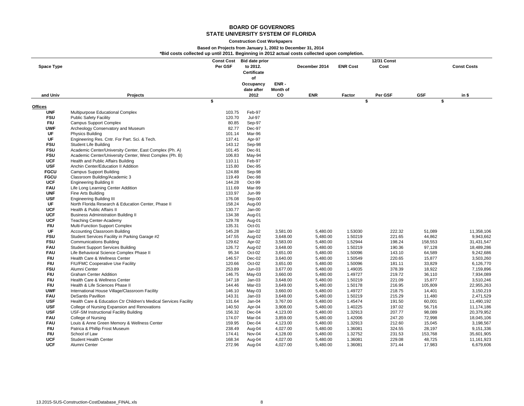#### **Construction Cost Workpapers**

### **Based on Projects from January 1, 2002 to December 31, 2014**

**\*Bid costs collected up until 2011. Beginning in 2012 actual costs collected upon completion.**

| <b>Space Type</b>        |                                                                   | <b>Const Cost</b><br>Per GSF | <b>Bid date prior</b><br>to 2012.<br>Certificate<br>of |                      | December 2014        | <b>ENR Cost</b>    | 12/31 Const<br>Cost |                   | <b>Const Costs</b>     |
|--------------------------|-------------------------------------------------------------------|------------------------------|--------------------------------------------------------|----------------------|----------------------|--------------------|---------------------|-------------------|------------------------|
|                          |                                                                   |                              | Occupancy                                              | ENR-                 |                      |                    |                     |                   |                        |
|                          |                                                                   |                              | date after                                             | Month of             |                      |                    |                     |                   |                        |
| and Univ                 | Projects                                                          |                              | 2012                                                   | co                   | <b>ENR</b>           | Factor             | Per GSF             | <b>GSF</b>        | in \$                  |
|                          |                                                                   | \$                           |                                                        |                      |                      |                    | \$                  | \$                |                        |
| Offices<br><b>UNF</b>    |                                                                   | 103.75                       | Feb-97                                                 |                      |                      |                    |                     |                   |                        |
| <b>FSU</b>               | Multipurpose Educational Complex<br><b>Public Safety Facility</b> | 120.70                       | <b>Jul-97</b>                                          |                      |                      |                    |                     |                   |                        |
| <b>FIU</b>               | <b>Campus Support Complex</b>                                     | 80.85                        | Sep-97                                                 |                      |                      |                    |                     |                   |                        |
| <b>UWF</b>               | Archeology Conservatory and Museum                                | 82.77                        | Dec-97                                                 |                      |                      |                    |                     |                   |                        |
| UF                       | Physics Building                                                  | 101.14                       | Mar-96                                                 |                      |                      |                    |                     |                   |                        |
| UF                       | Engineering Res. Cntr. For Part. Sci. & Tech.                     | 137.41                       | Apr-97                                                 |                      |                      |                    |                     |                   |                        |
| <b>FSU</b>               | Student Life Building                                             | 143.12                       | Sep-98                                                 |                      |                      |                    |                     |                   |                        |
| <b>FSU</b>               | Academic Center/University Center, East Complex (Ph. A)           | 101.45                       | Dec-91                                                 |                      |                      |                    |                     |                   |                        |
| <b>FSU</b>               | Academic Center/University Center, West Complex (Ph. B)           | 106.83                       | May-94                                                 |                      |                      |                    |                     |                   |                        |
| <b>UCF</b>               | Health and Public Affairs Building                                | 110.11                       | Feb-97                                                 |                      |                      |                    |                     |                   |                        |
| <b>USF</b>               | Anchin Center/Education II Addition                               | 115.80                       | Dec-95                                                 |                      |                      |                    |                     |                   |                        |
| <b>FGCU</b>              | <b>Campus Support Building</b>                                    | 124.88                       | Sep-98                                                 |                      |                      |                    |                     |                   |                        |
| <b>FGCU</b>              | Classroom Building/Academic 3                                     | 119.49                       | Dec-98                                                 |                      |                      |                    |                     |                   |                        |
| <b>UCF</b>               | <b>Engineering Building II</b>                                    | 144.28                       | Oct-99                                                 |                      |                      |                    |                     |                   |                        |
| <b>FAU</b>               | Life Long Learning Center Addition                                | 111.69                       | Mar-99                                                 |                      |                      |                    |                     |                   |                        |
| <b>UNF</b>               | Fine Arts Building                                                | 133.97                       | <b>Jun-99</b>                                          |                      |                      |                    |                     |                   |                        |
| <b>USF</b>               | <b>Engineering Building III</b>                                   | 176.08                       | Sep-00                                                 |                      |                      |                    |                     |                   |                        |
| UF                       | North Florida Research & Education Center, Phase II               | 158.24                       | Aug-00                                                 |                      |                      |                    |                     |                   |                        |
| <b>UCF</b>               | Health & Public Affairs II                                        | 130.77                       | Jan-00                                                 |                      |                      |                    |                     |                   |                        |
| <b>UCF</b>               | <b>Business Administration Building II</b>                        | 134.38                       | Aug-01                                                 |                      |                      |                    |                     |                   |                        |
| <b>UCF</b>               | <b>Teaching Center-Academy</b>                                    | 129.78                       | Aug-01                                                 |                      |                      |                    |                     |                   |                        |
| <b>FIU</b>               | Multi-Function Support Complex                                    | 135.31                       | Oct-01                                                 |                      |                      |                    |                     |                   |                        |
| UF                       | Accounting Classroom Building                                     | 145.28                       | $Jan-02$                                               | 3,581.00             | 5,480.00             | 1.53030            | 222.32              | 51,089            | 11,358,106             |
| <b>FSU</b>               | Student Services Facility in Parking Garage #2                    | 147.55                       | Aug-02                                                 | 3,648.00             | 5,480.00             | 1.50219            | 221.65              | 44,862            | 9,943,662              |
| <b>FSU</b>               | <b>Communications Building</b>                                    | 129.62                       | Apr-02                                                 | 3,583.00             | 5,480.00             | 1.52944            | 198.24              | 158,553           | 31,431,547             |
| <b>FAU</b>               | <b>Student Support Services Building</b>                          | 126.72                       | Aug-02                                                 | 3,648.00             | 5,480.00             | 1.50219            | 190.36              | 97,128            | 18,489,286             |
| <b>FAU</b>               | Life Behavioral Science Complex Phase II                          | 95.34                        | Oct-02                                                 | 3,651.00             | 5,480.00             | 1.50096            | 143.10              | 64,589            | 9,242,686              |
| <b>FIU</b>               | Health Care & Wellness Center                                     | 146.57                       | $Dec-02$                                               | 3,640.00             | 5,480.00             | 1.50549            | 220.65              | 15,877            | 3,503,260              |
| <b>FIU</b>               | FIU/FMC Cooperative Use Facility                                  | 120.66                       | Oct-02                                                 | 3,651.00             | 5,480.00             | 1.50096            | 181.11              | 33,829            | 6,126,770              |
| <b>FSU</b>               | Alumni Center                                                     | 253.89                       | $Jun-03$                                               | 3,677.00             | 5,480.00             | 1.49035            | 378.39              | 18,922            | 7,159,896              |
| <b>FIU</b>               | <b>Graham Center Addition</b>                                     | 146.75                       | May-03                                                 | 3,660.00             | 5,480.00             | 1.49727            | 219.72              | 36,110            | 7,934,089              |
| <b>FIU</b>               | Health Care & Wellness Center                                     | 147.18                       | $Jan-03$                                               | 3,648.00             | 5,480.00             | 1.50219            | 221.09              | 15,877            | 3,510,246              |
| <b>FIU</b>               | Health & Life Sciences Phase II                                   | 144.46                       | Mar-03                                                 | 3,649.00             | 5,480.00             | 1.50178            | 216.95              | 105,809           | 22,955,263             |
| <b>UWF</b>               | International House Village/Classroom Facility                    | 146.10                       | May-03                                                 | 3,660.00             | 5,480.00             | 1.49727            | 218.75              | 14,401            | 3,150,219              |
| <b>FAU</b>               | <b>DeSantis Pavillion</b>                                         | 143.31                       | $Jan-03$                                               | 3,648.00             | 5,480.00             | 1.50219            | 215.29              | 11,480            | 2,471,529              |
| <b>USF</b>               | Health Care & Education Ctr Children's Medical Services Facility  | 131.64                       | $Jan-04$                                               | 3,767.00             | 5,480.00             | 1.45474            | 191.50              | 60,001            | 11,490,192             |
| <b>USF</b>               | College of Nursing Expansion and Renovations                      | 140.50                       | Apr-04                                                 | 3,908.00             | 5,480.00             | 1.40225            | 197.02              | 56,716            | 11,174,186             |
| <b>USF</b>               | USF-SM Instructional Facility Building                            | 156.32                       | Dec-04                                                 | 4,123.00             | 5,480.00             | 1.32913            | 207.77              | 98,089            | 20,379,952             |
| <b>FAU</b>               | College of Nursing                                                | 174.07                       | Mar-04                                                 | 3,859.00             | 5,480.00             | 1.42006            | 247.20              | 72,998            | 18,045,106             |
| <b>FAU</b>               | Louis & Anne Green Memory & Wellness Center                       | 159.95                       | $Dec-04$                                               | 4,123.00<br>4,027.00 | 5,480.00<br>5,480.00 | 1.32913<br>1.36081 | 212.60<br>324.55    | 15,045            | 3,198,567<br>9,151,336 |
| <b>FIU</b><br><b>FIU</b> | Patrica & Phillip Frost Museum<br>School of Law                   | 238.49                       | Aug-04<br>Nov-04                                       |                      |                      | 1.32752            | 231.53              | 28,197<br>153,768 | 35,601,905             |
| <b>UCF</b>               | <b>Student Health Center</b>                                      | 174.41<br>168.34             |                                                        | 4,128.00<br>4,027.00 | 5,480.00<br>5,480.00 | 1.36081            | 229.08              | 48,725            | 11,161,923             |
| <b>UCF</b>               | Alumni Center                                                     | 272.96                       | Aug-04<br>Aug-04                                       | 4,027.00             | 5,480.00             | 1.36081            | 371.44              | 17,983            | 6,679,606              |
|                          |                                                                   |                              |                                                        |                      |                      |                    |                     |                   |                        |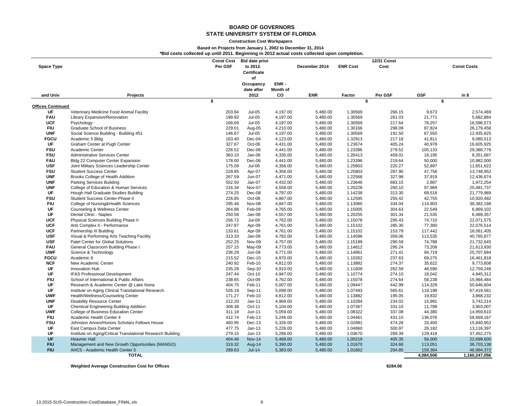#### **Construction Cost Workpapers**

#### **Based on Projects from January 1, 2002 to December 31, 2014**

**\*Bid costs collected up until 2011. Beginning in 2012 actual costs collected upon completion.**

|                          |                                                             | <b>Const Cost</b> | <b>Bid date prior</b> |          |               |                 | 12/31 Const |            |                    |
|--------------------------|-------------------------------------------------------------|-------------------|-----------------------|----------|---------------|-----------------|-------------|------------|--------------------|
| <b>Space Type</b>        |                                                             | Per GSF           | to 2012.              |          | December 2014 | <b>ENR Cost</b> | Cost        |            | <b>Const Costs</b> |
|                          |                                                             |                   | <b>Certificate</b>    |          |               |                 |             |            |                    |
|                          |                                                             |                   | of                    |          |               |                 |             |            |                    |
|                          |                                                             |                   | Occupancy             | ENR-     |               |                 |             |            |                    |
|                          |                                                             |                   | date after            | Month of | <b>ENR</b>    |                 |             | <b>GSF</b> |                    |
| and Univ                 | Projects                                                    | \$                | 2012                  | CO       |               | Factor<br>\$    | Per GSF     | \$         | in \$              |
| <b>Offices Continued</b> |                                                             |                   |                       |          |               |                 |             |            |                    |
| UF                       | Veterinary Medicine Food Animal Facility                    | 203.84            | <b>Jul-05</b>         | 4,197.00 | 5,480.00      | 1.30569         | 266.15      | 9,673      | 2,574,469          |
| <b>FAU</b>               | Library Expansion/Renovation                                | 199.92            | <b>Jul-05</b>         | 4,197.00 | 5,480.00      | 1.30569         | 261.03      | 21,771     | 5,682,884          |
| <b>UCF</b>               | Psychology                                                  | 166.69            | <b>Jul-05</b>         | 4,197.00 | 5,480.00      | 1.30569         | 217.64      | 76,257     | 16,596,573         |
| <b>FIU</b>               | Graduate School of Business                                 | 229.01            | Aug-05                | 4,210.00 | 5,480.00      | 1.30166         | 298.09      | 87,824     | 26,179,456         |
| <b>UNF</b>               | Social Science Building - Building #51                      | 146.67            | <b>Jul-05</b>         | 4,197.00 | 5,480.00      | 1.30569         | 191.50      | 67,550     | 12,935,825         |
| <b>FGCU</b>              | Academic 5 Bldg                                             | 163.40            | Dec-04                | 4,123.00 | 5,480.00      | 1.32913         | 217.18      | 41,811     | 9,080,513          |
| UF                       | Graham Center at Pugh Center                                | 327.67            | Oct-06                | 4,431.00 | 5,480.00      | 1.23674         | 405.24      | 40,978     | 16,605,925         |
| <b>FSU</b>               | Academic Center                                             | 226.52            | Dec-06                | 4,441.00 | 5,480.00      | 1.23396         | 279.52      | 105,133    | 29,386,776         |
| <b>FSU</b>               | Administrative Services Center                              | 363.10            | Jan-06                | 4,335.00 | 5,480.00      | 1.26413         | 459.01      | 18,195     | 8,351,687          |
| <b>FAU</b>               | Bldg 22 Computer Center Expansion                           | 178.00            | Dec-06                | 4,441.00 | 5,480.00      | 1.23396         | 219.64      | 50,000     | 10,982,000         |
| <b>USF</b>               | Joint Military Sciences Leadership Center                   | 175.09            | <b>Jul-06</b>         | 4,356.00 | 5,480.00      | 1.25803         | 220.27      | 52,897     | 11,651,622         |
| <b>FSU</b>               | <b>Student Success Center</b>                               | 228.85            | Apr-07                | 4,356.00 | 5,480.00      | 1.25803         | 287.90      | 47,756     | 13,748,952         |
| <b>UNF</b>               | Brooks College of Health Addition                           | 267.59            | <b>Jun-07</b>         | 4,471.00 | 5,480.00      | 1.22568         | 327.98      | 37,919     | 12,436,674         |
| <b>UNF</b>               | <b>Parking Services Building</b>                            | 552.50            | Jan-07                | 4,432.00 | 5,480.00      | 1.23646         | 683.15      | 2,887      | 1,972,254          |
| <b>UNF</b>               | College of Education & Human Services                       | 216.34            | Nov-07                | 4,558.00 | 5,480.00      | 1.20228         | 260.10      | 97,969     | 25,481,737         |
| UF                       | Hough Hall Graduate Studies Building                        | 274.25            | Dec-08                | 4,797.00 | 5,480.00      | 1.14238         | 313.30      | 69,518     | 21,779,989         |
| <b>FSU</b>               | Student Success Center-Phase II                             | 226.85            | Oct-08                | 4,867.00 | 5,480.00      | 1.12595         | 255.42      | 42,755     | 10,920,482         |
| <b>FIU</b>               | College of Nursing&Health Sciences                          | 295.46            | Nov-08                | 4,847.00 | 5,480.00      | 1.13060         | 334.04      | 114,903    | 38,382,198         |
| UF                       | Counseling & Wellness Center                                | 264.88            | Feb-09                | 4,765.00 | 5,480.00      | 1.15005         | 304.63      | 22,549     | 6,869,102          |
| UF                       | Dental Clinic - Naples                                      | 250.58            | $Jan-08$              | 4,557.00 | 5,480.00      | 1.20255         | 301.34      | 21,535     | 6,489,357          |
| <b>UCF</b>               | Physical Sciences Building Phase II                         | 256.72            | <b>Jul-09</b>         | 4,762.00 | 5,480.00      | 1.15078         | 295.43      | 74,710     | 22,071,575         |
| <b>UCF</b>               | Arts Complex II - Performance                               | 247.87            | Apr-09                | 4,761.00 | 5,480.00      | 1.15102         | 285.30      | 77,380     | 22,076,514         |
| <b>UCF</b>               | Partnership III Building                                    | 133.61            | Apr-09                | 4,761.00 | 5,480.00      | 1.15102         | 153.79      | 117,442    | 18,061,405         |
| <b>USF</b>               | Visual & Performing Arts Teaching Facility                  | 313.33            | Jan-09                | 4,782.00 | 5,480.00      | 1.14596         | 359.06      | 113,535    | 40,765,877         |
| <b>USF</b>               | Patel Center for Global Solutions                           | 252.25            | Nov-09                | 4,757.00 | 5,480.00      | 1.15199         | 290.59      | 74,788     | 21,732,645         |
| <b>FAU</b>               | General Classroom Building Phase I                          | 257.15            | May-09                | 4,773.00 | 5,480.00      | 1.14812         | 295.24      | 73,208     | 21,613,930         |
| <b>UWF</b>               | Science & Technology                                        | 236.29            | <b>Jun-09</b>         | 4,771.00 | 5,480.00      | 1.14861         | 271.41      | 94,719     | 25,707,684         |
| <b>FGCU</b>              | Academic 8                                                  | 215.52            | $Dec-10$              | 4,970.00 | 5,480.00      | 1.10262         | 237.63      | 69,275     | 16,461,818         |
| <b>NCF</b>               | New Academic Center                                         | 240.92            | Feb-10                | 4,812.00 | 5,480.00      | 1.13882         | 274.37      | 35,622     | 9,773,608          |
| UF                       | Innovation Hub                                              | 235.28            | Sep-10                | 4,910.00 | 5,480.00      | 1.11609         | 262.59      | 48,590     | 12,759,248         |
| UF                       | <b>IFAS Professinoal Development</b>                        | 247.44            | Oct-10                | 4,947.00 | 5,480.00      | 1.10774         | 274.10      | 18,042     | 4,945,312          |
| <b>FIU</b>               | School of International & Public Affairs                    | 238.65            | Oct-09                | 4,762.00 | 5,480.00      | 1.15078         | 274.64      | 58,238     | 15,994,484         |
| UF                       | Research & Academic Center @ Lake Nona                      | 404.75            | Feb-11                | 5,007.00 | 5,480.00      | 1.09447         | 442.99      | 114,329    | 50,646,604         |
| UF                       | Institute on Aging Clinical Translational Research          | 526.18            | Sep-11                | 5,098.00 | 5,480.00      | 1.07493         | 565.61      | 119,198    | 67,419,581         |
| <b>UWF</b>               | Health/Wellness/Counseling Center                           | 171.27            | Feb-10                | 4,812.00 | 5,480.00      | 1.13882         | 195.05      | 19,832     | 3,868,232          |
| <b>UNF</b>               | <b>Disability Resource Center</b>                           | 212.20            | $Jan-11$              | 4,969.00 | 5,480.00      | 1.10284         | 234.02      | 15,991     | 3,742,214          |
| UF                       | <b>Chemical Engineering Building Addition</b>               | 308.38            | Oct-11                | 5,104.00 | 5,480.00      | 1.07367         | 331.10      | 11,788     | 3,903,007          |
| <b>UWF</b>               | College of Business Education Center                        | 311.18            | $Jun-11$              | 5,059.00 | 5,480.00      | 1.08322         | 337.08      | 44,380     | 14,959,610         |
| <b>FIU</b>               | Academic Health Center 4                                    | 412.74            | Feb-13                | 5,246.00 | 5,480.00      | 1.04461         | 431.15      | 136,076    | 58,669,167         |
| <b>FSU</b>               | Johnston Annex/Honors Scholars Fellows House                | 460.95            | $Dec-13$              | 5,326.00 | 5,480.00      | 1.02891         | 474.28      | 33,400     | 15,840,952         |
| UF                       | East Campus Data Center                                     | 477.75            | $Jan-13$              | 5,226.00 | 5,480.00      | 1.04860         | 500.97      | 26,182     | 13,116,397         |
| UF                       | Institute on Aging/Critical Translational Research Building | 279.15            | $Jun-13$              | 5,286.00 | 5,480.00      | 1.03670         | 289.39      | 129,418    | 37,452,275         |
| <b>UF</b>                | <b>Heavner Hall</b>                                         | 404.46            | <b>Nov-14</b>         | 5,468.00 | 5,480.00      | 1.00219         | 405.35      | 56,000     | 22,699,600         |
| <b>FIU</b>               | Management and New Growth Opportunities (MANGO)             | 319.32            | Aug-14                | 5,390.00 | 5,480.00      | 1.01670         | 324.66      | 113,051    | 36,703,138         |
| <b>FIU</b>               | AHC5 - Academic Health Center 5                             | 289.63            | $Jul-14$              | 5,383.00 | 5,480.00      | 1.01802         | 294.85      | 159,384    | 46,994,372         |
|                          | <b>TOTAL</b>                                                |                   |                       |          |               |                 |             | 4.084.506  | 1.160.247.056      |

**TOTAL**

**Weighted Average Construction Cost for Offices \$284.06**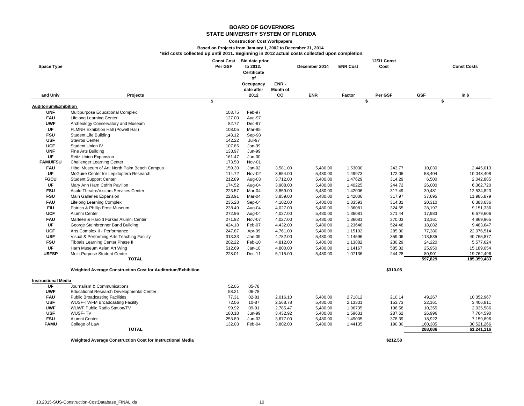#### **Construction Cost Workpapers**

## **Based on Projects from January 1, 2002 to December 31, 2014**

|  |  |  |  |  |  |  | *Bid costs collected up until 2011. Beginning in 2012 actual costs collected upon completion. |  |  |
|--|--|--|--|--|--|--|-----------------------------------------------------------------------------------------------|--|--|
|--|--|--|--|--|--|--|-----------------------------------------------------------------------------------------------|--|--|

| <b>Space Type</b>          |                                                              | <b>Const Cost</b><br>Per GSF | <b>Bid date prior</b><br>to 2012.<br>Certificate<br>of |                 | December 2014 | <b>ENR Cost</b> | 12/31 Const<br>Cost |                  | <b>Const Costs</b> |
|----------------------------|--------------------------------------------------------------|------------------------------|--------------------------------------------------------|-----------------|---------------|-----------------|---------------------|------------------|--------------------|
|                            |                                                              |                              | Occupancy                                              | ENR-            |               |                 |                     |                  |                    |
|                            |                                                              |                              | date after                                             | <b>Month of</b> |               |                 |                     |                  |                    |
| and Univ                   | Projects                                                     | \$                           | 2012                                                   | CO              | <b>ENR</b>    | Factor<br>\$    | Per GSF             | <b>GSF</b><br>\$ | in \$              |
| Auditorium/Exhibition      |                                                              |                              |                                                        |                 |               |                 |                     |                  |                    |
| <b>UNF</b>                 | Multipurpose Educational Complex                             | 103.75                       | Feb-97                                                 |                 |               |                 |                     |                  |                    |
| <b>FAU</b>                 | <b>Lifelong Learning Center</b>                              | 127.00                       | Aug-97                                                 |                 |               |                 |                     |                  |                    |
| <b>UWF</b>                 | Archeology Conservatory and Museum                           | 82.77                        | Dec-97                                                 |                 |               |                 |                     |                  |                    |
| UF                         | FLMNH Exhibition Hall (Powell Hall)                          | 108.05                       | Mar-95                                                 |                 |               |                 |                     |                  |                    |
| <b>FSU</b>                 | <b>Student Life Building</b>                                 | 143.12                       | Sep-98                                                 |                 |               |                 |                     |                  |                    |
| <b>USF</b>                 | <b>Stavros Center</b>                                        | 142.22                       | <b>Jul-97</b>                                          |                 |               |                 |                     |                  |                    |
| <b>UCF</b>                 | Student Union IV                                             | 107.85                       | Jan-99                                                 |                 |               |                 |                     |                  |                    |
| <b>UNF</b>                 | Fine Arts Building                                           | 133.97                       | <b>Jun-99</b>                                          |                 |               |                 |                     |                  |                    |
| <b>UF</b>                  | <b>Reitz Union Expansion</b>                                 | 161.47                       | $Jun-00$                                               |                 |               |                 |                     |                  |                    |
| <b>FAMU/FSU</b>            | <b>Challenger Learning Center</b>                            | 173.58                       | Nov-01                                                 |                 |               |                 |                     |                  |                    |
| <b>FAU</b>                 | Hibel Museum of Art, North Palm Beach Campus                 | 159.30                       | $Jan-02$                                               | 3,581.00        | 5,480.00      | 1.53030         | 243.77              | 10,030           | 2,445,013          |
| <b>UF</b>                  | McGuire Center for Lepidoptera Research                      | 114.72                       | Nov-02                                                 | 3,654.00        | 5,480.00      | 1.49973         | 172.05              | 58,404           | 10,048,408         |
| <b>FGCU</b>                | <b>Student Support Center</b>                                | 212.89                       | Aug-03                                                 | 3,712.00        | 5,480.00      | 1.47629         | 314.29              | 6,500            | 2,042,885          |
| UF                         | Mary Ann Harn Cofrin Pavilion                                | 174.52                       | Aug-04                                                 | 3,908.00        | 5,480.00      | 1.40225         | 244.72              | 26,000           | 6,362,720          |
| <b>FSU</b>                 | Asolo Theatre/Visitors Services Center                       | 223.57                       | Mar-04                                                 | 3,859.00        | 5,480.00      | 1.42006         | 317.49              | 39,481           | 12,534,823         |
| <b>FSU</b>                 | Main Galleries Expansion                                     | 223.91                       | Mar-04                                                 | 3,859.00        | 5,480.00      | 1.42006         | 317.97              | 37,695           | 11,985,879         |
| <b>FAU</b>                 | <b>Lifelong Learning Complex</b>                             | 235.28                       | Sep-04                                                 | 4,102.00        | 5,480.00      | 1.33593         | 314.31              | 20,310           | 6,383,636          |
| <b>FIU</b>                 | Patrica & Phillip Frost Museum                               | 238.49                       | Aug-04                                                 | 4,027.00        | 5,480.00      | 1.36081         | 324.55              | 28,197           | 9,151,336          |
| <b>UCF</b>                 | Alumni Center                                                | 272.96                       | Aug-04                                                 | 4,027.00        | 5,480.00      | 1.36081         | 371.44              | 17,983           | 6,679,606          |
| <b>FAU</b>                 | Marleen & Harold Forkas Alumni Center                        | 271.92                       | Nov-07                                                 | 4,027.00        | 5,480.00      | 1.36081         | 370.03              | 13,161           | 4,869,965          |
| UF                         | George Steinbrenner Band Building                            | 424.18                       | Feb-07                                                 | 4,432.00        | 5,480.00      | 1.23646         | 524.48              | 18,082           | 9,483,647          |
| <b>UCF</b>                 | Arts Complex II - Performance                                | 247.87                       | Apr-09                                                 | 4,761.00        | 5,480.00      | 1.15102         | 285.30              | 77,380           | 22,076,514         |
| <b>USF</b>                 | Visual & Performing Arts Teaching Facility                   | 313.33                       | Jan-09                                                 | 4,782.00        | 5,480.00      | 1.14596         | 359.06              | 113,535          | 40,765,877         |
| <b>FSU</b>                 | Tibbals Learning Center Phase II                             | 202.22                       | Feb-10                                                 | 4,812.00        | 5,480.00      | 1.13882         | 230.29              | 24,220           | 5,577,624          |
| <b>UF</b>                  | Harn Museum Asian Art Wing                                   | 512.69                       | $Jan-10$                                               | 4,800.00        | 5,480.00      | 1.14167         | 585.32              | 25,950           | 15,189,054         |
| <b>USFSP</b>               | Multi-Purpose Student Center                                 | 228.01                       | $Dec-11$                                               | 5,115.00        | 5,480.00      | 1.07136         | 244.28              | 80,901           | 19,762,496         |
|                            | <b>TOTAL</b>                                                 |                              |                                                        |                 |               |                 |                     | 597,829          | 185,359,483        |
|                            | Weighted Average Construction Cost for Auditorium/Exhibition |                              |                                                        |                 |               |                 | \$310.05            |                  |                    |
| <b>Instructional Media</b> |                                                              |                              |                                                        |                 |               |                 |                     |                  |                    |
| <b>UF</b>                  | Journalism & Communications                                  | 52.05                        | 05-78                                                  |                 |               |                 |                     |                  |                    |
| <b>UWF</b>                 | Educational Research Developmental Center                    | 58.21                        | 06-78                                                  |                 |               |                 |                     |                  |                    |
| <b>FAU</b>                 | <b>Public Broadcasting Facilities</b>                        | 77.31                        | $02 - 81$                                              | 2,016.10        | 5,480.00      | 2.71812         | 210.14              | 49,267           | 10,352,967         |
| <b>USF</b>                 | WUSF-TV/FM Broadcasting Facility                             | 72.06                        | 10-87                                                  | 2,568.78        | 5,480.00      | 2.13331         | 153.73              | 22,161           | 3,406,811          |
| <b>UWF</b>                 | <b>WUWF Public Radio Station/TV</b>                          | 99.92                        | 09-91                                                  | 2,785.47        | 5,480.00      | 1.96735         | 196.58              | 10,355           | 2,035,586          |
| <b>USF</b>                 | WUSF-TV                                                      | 180.18                       | <b>Jun-99</b>                                          | 3,432.92        | 5,480.00      | 1.59631         | 287.62              | 26,996           | 7,764,590          |
| <b>FSU</b>                 | Alumni Center                                                | 253.89                       | $Jun-03$                                               | 3,677.00        | 5,480.00      | 1.49035         | 378.39              | 18,922           | 7,159,896          |
| <b>FAMU</b>                | College of Law                                               | 132.03                       | Feb-04                                                 | 3,802.00        | 5,480.00      | 1.44135         | 190.30              | 160,385          | 30,521,266         |
|                            | <b>TOTAL</b>                                                 |                              |                                                        |                 |               |                 |                     | 288,086          | 61,241,116         |
|                            |                                                              |                              |                                                        |                 |               |                 |                     |                  |                    |
|                            | Weighted Average Construction Cost for Instructional Media   |                              |                                                        |                 |               |                 | \$212.58            |                  |                    |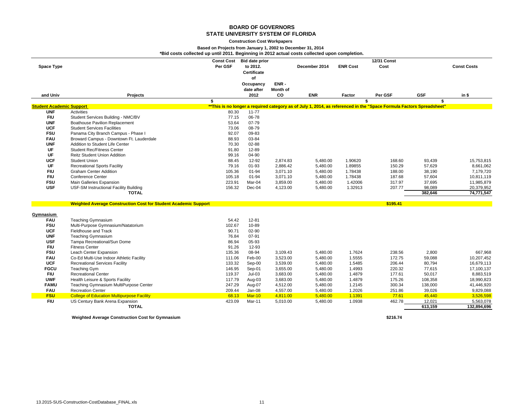#### **Construction Cost Workpapers**

#### **Based on Projects from January 1, 2002 to December 31, 2014**

**\*Bid costs collected up until 2011. Beginning in 2012 actual costs collected upon completion.**

|                                 |                                                                        | <b>Const Cost</b> | <b>Bid date prior</b> |                |               |                 | <b>12/31 Const</b>                                                                                                   |            |                    |
|---------------------------------|------------------------------------------------------------------------|-------------------|-----------------------|----------------|---------------|-----------------|----------------------------------------------------------------------------------------------------------------------|------------|--------------------|
| <b>Space Type</b>               |                                                                        | Per GSF           | to 2012.              |                | December 2014 | <b>ENR Cost</b> | Cost                                                                                                                 |            | <b>Const Costs</b> |
|                                 |                                                                        |                   | Certificate           |                |               |                 |                                                                                                                      |            |                    |
|                                 |                                                                        |                   | of                    |                |               |                 |                                                                                                                      |            |                    |
|                                 |                                                                        |                   | Occupancy             | ENR-           |               |                 |                                                                                                                      |            |                    |
| and Univ                        | Projects                                                               |                   | date after<br>2012    | Month of<br>CO | <b>ENR</b>    | Factor          | Per GSF                                                                                                              | <b>GSF</b> | in $$$             |
|                                 |                                                                        | \$                |                       |                |               |                 | \$                                                                                                                   | \$         |                    |
| <b>Student Academic Support</b> |                                                                        |                   |                       |                |               |                 | **This is no longer a required category as of July 1, 2014, as referenced in the "Space Formula Factors Spreadsheet" |            |                    |
| <b>UNF</b>                      | Activities                                                             | 80.30             | $11 - 77$             |                |               |                 |                                                                                                                      |            |                    |
| <b>FIU</b>                      | Student Services Building - NMC/BV                                     | 77.15             | 06-78                 |                |               |                 |                                                                                                                      |            |                    |
| <b>UNF</b>                      | <b>Boathouse Pavilion Replacement</b>                                  | 53.64             | 07-79                 |                |               |                 |                                                                                                                      |            |                    |
| <b>UCF</b>                      | <b>Student Services Facilities</b>                                     | 73.06             | 08-79                 |                |               |                 |                                                                                                                      |            |                    |
| <b>FSU</b>                      | Panama City Branch Campus - Phase I                                    | 92.07             | 09-83                 |                |               |                 |                                                                                                                      |            |                    |
| <b>FAU</b>                      | Broward Campus - Downtown Ft. Lauderdale                               | 88.93             | 03-84                 |                |               |                 |                                                                                                                      |            |                    |
| <b>UNF</b>                      | Addition to Student Life Center                                        | 70.30             | 02-88                 |                |               |                 |                                                                                                                      |            |                    |
| <b>UF</b>                       | <b>Student Rec/Fitness Center</b>                                      | 91.80             | 12-89                 |                |               |                 |                                                                                                                      |            |                    |
| UF                              | <b>Reitz Student Union Addition</b>                                    | 99.16             | 04-90                 |                |               |                 |                                                                                                                      |            |                    |
| <b>UCF</b>                      | <b>Student Union</b>                                                   | 88.45             | 12-92                 | 2,874.83       | 5,480.00      | 1.90620         | 168.60                                                                                                               | 93,439     | 15,753,815         |
| UF                              | <b>Recreational Sports Facility</b>                                    | 79.16             | $01 - 93$             | 2,886.42       | 5,480.00      | 1.89855         | 150.29                                                                                                               | 57,629     | 8,661,062          |
| <b>FIU</b>                      | <b>Graham Center Addition</b>                                          | 105.36            | 01-94                 | 3,071.10       | 5,480.00      | 1.78438         | 188.00                                                                                                               | 38,190     | 7,179,720          |
| <b>FIU</b>                      | <b>Conference Center</b>                                               | 105.18            | 01-94                 | 3,071.10       | 5,480.00      | 1.78438         | 187.68                                                                                                               | 57,604     | 10,811,119         |
| <b>FSU</b>                      | Main Galleries Expansion                                               | 223.91            | Mar-04                | 3,859.00       | 5,480.00      | 1.42006         | 317.97                                                                                                               | 37,695     | 11,985,879         |
| <b>USF</b>                      | USF-SM Instructional Facility Building                                 | 156.32            | Dec-04                | 4,123.00       | 5,480.00      | 1.32913         | 207.77                                                                                                               | 98,089     | 20,379,952         |
|                                 | <b>TOTAL</b>                                                           |                   |                       |                |               |                 |                                                                                                                      | 382,646    | 74,771,547         |
|                                 | <b>Weighted Average Construction Cost for Student Academic Support</b> |                   |                       |                |               |                 | \$195.41                                                                                                             |            |                    |
|                                 |                                                                        |                   |                       |                |               |                 |                                                                                                                      |            |                    |
| Gymnasium                       |                                                                        |                   |                       |                |               |                 |                                                                                                                      |            |                    |
| <b>FAU</b>                      | <b>Teaching Gymnasium</b>                                              | 54.42             | 12-81                 |                |               |                 |                                                                                                                      |            |                    |
| <b>FSU</b>                      | Multi-Purpose Gymnasium/Natatorium                                     | 102.67            | 10-89                 |                |               |                 |                                                                                                                      |            |                    |
| <b>UCF</b>                      | Fieldhouse and Track                                                   | 90.71             | 02-90                 |                |               |                 |                                                                                                                      |            |                    |
| <b>UNF</b>                      | <b>Teaching Gymnasium</b>                                              | 76.84             | 07-91                 |                |               |                 |                                                                                                                      |            |                    |
| <b>USF</b>                      | Tampa Recreational/Sun Dome                                            | 86.94             | 05-93                 |                |               |                 |                                                                                                                      |            |                    |
| <b>FIU</b>                      | <b>Fitness Center</b>                                                  | 91.26             | 12-93                 |                |               |                 |                                                                                                                      |            |                    |
| <b>FSU</b>                      | Leach Center Expansion                                                 | 135.36            | 08-94                 | 3,109.43       | 5,480.00      | 1.7624          | 238.56                                                                                                               | 2,800      | 667,968            |
| <b>FAU</b>                      | Co-Ed Multi-Use Indoor Athletic Facility                               | 111.06            | Feb-00                | 3,523.00       | 5,480.00      | 1.5555          | 172.75                                                                                                               | 59,088     | 10,207,452         |
| <b>UCF</b>                      | <b>Recreational Services Facility</b>                                  | 133.32            | Sep-00                | 3,539.00       | 5,480.00      | 1.5485          | 206.44                                                                                                               | 80,794     | 16,679,113         |
| <b>FGCU</b>                     | <b>Teaching Gym</b>                                                    | 146.95            | Sep-01                | 3,655.00       | 5,480.00      | 1.4993          | 220.32                                                                                                               | 77,615     | 17,100,137         |
| <b>FIU</b>                      | <b>Recreational Center</b>                                             | 119.37            | $Jul-03$              | 3,683.00       | 5,480.00      | 1.4879          | 177.61                                                                                                               | 50,017     | 8,883,519          |
| <b>UWF</b>                      | Health Leisure & Sports Facility                                       | 117.79            | Aug-03                | 3,683.00       | 5,480.00      | 1.4879          | 175.26                                                                                                               | 108,358    | 18,990,823         |
| <b>FAMU</b>                     | Teaching Gymnasium MultiPurpose Center                                 | 247.29            | Aug-07                | 4,512.00       | 5,480.00      | 1.2145          | 300.34                                                                                                               | 138,000    | 41,446,920         |
| <b>FAU</b>                      | <b>Recreation Center</b>                                               | 209.44            | Jan-08                | 4,557.00       | 5,480.00      | 1.2026          | 251.86                                                                                                               | 39,026     | 9,829,088          |
| <b>FSU</b>                      | <b>College of Education Multipurpose Facility</b>                      | 68.13             | <b>Mar-10</b>         | 4,811.00       | 5,480.00      | 1.1391          | 77.61                                                                                                                | 45,440     | 3,526,598          |
| <b>FIU</b>                      | US Century Bank Arena Expansion                                        | 423.09            | Mar-11                | 5,010.00       | 5,480.00      | 1.0938          | 462.78                                                                                                               | 12,021     | 5,563,078          |
|                                 | <b>TOTAL</b>                                                           |                   |                       |                |               |                 |                                                                                                                      | 613,159    | 132,894,696        |

 **Weighted Average Construction Cost for Gymnasium \$216.74**